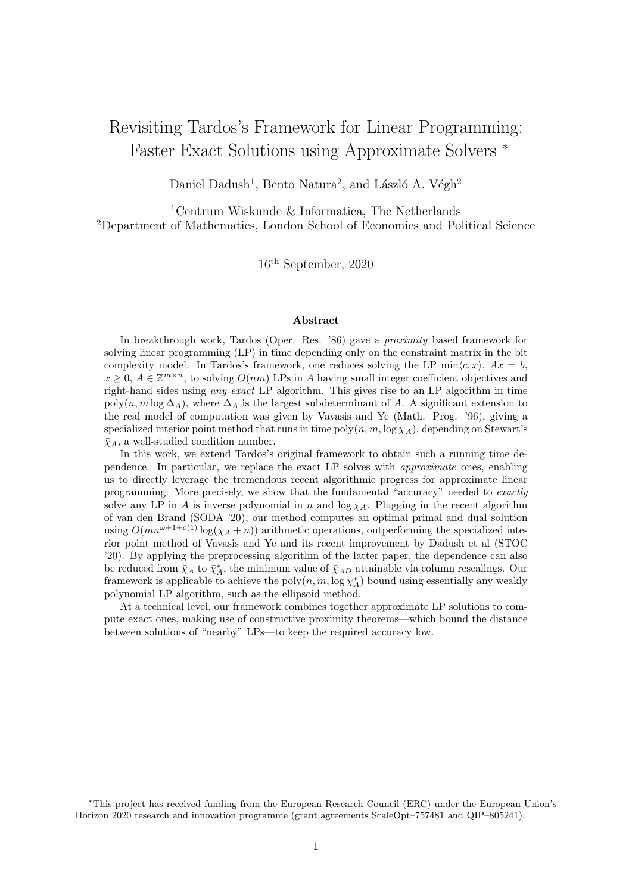# Revisiting Tardos's Framework for Linear Programming: Faster Exact Solutions using Approximate Solvers <sup>∗</sup>

Daniel Dadush<sup>1</sup>, Bento Natura<sup>2</sup>, and László A. Végh<sup>2</sup>

<sup>1</sup>Centrum Wiskunde & Informatica, The Netherlands <sup>2</sup>Department of Mathematics, London School of Economics and Political Science

16th September, 2020

#### Abstract

In breakthrough work, Tardos (Oper. Res. '86) gave a proximity based framework for solving linear programming (LP) in time depending only on the constraint matrix in the bit complexity model. In Tardos's framework, one reduces solving the LP min $\langle c, x \rangle$ ,  $Ax = b$ ,  $x \geq 0$ ,  $A \in \mathbb{Z}^{m \times n}$ , to solving  $O(nm)$  LPs in A having small integer coefficient objectives and right-hand sides using any exact LP algorithm. This gives rise to an LP algorithm in time poly(n, m log  $\Delta_A$ ), where  $\Delta_A$  is the largest subdeterminant of A. A significant extension to the real model of computation was given by Vavasis and Ye (Math. Prog. '96), giving a specialized interior point method that runs in time poly $(n, m, \log \bar{\chi}_A)$ , depending on Stewart's  $\bar{\chi}_A$ , a well-studied condition number.

In this work, we extend Tardos's original framework to obtain such a running time dependence. In particular, we replace the exact LP solves with approximate ones, enabling us to directly leverage the tremendous recent algorithmic progress for approximate linear programming. More precisely, we show that the fundamental "accuracy" needed to exactly solve any LP in A is inverse polynomial in n and  $\log \overline{\chi}_A$ . Plugging in the recent algorithm of van den Brand (SODA '20), our method computes an optimal primal and dual solution using  $O(mn^{\omega+1+o(1)}\log(\bar{\chi}_A+n))$  arithmetic operations, outperforming the specialized interior point method of Vavasis and Ye and its recent improvement by Dadush et al (STOC '20). By applying the preprocessing algorithm of the latter paper, the dependence can also be reduced from  $\bar{\chi}_A$  to  $\bar{\chi}_A^*$ , the minimum value of  $\bar{\chi}_{AD}$  attainable via column rescalings. Our framework is applicable to achieve the  $\text{poly}(n, m, \log \bar{\chi}_A^*)$  bound using essentially any weakly polynomial LP algorithm, such as the ellipsoid method.

At a technical level, our framework combines together approximate LP solutions to compute exact ones, making use of constructive proximity theorems—which bound the distance between solutions of "nearby" LPs—to keep the required accuracy low.

<sup>∗</sup>This project has received funding from the European Research Council (ERC) under the European Union's Horizon 2020 research and innovation programme (grant agreements ScaleOpt–757481 and QIP–805241).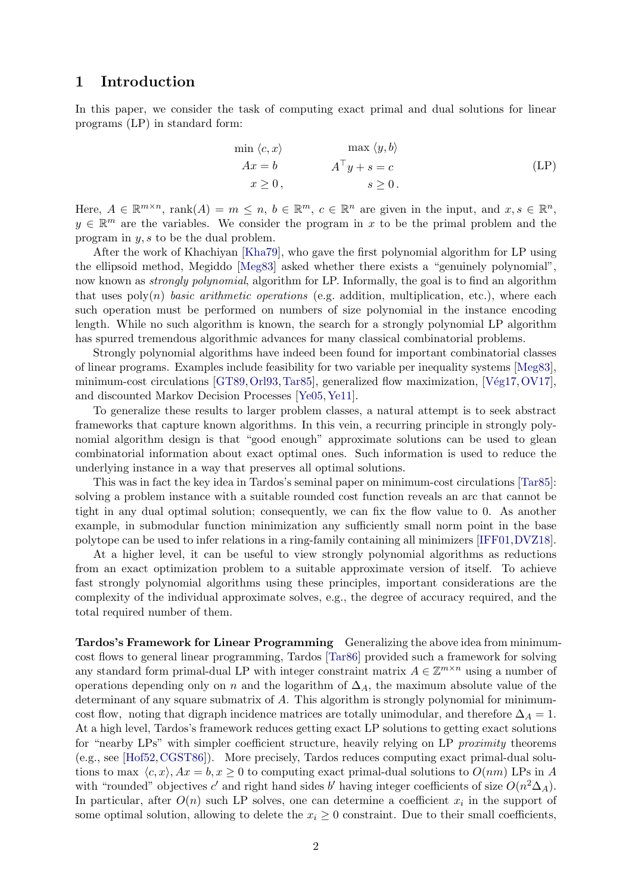# <span id="page-1-1"></span>1 Introduction

In this paper, we consider the task of computing exact primal and dual solutions for linear programs (LP) in standard form:

<span id="page-1-0"></span>
$$
\min \langle c, x \rangle \qquad \max \langle y, b \rangle
$$
  
\n
$$
Ax = b \qquad A^{\top}y + s = c \qquad \text{(LP)}
$$
  
\n
$$
x \ge 0, \qquad s \ge 0.
$$

Here,  $A \in \mathbb{R}^{m \times n}$ ,  $\text{rank}(A) = m \leq n, b \in \mathbb{R}^m$ ,  $c \in \mathbb{R}^n$  are given in the input, and  $x, s \in \mathbb{R}^n$ ,  $y \in \mathbb{R}^m$  are the variables. We consider the program in x to be the primal problem and the program in y, s to be the dual problem.

After the work of Khachiyan [\[Kha79\]](#page-41-0), who gave the first polynomial algorithm for LP using the ellipsoid method, Megiddo [\[Meg83\]](#page-41-1) asked whether there exists a "genuinely polynomial", now known as *strongly polynomial*, algorithm for LP. Informally, the goal is to find an algorithm that uses  $poly(n)$  basic arithmetic operations (e.g. addition, multiplication, etc.), where each such operation must be performed on numbers of size polynomial in the instance encoding length. While no such algorithm is known, the search for a strongly polynomial LP algorithm has spurred tremendous algorithmic advances for many classical combinatorial problems.

Strongly polynomial algorithms have indeed been found for important combinatorial classes of linear programs. Examples include feasibility for two variable per inequality systems [\[Meg83\]](#page-41-1), minimum-cost circulations [\[GT89,](#page-40-0) [Orl93,](#page-41-2) [Tar85\]](#page-41-3), generalized flow maximization, [Vég17, [OV17\]](#page-41-4), and discounted Markov Decision Processes [\[Ye05,](#page-42-1)[Ye11\]](#page-42-2).

To generalize these results to larger problem classes, a natural attempt is to seek abstract frameworks that capture known algorithms. In this vein, a recurring principle in strongly polynomial algorithm design is that "good enough" approximate solutions can be used to glean combinatorial information about exact optimal ones. Such information is used to reduce the underlying instance in a way that preserves all optimal solutions.

This was in fact the key idea in Tardos's seminal paper on minimum-cost circulations [\[Tar85\]](#page-41-3): solving a problem instance with a suitable rounded cost function reveals an arc that cannot be tight in any dual optimal solution; consequently, we can fix the flow value to 0. As another example, in submodular function minimization any sufficiently small norm point in the base polytope can be used to infer relations in a ring-family containing all minimizers [\[IFF01,](#page-40-1)[DVZ18\]](#page-40-2).

At a higher level, it can be useful to view strongly polynomial algorithms as reductions from an exact optimization problem to a suitable approximate version of itself. To achieve fast strongly polynomial algorithms using these principles, important considerations are the complexity of the individual approximate solves, e.g., the degree of accuracy required, and the total required number of them.

Tardos's Framework for Linear Programming Generalizing the above idea from minimumcost flows to general linear programming, Tardos [\[Tar86\]](#page-41-5) provided such a framework for solving any standard form primal-dual LP with integer constraint matrix  $A \in \mathbb{Z}^{m \times n}$  using a number of operations depending only on n and the logarithm of  $\Delta_A$ , the maximum absolute value of the determinant of any square submatrix of A. This algorithm is strongly polynomial for minimumcost flow, noting that digraph incidence matrices are totally unimodular, and therefore  $\Delta_A = 1$ . At a high level, Tardos's framework reduces getting exact LP solutions to getting exact solutions for "nearby LPs" with simpler coefficient structure, heavily relying on LP *proximity* theorems (e.g., see [\[Hof52,](#page-40-3)[CGST86\]](#page-40-4)). More precisely, Tardos reduces computing exact primal-dual solutions to max  $\langle c, x \rangle$ ,  $Ax = b, x \ge 0$  to computing exact primal-dual solutions to  $O(nm)$  LPs in A with "rounded" objectives c' and right hand sides b' having integer coefficients of size  $O(n^2\Delta_A)$ . In particular, after  $O(n)$  such LP solves, one can determine a coefficient  $x_i$  in the support of some optimal solution, allowing to delete the  $x_i \geq 0$  constraint. Due to their small coefficients,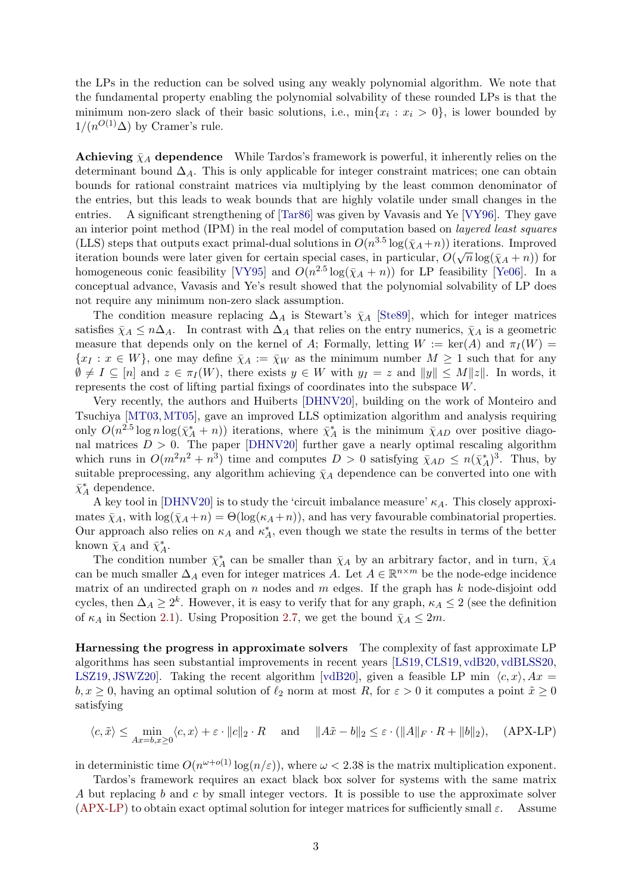<span id="page-2-1"></span>the LPs in the reduction can be solved using any weakly polynomial algorithm. We note that the fundamental property enabling the polynomial solvability of these rounded LPs is that the minimum non-zero slack of their basic solutions, i.e.,  $\min\{x_i : x_i > 0\}$ , is lower bounded by  $1/(n^{O(1)}\Delta)$  by Cramer's rule.

**Achieving**  $\bar{\chi}_A$  dependence While Tardos's framework is powerful, it inherently relies on the determinant bound  $\Delta_A$ . This is only applicable for integer constraint matrices; one can obtain bounds for rational constraint matrices via multiplying by the least common denominator of the entries, but this leads to weak bounds that are highly volatile under small changes in the entries. A significant strengthening of [\[Tar86\]](#page-41-5) was given by Vavasis and Ye [\[VY96\]](#page-42-3). They gave an interior point method (IPM) in the real model of computation based on layered least squares (LLS) steps that outputs exact primal-dual solutions in  $O(n^{3.5} \log(\bar{\chi}_A + n))$  iterations. Improved (EES) steps that outputs exact primal-qual solutions in  $O(n - \log(\chi_A + n))$  for the attons. Improved<br>iteration bounds were later given for certain special cases, in particular,  $O(\sqrt{n} \log(\bar{\chi}_A + n))$  for homogeneous conic feasibility [\[VY95\]](#page-42-4) and  $O(n^{2.5} \log(\bar{\chi}_A + n))$  for LP feasibility [\[Ye06\]](#page-42-5). In a conceptual advance, Vavasis and Ye's result showed that the polynomial solvability of LP does not require any minimum non-zero slack assumption.

The condition measure replacing  $\Delta_A$  is Stewart's  $\bar{\chi}_A$  [\[Ste89\]](#page-41-6), which for integer matrices satisfies  $\bar{\chi}_A \leq n\Delta_A$ . In contrast with  $\Delta_A$  that relies on the entry numerics,  $\bar{\chi}_A$  is a geometric measure that depends only on the kernel of A; Formally, letting  $W := \text{ker}(A)$  and  $\pi_I(W) =$  $\{x_I : x \in W\}$ , one may define  $\bar{\chi}_A := \bar{\chi}_W$  as the minimum number  $M \geq 1$  such that for any  $\emptyset \neq I \subseteq [n]$  and  $z \in \pi_I(W)$ , there exists  $y \in W$  with  $y_I = z$  and  $||y|| \leq M||z||$ . In words, it represents the cost of lifting partial fixings of coordinates into the subspace W.

Very recently, the authors and Huiberts [\[DHNV20\]](#page-40-5), building on the work of Monteiro and Tsuchiya [\[MT03,](#page-41-7)[MT05\]](#page-41-8), gave an improved LLS optimization algorithm and analysis requiring only  $O(n^{2.5} \log n \log(\bar{\chi}_A^* + n))$  iterations, where  $\bar{\chi}_A^*$  is the minimum  $\bar{\chi}_{AD}$  over positive diagonal matrices  $D > 0$ . The paper [\[DHNV20\]](#page-40-5) further gave a nearly optimal rescaling algorithm which runs in  $O(m^2n^2 + n^3)$  time and computes  $D > 0$  satisfying  $\bar{\chi}_{AD} \le n(\bar{\chi}_A^*)^3$ . Thus, by suitable preprocessing, any algorithm achieving  $\bar{\chi}_A$  dependence can be converted into one with  $\bar{\chi}_A^*$  dependence.

A key tool in [\[DHNV20\]](#page-40-5) is to study the 'circuit imbalance measure'  $\kappa_A$ . This closely approximates  $\bar{\chi}_A$ , with  $\log(\bar{\chi}_A + n) = \Theta(\log(\kappa_A + n))$ , and has very favourable combinatorial properties. Our approach also relies on  $\kappa_A$  and  $\kappa_A^*$ , even though we state the results in terms of the better known  $\bar{\chi}_A$  and  $\bar{\chi}_A^*$ .

The condition number  $\bar{\chi}^*_A$  can be smaller than  $\bar{\chi}_A$  by an arbitrary factor, and in turn,  $\bar{\chi}_A$ can be much smaller  $\Delta_A$  even for integer matrices A. Let  $A \in \mathbb{R}^{n \times m}$  be the node-edge incidence matrix of an undirected graph on  $n$  nodes and  $m$  edges. If the graph has  $k$  node-disjoint odd cycles, then  $\Delta_A \geq 2^k$ . However, it is easy to verify that for any graph,  $\kappa_A \leq 2$  (see the definition of  $\kappa_A$  in Section [2.1\)](#page-9-0). Using Proposition [2.7,](#page-11-0) we get the bound  $\bar{\chi}_A \leq 2m$ .

Harnessing the progress in approximate solvers The complexity of fast approximate LP algorithms has seen substantial improvements in recent years [\[LS19,](#page-41-9) [CLS19,](#page-40-6) [vdB20,](#page-42-6) [vdBLSS20,](#page-42-7) [LSZ19,](#page-41-10) JSWZ20. Taking the recent algorithm [\[vdB20\]](#page-42-6), given a feasible LP min  $\langle c, x \rangle$ ,  $Ax =$  $b, x \geq 0$ , having an optimal solution of  $\ell_2$  norm at most R, for  $\varepsilon > 0$  it computes a point  $\tilde{x} \geq 0$ satisfying

<span id="page-2-0"></span>
$$
\langle c, \tilde{x} \rangle \le \min_{Ax = b, x \ge 0} \langle c, x \rangle + \varepsilon \cdot ||c||_2 \cdot R \quad \text{and} \quad ||A\tilde{x} - b||_2 \le \varepsilon \cdot (||A||_F \cdot R + ||b||_2), \quad \text{(APX-LP)}
$$

in deterministic time  $O(n^{\omega+o(1)}\log(n/\varepsilon))$ , where  $\omega < 2.38$  is the matrix multiplication exponent.

Tardos's framework requires an exact black box solver for systems with the same matrix A but replacing b and c by small integer vectors. It is possible to use the approximate solver [\(APX-LP\)](#page-2-0) to obtain exact optimal solution for integer matrices for sufficiently small  $\varepsilon$ . Assume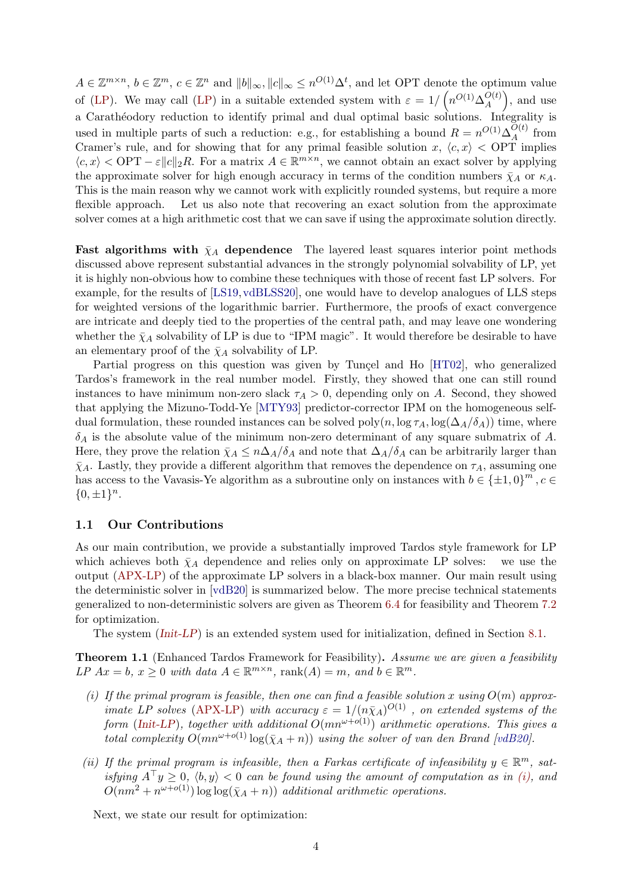<span id="page-3-3"></span> $A \in \mathbb{Z}^{m \times n}$ ,  $b \in \mathbb{Z}^m$ ,  $c \in \mathbb{Z}^n$  and  $||b||_{\infty}$ ,  $||c||_{\infty} \leq n^{O(1)} \Delta^t$ , and let OPT denote the optimum value of [\(LP\)](#page-1-0). We may call (LP) in a suitable extended system with  $\varepsilon = 1/\left(n^{O(1)}\Delta_A^{O(t)}\right)$  $\binom{O(t)}{A}$ , and use a Carathéodory reduction to identify primal and dual optimal basic solutions. Integrality is used in multiple parts of such a reduction: e.g., for establishing a bound  $R = n^{O(1)} \Delta_A^{O(t)}$  $A^{U(t)}$  from Cramer's rule, and for showing that for any primal feasible solution x,  $\langle c, x \rangle$  < OPT implies  $\langle c, x \rangle$  < OPT –  $\varepsilon ||c||_2 R$ . For a matrix  $A \in \mathbb{R}^{m \times n}$ , we cannot obtain an exact solver by applying the approximate solver for high enough accuracy in terms of the condition numbers  $\bar{\chi}_A$  or  $\kappa_A$ . This is the main reason why we cannot work with explicitly rounded systems, but require a more flexible approach. Let us also note that recovering an exact solution from the approximate solver comes at a high arithmetic cost that we can save if using the approximate solution directly.

Fast algorithms with  $\bar{\chi}_A$  dependence The layered least squares interior point methods discussed above represent substantial advances in the strongly polynomial solvability of LP, yet it is highly non-obvious how to combine these techniques with those of recent fast LP solvers. For example, for the results of [\[LS19,](#page-41-9)[vdBLSS20\]](#page-42-7), one would have to develop analogues of LLS steps for weighted versions of the logarithmic barrier. Furthermore, the proofs of exact convergence are intricate and deeply tied to the properties of the central path, and may leave one wondering whether the  $\bar{\chi}_A$  solvability of LP is due to "IPM magic". It would therefore be desirable to have an elementary proof of the  $\bar{\chi}_A$  solvability of LP.

Partial progress on this question was given by Tunçel and Ho [\[HT02\]](#page-40-7), who generalized Tardos's framework in the real number model. Firstly, they showed that one can still round instances to have minimum non-zero slack  $\tau_A > 0$ , depending only on A. Second, they showed that applying the Mizuno-Todd-Ye [\[MTY93\]](#page-41-12) predictor-corrector IPM on the homogeneous selfdual formulation, these rounded instances can be solved poly $(n, \log \tau_A, \log(\Delta_A/\delta_A))$  time, where  $\delta_A$  is the absolute value of the minimum non-zero determinant of any square submatrix of A. Here, they prove the relation  $\bar{\chi}_A \leq n\Delta_A/\delta_A$  and note that  $\Delta_A/\delta_A$  can be arbitrarily larger than  $\bar{\chi}_A$ . Lastly, they provide a different algorithm that removes the dependence on  $\tau_A$ , assuming one has access to the Vavasis-Ye algorithm as a subroutine only on instances with  $b \in {\pm 1, 0}^m$ ,  $c \in$  ${0, \pm 1}^n$ .

#### 1.1 Our Contributions

As our main contribution, we provide a substantially improved Tardos style framework for LP which achieves both  $\bar{\chi}_A$  dependence and relies only on approximate LP solves: we use the output [\(APX-LP\)](#page-2-0) of the approximate LP solvers in a black-box manner. Our main result using the deterministic solver in [\[vdB20\]](#page-42-6) is summarized below. The more precise technical statements generalized to non-deterministic solvers are given as Theorem [6.4](#page-23-0) for feasibility and Theorem [7.2](#page-25-0) for optimization.

The system ([Init-LP](#page-32-0)) is an extended system used for initialization, defined in Section [8.1.](#page-31-0)

<span id="page-3-1"></span>Theorem 1.1 (Enhanced Tardos Framework for Feasibility). Assume we are given a feasibility LP  $Ax = b$ ,  $x \ge 0$  with data  $A \in \mathbb{R}^{m \times n}$ , rank $(A) = m$ , and  $b \in \mathbb{R}^m$ .

- <span id="page-3-0"></span>(i) If the primal program is feasible, then one can find a feasible solution x using  $O(m)$  approx-imate LP solves [\(APX-LP\)](#page-2-0) with accuracy  $\varepsilon = 1/(n\bar{\chi}_A)^{O(1)}$ , on extended systems of the form ([Init-LP](#page-32-0)), together with additional  $O(mn^{\omega+o(1)})$  arithmetic operations. This gives a total complexity  $O(mn^{\omega+o(1)}\log(\bar{\chi}_A+n))$  using the solver of van den Brand [\[vdB20\]](#page-42-6).
- (ii) If the primal program is infeasible, then a Farkas certificate of infeasibility  $y \in \mathbb{R}^m$ , satisfying  $A^{\top}y \geq 0$ ,  $\langle b, y \rangle < 0$  can be found using the amount of computation as in [\(i\),](#page-3-0) and  $O(nm^2 + n^{\omega+o(1)}) \log \log(\bar{\chi}_A + n))$  additional arithmetic operations.

<span id="page-3-2"></span>Next, we state our result for optimization: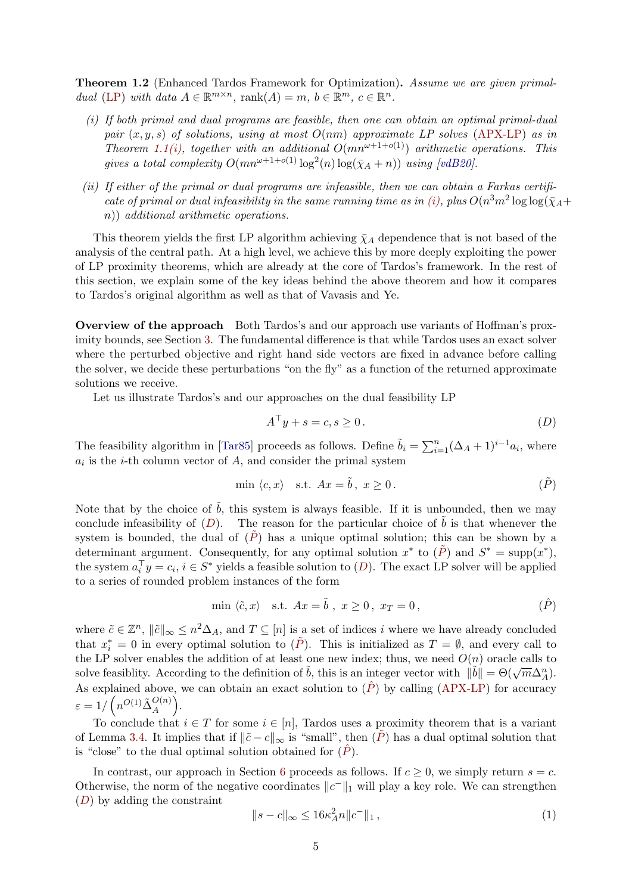<span id="page-4-5"></span>Theorem 1.2 (Enhanced Tardos Framework for Optimization). Assume we are given primal-dual [\(LP\)](#page-1-0) with data  $A \in \mathbb{R}^{m \times n}$ , rank $(A) = m$ ,  $b \in \mathbb{R}^m$ ,  $c \in \mathbb{R}^n$ .

- <span id="page-4-0"></span>(i) If both primal and dual programs are feasible, then one can obtain an optimal primal-dual pair  $(x, y, s)$  of solutions, using at most  $O(nm)$  approximate LP solves [\(APX-LP\)](#page-2-0) as in Theorem [1.1](#page-3-1)[\(i\),](#page-3-0) together with an additional  $O(mn^{\omega+1+o(1)})$  arithmetic operations. This gives a total complexity  $O(mn^{\omega+1+o(1)}\log^2(n)\log(\bar{\chi}_A+n))$  using [\[vdB20\]](#page-42-6).
- (ii) If either of the primal or dual programs are infeasible, then we can obtain a Farkas certifi-cate of primal or dual infeasibility in the same running time as in [\(i\),](#page-4-0) plus  $O(n^3m^2 \log \log(\bar{\chi}_A +$ n)) additional arithmetic operations.

This theorem yields the first LP algorithm achieving  $\bar{\chi}_A$  dependence that is not based of the analysis of the central path. At a high level, we achieve this by more deeply exploiting the power of LP proximity theorems, which are already at the core of Tardos's framework. In the rest of this section, we explain some of the key ideas behind the above theorem and how it compares to Tardos's original algorithm as well as that of Vavasis and Ye.

Overview of the approach Both Tardos's and our approach use variants of Hoffman's proximity bounds, see Section [3.](#page-12-0) The fundamental difference is that while Tardos uses an exact solver where the perturbed objective and right hand side vectors are fixed in advance before calling the solver, we decide these perturbations "on the fly" as a function of the returned approximate solutions we receive.

Let us illustrate Tardos's and our approaches on the dual feasibility LP

<span id="page-4-2"></span><span id="page-4-1"></span>
$$
A^{\top}y + s = c, s \ge 0.
$$
 (D)

The feasibility algorithm in [\[Tar85\]](#page-41-3) proceeds as follows. Define  $\tilde{b}_i = \sum_{i=1}^n (\Delta_A + 1)^{i-1} a_i$ , where  $a_i$  is the *i*-th column vector of  $A$ , and consider the primal system

$$
\min \langle c, x \rangle \quad \text{s.t.} \quad Ax = \tilde{b}, \ x \ge 0. \tag{P}
$$

Note that by the choice of  $\tilde{b}$ , this system is always feasible. If it is unbounded, then we may conclude infeasibility of  $(D)$  $(D)$  $(D)$ . The reason for the particular choice of  $\tilde{b}$  is that whenever the system is bounded, the dual of  $(\overline{P})$  has a unique optimal solution; this can be shown by a determinant argument. Consequently, for any optimal solution  $x^*$  to  $(\tilde{P})$  and  $S^* = \text{supp}(x^*)$ , the system  $a_i^{\top} y = c_i, i \in S^*$  yields a feasible solution to  $(D)$  $(D)$  $(D)$ . The exact LP solver will be applied to a series of rounded problem instances of the form

<span id="page-4-3"></span>
$$
\min \langle \tilde{c}, x \rangle \quad \text{s.t.} \quad Ax = \tilde{b} \ , \ x \ge 0 \,, \ x_T = 0 \,, \tag{P}
$$

where  $\tilde{c} \in \mathbb{Z}^n$ ,  $\|\tilde{c}\|_{\infty} \leq n^2 \Delta_A$ , and  $T \subseteq [n]$  is a set of indices i where we have already concluded that  $x_i^* = 0$  in every optimal solution to  $(\tilde{P})$ . This is initialized as  $T = \emptyset$ , and every call to the LP solver enables the addition of at least one new index; thus, we need  $O(n)$  oracle calls to solve feasiblity. According to the definition of  $\tilde{b}$ , this is an integer vector with  $\|\tilde{b}\| = \Theta(\sqrt{m}\Delta_A^n)$ . As explained above, we can obtain an exact solution to  $(\hat{P})$  by calling [\(APX-LP\)](#page-2-0) for accuracy  $\varepsilon = 1/\left(n^{O(1)}\tilde{\Delta}_A^{O(n)}\right).$ 

To conclude that  $i \in T$  for some  $i \in [n]$ , Tardos uses a proximity theorem that is a variant of Lemma [3.4.](#page-13-0) It implies that if  $\|\tilde{c} - c\|_{\infty}$  is "small", then  $(\tilde{P})$  has a dual optimal solution that is "close" to the dual optimal solution obtained for  $(\tilde{P})$ .

In contrast, our approach in Section [6](#page-19-0) proceeds as follows. If  $c \geq 0$ , we simply return  $s = c$ . Otherwise, the norm of the negative coordinates  $||c^-||_1$  will play a key role. We can strengthen ([D](#page-4-1)) by adding the constraint

<span id="page-4-4"></span>
$$
||s - c||_{\infty} \le 16\kappa_A^2 n ||c^-||_1 , \qquad (1)
$$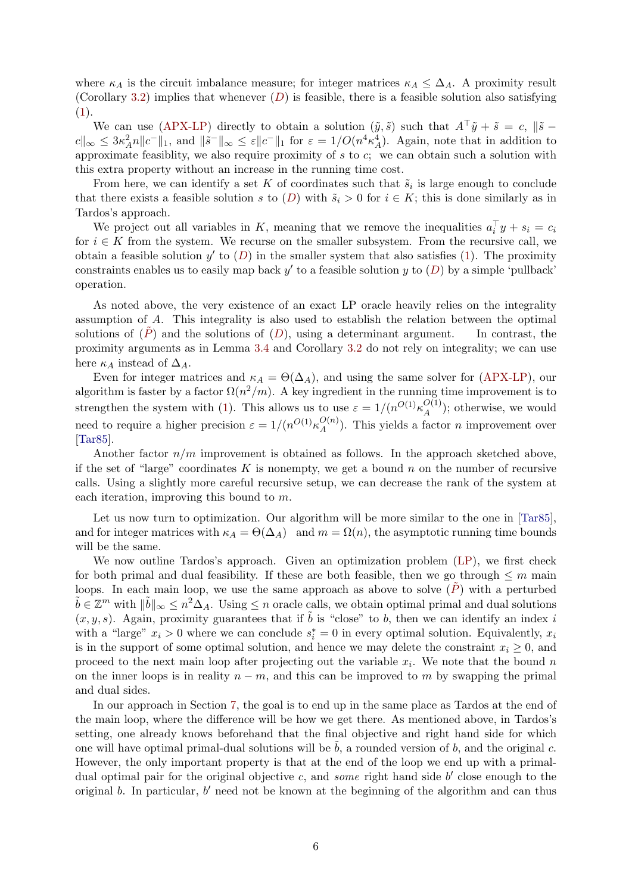<span id="page-5-0"></span>where  $\kappa_A$  is the circuit imbalance measure; for integer matrices  $\kappa_A \leq \Delta_A$ . A proximity result (Corollary [3.2\)](#page-13-1) implies that whenever  $(D)$  $(D)$  $(D)$  is feasible, there is a feasible solution also satisfying [\(1\)](#page-4-4).

We can use [\(APX-LP\)](#page-2-0) directly to obtain a solution  $(\tilde{y}, \tilde{s})$  such that  $A^{\top} \tilde{y} + \tilde{s} = c$ ,  $\|\tilde{s}$  $c\|_{\infty} \leq 3\kappa_A^2 n \|c^-\|_1$ , and  $\|\tilde{s}^-\|_{\infty} \leq \varepsilon \|c^-\|_1$  for  $\varepsilon = 1/O(n^4 \kappa_A^4)$ . Again, note that in addition to approximate feasiblity, we also require proximity of  $s$  to  $c$ ; we can obtain such a solution with this extra property without an increase in the running time cost.

From here, we can identify a set K of coordinates such that  $\tilde{s}_i$  is large enough to conclude that there exists a feasible solution s to  $(D)$  $(D)$  $(D)$  with  $\tilde{s}_i > 0$  for  $i \in K$ ; this is done similarly as in Tardos's approach.

We project out all variables in K, meaning that we remove the inequalities  $a_i^{\top} y + s_i = c_i$ for  $i \in K$  from the system. We recurse on the smaller subsystem. From the recursive call, we obtain a feasible solution  $y'$  to  $(D)$  $(D)$  $(D)$  in the smaller system that also satisfies  $(1)$ . The proximity constraints enables us to easily map back  $y'$  to a feasible solution  $y$  to  $(D)$  $(D)$  $(D)$  by a simple 'pullback' operation.

As noted above, the very existence of an exact LP oracle heavily relies on the integrality assumption of A. This integrality is also used to establish the relation between the optimal solutions of  $(\tilde{P})$  and the solutions of  $(D)$  $(D)$  $(D)$ , using a determinant argument. In contrast, the proximity arguments as in Lemma [3.4](#page-13-0) and Corollary [3.2](#page-13-1) do not rely on integrality; we can use here  $\kappa_A$  instead of  $\Delta_A$ .

Even for integer matrices and  $\kappa_A = \Theta(\Delta_A)$ , and using the same solver for [\(APX-LP\)](#page-2-0), our algorithm is faster by a factor  $\Omega(n^2/m)$ . A key ingredient in the running time improvement is to strengthen the system with [\(1\)](#page-4-4). This allows us to use  $\varepsilon = 1/(n^{O(1)} \kappa_A^{O(1)})$  $\mathcal{L}_{A}^{(1)}$ ; otherwise, we would need to require a higher precision  $\varepsilon = 1/(n^{O(1)} \kappa_A^{O(n)})$  $\mathcal{A}_{A}^{(n)}$ ). This yields a factor *n* improvement over [\[Tar85\]](#page-41-3).

Another factor  $n/m$  improvement is obtained as follows. In the approach sketched above, if the set of "large" coordinates K is nonempty, we get a bound n on the number of recursive calls. Using a slightly more careful recursive setup, we can decrease the rank of the system at each iteration, improving this bound to m.

Let us now turn to optimization. Our algorithm will be more similar to the one in [\[Tar85\]](#page-41-3), and for integer matrices with  $\kappa_A = \Theta(\Delta_A)$  and  $m = \Omega(n)$ , the asymptotic running time bounds will be the same.

We now outline Tardos's approach. Given an optimization problem [\(LP\)](#page-1-0), we first check for both primal and dual feasibility. If these are both feasible, then we go through  $\leq m$  main loops. In each main loop, we use the same approach as above to solve  $(P)$  with a perturbed  $\tilde{b} \in \mathbb{Z}^m$  with  $\|\tilde{b}\|_{\infty} \leq n^2 \Delta_A$ . Using  $\leq n$  oracle calls, we obtain optimal primal and dual solutions  $(x, y, s)$ . Again, proximity guarantees that if  $\tilde{b}$  is "close" to b, then we can identify an index i with a "large"  $x_i > 0$  where we can conclude  $s_i^* = 0$  in every optimal solution. Equivalently,  $x_i$ is in the support of some optimal solution, and hence we may delete the constraint  $x_i \geq 0$ , and proceed to the next main loop after projecting out the variable  $x_i$ . We note that the bound n on the inner loops is in reality  $n - m$ , and this can be improved to m by swapping the primal and dual sides.

In our approach in Section [7,](#page-24-0) the goal is to end up in the same place as Tardos at the end of the main loop, where the difference will be how we get there. As mentioned above, in Tardos's setting, one already knows beforehand that the final objective and right hand side for which one will have optimal primal-dual solutions will be  $\tilde{b}$ , a rounded version of b, and the original c. However, the only important property is that at the end of the loop we end up with a primaldual optimal pair for the original objective  $c$ , and some right hand side  $b'$  close enough to the original  $b$ . In particular,  $b'$  need not be known at the beginning of the algorithm and can thus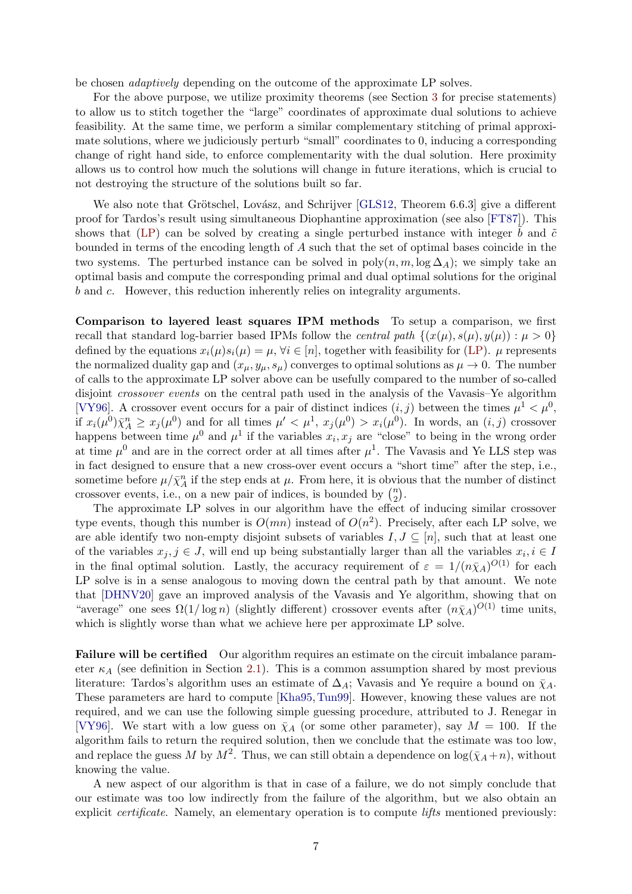<span id="page-6-0"></span>be chosen adaptively depending on the outcome of the approximate LP solves.

For the above purpose, we utilize proximity theorems (see Section [3](#page-12-0) for precise statements) to allow us to stitch together the "large" coordinates of approximate dual solutions to achieve feasibility. At the same time, we perform a similar complementary stitching of primal approximate solutions, where we judiciously perturb "small" coordinates to 0, inducing a corresponding change of right hand side, to enforce complementarity with the dual solution. Here proximity allows us to control how much the solutions will change in future iterations, which is crucial to not destroying the structure of the solutions built so far.

We also note that Grötschel, Lovász, and Schrijver [\[GLS12,](#page-40-8) Theorem 6.6.3] give a different proof for Tardos's result using simultaneous Diophantine approximation (see also [\[FT87\]](#page-40-9)). This shows that [\(LP\)](#page-1-0) can be solved by creating a single perturbed instance with integer b and  $\tilde{c}$ bounded in terms of the encoding length of A such that the set of optimal bases coincide in the two systems. The perturbed instance can be solved in  $poly(n, m, \log \Delta_A)$ ; we simply take an optimal basis and compute the corresponding primal and dual optimal solutions for the original b and c. However, this reduction inherently relies on integrality arguments.

Comparison to layered least squares IPM methods To setup a comparison, we first recall that standard log-barrier based IPMs follow the *central path*  $\{(x(\mu), s(\mu), y(\mu)) : \mu > 0\}$ defined by the equations  $x_i(\mu)s_i(\mu) = \mu$ ,  $\forall i \in [n]$ , together with feasibility for [\(LP\)](#page-1-0).  $\mu$  represents the normalized duality gap and  $(x_{\mu}, y_{\mu}, s_{\mu})$  converges to optimal solutions as  $\mu \to 0$ . The number of calls to the approximate LP solver above can be usefully compared to the number of so-called disjoint crossover events on the central path used in the analysis of the Vavasis–Ye algorithm [\[VY96\]](#page-42-3). A crossover event occurs for a pair of distinct indices  $(i, j)$  between the times  $\mu^1 < \mu^0$ , if  $x_i(\mu^0) \bar{\chi}_A^n \geq x_j(\mu^0)$  and for all times  $\mu' < \mu^1$ ,  $x_j(\mu^0) > x_i(\mu^0)$ . In words, an  $(i, j)$  crossover happens between time  $\mu^0$  and  $\mu^1$  if the variables  $x_i, x_j$  are "close" to being in the wrong order at time  $\mu^0$  and are in the correct order at all times after  $\mu^1$ . The Vavasis and Ye LLS step was in fact designed to ensure that a new cross-over event occurs a "short time" after the step, i.e., sometime before  $\mu/\bar{\chi}^n_A$  if the step ends at  $\mu$ . From here, it is obvious that the number of distinct crossover events, i.e., on a new pair of indices, is bounded by  $\binom{n}{2}$  $\binom{n}{2}$ .

The approximate LP solves in our algorithm have the effect of inducing similar crossover type events, though this number is  $O(mn)$  instead of  $O(n^2)$ . Precisely, after each LP solve, we are able identify two non-empty disjoint subsets of variables  $I, J \subseteq [n]$ , such that at least one of the variables  $x_j, j \in J$ , will end up being substantially larger than all the variables  $x_i, i \in I$ in the final optimal solution. Lastly, the accuracy requirement of  $\varepsilon = 1/(n\bar{\chi}_A)^{O(1)}$  for each LP solve is in a sense analogous to moving down the central path by that amount. We note that [\[DHNV20\]](#page-40-5) gave an improved analysis of the Vavasis and Ye algorithm, showing that on "average" one sees  $\Omega(1/\log n)$  (slightly different) crossover events after  $(n\bar{\chi}_A)^{O(1)}$  time units, which is slightly worse than what we achieve here per approximate LP solve.

Failure will be certified Our algorithm requires an estimate on the circuit imbalance parameter  $\kappa_A$  (see definition in Section [2.1\)](#page-9-0). This is a common assumption shared by most previous literature: Tardos's algorithm uses an estimate of  $\Delta_A$ ; Vavasis and Ye require a bound on  $\bar{\chi}_A$ . These parameters are hard to compute [\[Kha95,](#page-41-13)[Tun99\]](#page-42-8). However, knowing these values are not required, and we can use the following simple guessing procedure, attributed to J. Renegar in [\[VY96\]](#page-42-3). We start with a low guess on  $\bar{\chi}_A$  (or some other parameter), say  $M = 100$ . If the algorithm fails to return the required solution, then we conclude that the estimate was too low, and replace the guess M by  $M^2$ . Thus, we can still obtain a dependence on  $\log(\bar{\chi}_A + n)$ , without knowing the value.

A new aspect of our algorithm is that in case of a failure, we do not simply conclude that our estimate was too low indirectly from the failure of the algorithm, but we also obtain an explicit *certificate*. Namely, an elementary operation is to compute *lifts* mentioned previously: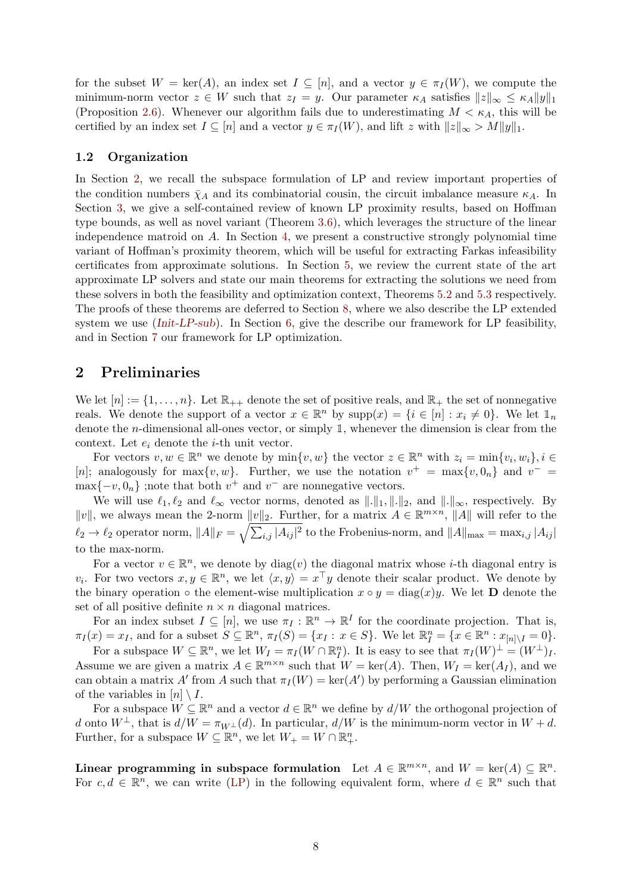for the subset  $W = \text{ker}(A)$ , an index set  $I \subseteq [n]$ , and a vector  $y \in \pi_I(W)$ , we compute the minimum-norm vector  $z \in W$  such that  $z_I = y$ . Our parameter  $\kappa_A$  satisfies  $||z||_{\infty} \leq \kappa_A ||y||_1$ (Proposition [2.6\)](#page-10-0). Whenever our algorithm fails due to underestimating  $M < \kappa_A$ , this will be certified by an index set  $I \subseteq [n]$  and a vector  $y \in \pi_I(W)$ , and lift z with  $||z||_{\infty} > M||y||_1$ .

#### 1.2 Organization

In Section [2,](#page-7-0) we recall the subspace formulation of LP and review important properties of the condition numbers  $\bar{\chi}_A$  and its combinatorial cousin, the circuit imbalance measure  $\kappa_A$ . In Section [3,](#page-12-0) we give a self-contained review of known LP proximity results, based on Hoffman type bounds, as well as novel variant (Theorem [3.6\)](#page-14-0), which leverages the structure of the linear independence matroid on  $A$ . In Section [4,](#page-15-0) we present a constructive strongly polynomial time variant of Hoffman's proximity theorem, which will be useful for extracting Farkas infeasibility certificates from approximate solutions. In Section [5,](#page-17-0) we review the current state of the art approximate LP solvers and state our main theorems for extracting the solutions we need from these solvers in both the feasibility and optimization context, Theorems [5.2](#page-18-0) and [5.3](#page-18-1) respectively. The proofs of these theorems are deferred to Section [8,](#page-31-1) where we also describe the LP extended system we use (*[Init-LP-sub](#page-32-1)*). In Section [6,](#page-19-0) give the describe our framework for LP feasibility, and in Section [7](#page-24-0) our framework for LP optimization.

### <span id="page-7-0"></span>2 Preliminaries

We let  $[n] := \{1, \ldots, n\}$ . Let  $\mathbb{R}_{++}$  denote the set of positive reals, and  $\mathbb{R}_+$  the set of nonnegative reals. We denote the support of a vector  $x \in \mathbb{R}^n$  by  $\text{supp}(x) = \{i \in [n] : x_i \neq 0\}$ . We let  $\mathbb{1}_n$ denote the *n*-dimensional all-ones vector, or simply  $\mathbb{1}$ , whenever the dimension is clear from the context. Let  $e_i$  denote the *i*-th unit vector.

For vectors  $v, w \in \mathbb{R}^n$  we denote by  $\min\{v, w\}$  the vector  $z \in \mathbb{R}^n$  with  $z_i = \min\{v_i, w_i\}, i \in$ [n]; analogously for max $\{v, w\}$ . Further, we use the notation  $v^+ = \max\{v, 0_n\}$  and  $v^- =$  $\max\{-v, 0_n\}$ ; note that both  $v^+$  and  $v^-$  are nonnegative vectors.

We will use  $\ell_1, \ell_2$  and  $\ell_{\infty}$  vector norms, denoted as  $\|\cdot\|_1, \|\cdot\|_2$ , and  $\|\cdot\|_{\infty}$ , respectively. By ||v||, we always mean the 2-norm  $||v||_2$ . Further, for a matrix  $A \in \mathbb{R}^{m \times n}$ , ||A|| will refer to the  $\ell_2 \to \ell_2$  operator norm,  $||A||_F = \sqrt{\sum_{i,j} |A_{ij}|^2}$  to the Frobenius-norm, and  $||A||_{\max} = \max_{i,j} |A_{ij}|$ to the max-norm.

For a vector  $v \in \mathbb{R}^n$ , we denote by  $diag(v)$  the diagonal matrix whose *i*-th diagonal entry is  $v_i$ . For two vectors  $x, y \in \mathbb{R}^n$ , we let  $\langle x, y \rangle = x^\top y$  denote their scalar product. We denote by the binary operation  $\circ$  the element-wise multiplication  $x \circ y = \text{diag}(x)y$ . We let **D** denote the set of all positive definite  $n \times n$  diagonal matrices.

For an index subset  $I \subseteq [n]$ , we use  $\pi_I : \mathbb{R}^n \to \mathbb{R}^I$  for the coordinate projection. That is,  $\pi_I(x) = x_I$ , and for a subset  $S \subseteq \mathbb{R}^n$ ,  $\pi_I(S) = \{x_I : x \in S\}$ . We let  $\mathbb{R}^n_I = \{x \in \mathbb{R}^n : x_{[n]} \setminus I = 0\}$ .

For a subspace  $W \subseteq \mathbb{R}^n$ , we let  $W_I = \pi_I(W \cap \mathbb{R}^n_I)$ . It is easy to see that  $\pi_I(W)^{\perp} = (W^{\perp})_I$ . Assume we are given a matrix  $A \in \mathbb{R}^{m \times n}$  such that  $W = \text{ker}(A)$ . Then,  $W_I = \text{ker}(A_I)$ , and we can obtain a matrix A' from A such that  $\pi_I(W) = \ker(A')$  by performing a Gaussian elimination of the variables in  $[n] \setminus I$ .

For a subspace  $W \subseteq \mathbb{R}^n$  and a vector  $d \in \mathbb{R}^n$  we define by  $d/W$  the orthogonal projection of d onto  $W^{\perp}$ , that is  $d/W = \pi_{W^{\perp}}(d)$ . In particular,  $d/W$  is the minimum-norm vector in  $W + d$ . Further, for a subspace  $W \subseteq \mathbb{R}^n$ , we let  $W_+ = W \cap \mathbb{R}^n_+$ .

Linear programming in subspace formulation Let  $A \in \mathbb{R}^{m \times n}$ , and  $W = \text{ker}(A) \subseteq \mathbb{R}^n$ . For  $c, d \in \mathbb{R}^n$ , we can write [\(LP\)](#page-1-0) in the following equivalent form, where  $d \in \mathbb{R}^n$  such that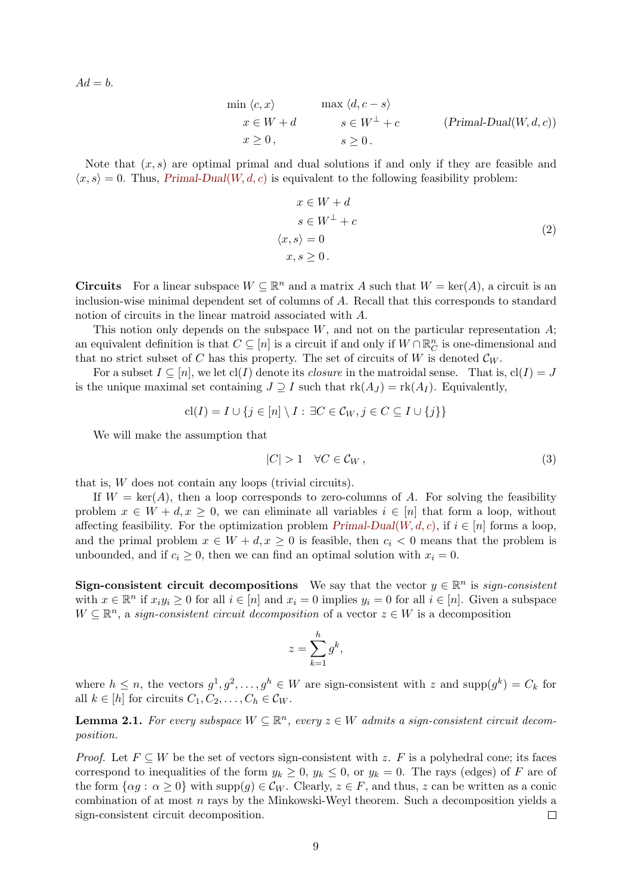<span id="page-8-0"></span> $Ad = b$ .

$$
\min \langle c, x \rangle \qquad \max \langle d, c - s \rangle
$$
  
\n
$$
x \in W + d \qquad s \in W^{\perp} + c \qquad (\text{Primal-Dual}(W, d, c))
$$
  
\n
$$
x \ge 0, \qquad s \ge 0.
$$

Note that  $(x, s)$  are optimal primal and dual solutions if and only if they are feasible and  $\langle x, s \rangle = 0$ . Thus, [Primal-Dual](#page-8-0)(W, d, c) is equivalent to the following feasibility problem:

$$
x \in W + d
$$
  
\n
$$
s \in W^{\perp} + c
$$
  
\n
$$
\langle x, s \rangle = 0
$$
  
\n
$$
x, s \ge 0.
$$
  
\n(2)

**Circuits** For a linear subspace  $W \subseteq \mathbb{R}^n$  and a matrix A such that  $W = \text{ker}(A)$ , a circuit is an inclusion-wise minimal dependent set of columns of A. Recall that this corresponds to standard notion of circuits in the linear matroid associated with A.

This notion only depends on the subspace  $W$ , and not on the particular representation  $A$ ; an equivalent definition is that  $C \subseteq [n]$  is a circuit if and only if  $W \cap \mathbb{R}_C^n$  is one-dimensional and that no strict subset of C has this property. The set of circuits of W is denoted  $\mathcal{C}_W$ .

For a subset  $I \subseteq [n]$ , we let  $cl(I)$  denote its *closure* in the matroidal sense. That is,  $cl(I) = J$ is the unique maximal set containing  $J \supseteq I$  such that  $\text{rk}(A_J) = \text{rk}(A_I)$ . Equivalently,

$$
cl(I) = I \cup \{ j \in [n] \setminus I : \exists C \in C_W, j \in C \subseteq I \cup \{j\} \}
$$

We will make the assumption that

<span id="page-8-2"></span>
$$
|C| > 1 \quad \forall C \in \mathcal{C}_W \,,\tag{3}
$$

that is, W does not contain any loops (trivial circuits).

If  $W = \text{ker}(A)$ , then a loop corresponds to zero-columns of A. For solving the feasibility problem  $x \in W + d, x \geq 0$ , we can eliminate all variables  $i \in [n]$  that form a loop, without affecting feasibility. For the optimization problem  $Primal-Dual(W, d, c)$  $Primal-Dual(W, d, c)$ , if  $i \in [n]$  forms a loop, and the primal problem  $x \in W + d, x \geq 0$  is feasible, then  $c_i < 0$  means that the problem is unbounded, and if  $c_i \geq 0$ , then we can find an optimal solution with  $x_i = 0$ .

Sign-consistent circuit decompositions We say that the vector  $y \in \mathbb{R}^n$  is sign-consistent with  $x \in \mathbb{R}^n$  if  $x_i y_i \geq 0$  for all  $i \in [n]$  and  $x_i = 0$  implies  $y_i = 0$  for all  $i \in [n]$ . Given a subspace  $W \subseteq \mathbb{R}^n$ , a sign-consistent circuit decomposition of a vector  $z \in W$  is a decomposition

$$
z = \sum_{k=1}^{h} g^k,
$$

where  $h \leq n$ , the vectors  $g^1, g^2, \ldots, g^h \in W$  are sign-consistent with z and supp $(g^k) = C_k$  for all  $k \in [h]$  for circuits  $C_1, C_2, \ldots, C_h \in \mathcal{C}_W$ .

<span id="page-8-1"></span>**Lemma 2.1.** For every subspace  $W \subseteq \mathbb{R}^n$ , every  $z \in W$  admits a sign-consistent circuit decomposition.

*Proof.* Let  $F \subseteq W$  be the set of vectors sign-consistent with z. F is a polyhedral cone; its faces correspond to inequalities of the form  $y_k \geq 0$ ,  $y_k \leq 0$ , or  $y_k = 0$ . The rays (edges) of F are of the form  $\{\alpha g : \alpha \geq 0\}$  with  $\text{supp}(g) \in C_W$ . Clearly,  $z \in F$ , and thus, z can be written as a conic combination of at most  $n$  rays by the Minkowski-Weyl theorem. Such a decomposition yields a sign-consistent circuit decomposition.  $\Box$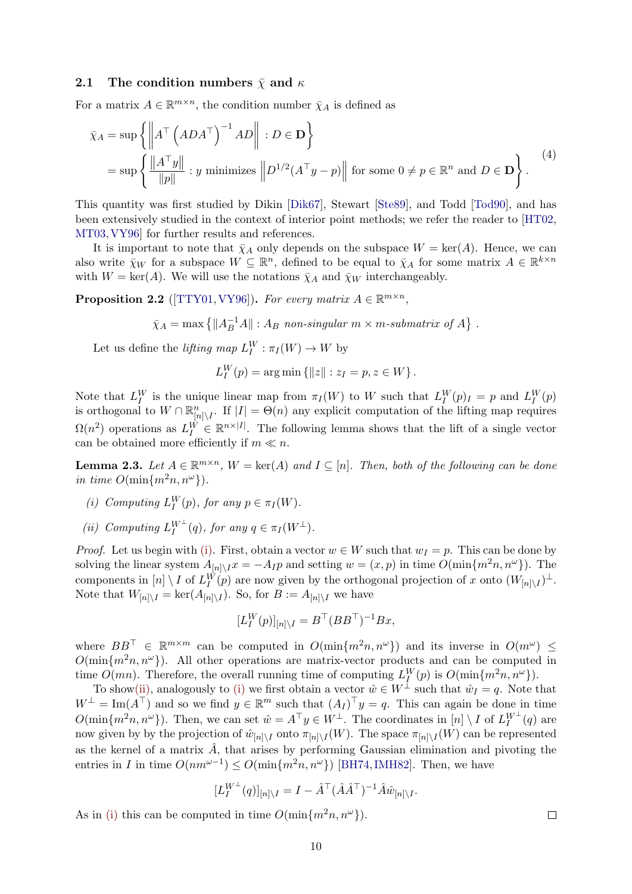#### <span id="page-9-5"></span><span id="page-9-0"></span>2.1 The condition numbers  $\bar{\chi}$  and  $\kappa$

For a matrix  $A \in \mathbb{R}^{m \times n}$ , the condition number  $\bar{\chi}_A$  is defined as

$$
\bar{\chi}_A = \sup \left\{ \left\| A^{\top} \left( ADA^{\top} \right)^{-1} AD \right\| : D \in \mathbf{D} \right\}
$$
  
= 
$$
\sup \left\{ \frac{\|A^{\top}y\|}{\|p\|} : y \text{ minimizes } \left\| D^{1/2} (A^{\top}y - p) \right\| \text{ for some } 0 \neq p \in \mathbb{R}^n \text{ and } D \in \mathbf{D} \right\}.
$$
<sup>(4)</sup>

This quantity was first studied by Dikin [\[Dik67\]](#page-40-10), Stewart [\[Ste89\]](#page-41-6), and Todd [\[Tod90\]](#page-42-9), and has been extensively studied in the context of interior point methods; we refer the reader to [\[HT02,](#page-40-7) [MT03,](#page-41-7)[VY96\]](#page-42-3) for further results and references.

It is important to note that  $\bar{\chi}_A$  only depends on the subspace  $W = \text{ker}(A)$ . Hence, we can also write  $\bar{\chi}_W$  for a subspace  $W \subseteq \mathbb{R}^n$ , defined to be equal to  $\bar{\chi}_A$  for some matrix  $A \in \mathbb{R}^{k \times n}$ with  $W = \text{ker}(A)$ . We will use the notations  $\bar{\chi}_A$  and  $\bar{\chi}_W$  interchangeably.

<span id="page-9-3"></span>**Proposition 2.2** ([\[TTY01,](#page-42-10) [VY96\]](#page-42-3)). For every matrix  $A \in \mathbb{R}^{m \times n}$ ,

 $\bar{\chi}_A = \max \left\{ \|A_B^{-1}A\| : A_B \text{ non-singular } m \times m \text{-submatrix of } A \right\}.$ 

Let us define the *lifting map*  $L_I^W : \pi_I(W) \to W$  by

$$
L_I^W(p) = \arg \min \{ ||z|| : z_I = p, z \in W \}.
$$

Note that  $L_I^W$  is the unique linear map from  $\pi_I(W)$  to W such that  $L_I^W(p)_I = p$  and  $L_I^W(p)$ is orthogonal to  $W \cap \mathbb{R}^n_{[n] \setminus I}$ . If  $|I| = \Theta(n)$  any explicit computation of the lifting map requires  $\Omega(n^2)$  operations as  $L_I^W \in \mathbb{R}^{n \times |I|}$ . The following lemma shows that the lift of a single vector can be obtained more efficiently if  $m \ll n$ .

<span id="page-9-4"></span>**Lemma 2.3.** Let  $A \in \mathbb{R}^{m \times n}$ ,  $W = \text{ker}(A)$  and  $I \subseteq [n]$ . Then, both of the following can be done in time  $O(\min\{m^2n, n^{\omega}\})$ 

- <span id="page-9-1"></span>(i) Computing  $L_I^W(p)$ , for any  $p \in \pi_I(W)$ .
- <span id="page-9-2"></span>(ii) Computing  $L_I^{W^{\perp}}(q)$ , for any  $q \in \pi_I(W^{\perp})$ .

*Proof.* Let us begin with [\(i\).](#page-9-1) First, obtain a vector  $w \in W$  such that  $w_I = p$ . This can be done by solving the linear system  $A_{[n]\setminus I}x = -A_{I}p$  and setting  $w = (x, p)$  in time  $O(\min\{m^2n, n^\omega\})$ . The components in  $[n] \setminus I$  of  $L_I^W(p)$  are now given by the orthogonal projection of x onto  $(W_{[n] \setminus I})^{\perp}$ . Note that  $W_{[n]\setminus I} = \ker(A_{[n]\setminus I})$ . So, for  $B := A_{[n]\setminus I}$  we have

$$
[L_I^W(p)]_{[n]\setminus I} = B^\top (BB^\top)^{-1} Bx,
$$

where  $BB^{\top} \in \mathbb{R}^{m \times m}$  can be computed in  $O(\min\{m^2n, n^{\omega}\})$  and its inverse in  $O(m^{\omega}) \le$  $O(\min\{m^2n, n^{\omega}\})$ . All other operations are matrix-vector products and can be computed in time  $O(mn)$ . Therefore, the overall running time of computing  $L_I^W(p)$  is  $O(\min\{m^2n, n^{\omega}\})$ .

To sho[w\(ii\),](#page-9-2) analogously to [\(i\)](#page-9-1) we first obtain a vector  $\hat{w} \in W^{\perp}$  such that  $\hat{w}_I = q$ . Note that  $W^{\perp} = \text{Im}(A^{\top})$  and so we find  $y \in \mathbb{R}^m$  such that  $(A_I)^{\top} y = q$ . This can again be done in time  $O(\min\{m^2n, n^{\omega}\})$ . Then, we can set  $\hat{w} = A^{\top}y \in W^{\perp}$ . The coordinates in  $[n] \setminus I$  of  $L_I^{W^{\perp}}(q)$  are now given by by the projection of  $\hat{w}_{[n] \setminus I}$  onto  $\pi_{[n] \setminus I}(W)$ . The space  $\pi_{[n] \setminus I}(W)$  can be represented as the kernel of a matrix  $\hat{A}$ , that arises by performing Gaussian elimination and pivoting the entries in I in time  $O(nm^{\omega-1}) \leq O(\min\{m^2n, n^{\omega}\})$  [\[BH74,](#page-40-11) [IMH82\]](#page-40-12). Then, we have

$$
[L_I^{W^\perp}(q)]_{[n]\setminus I} = I - \hat{A}^\top (\hat{A}\hat{A}^\top)^{-1} \hat{A}\hat{w}_{[n]\setminus I}.
$$

As in [\(i\)](#page-9-1) this can be computed in time  $O(\min\{m^2n, n^\omega\})$ .

 $\Box$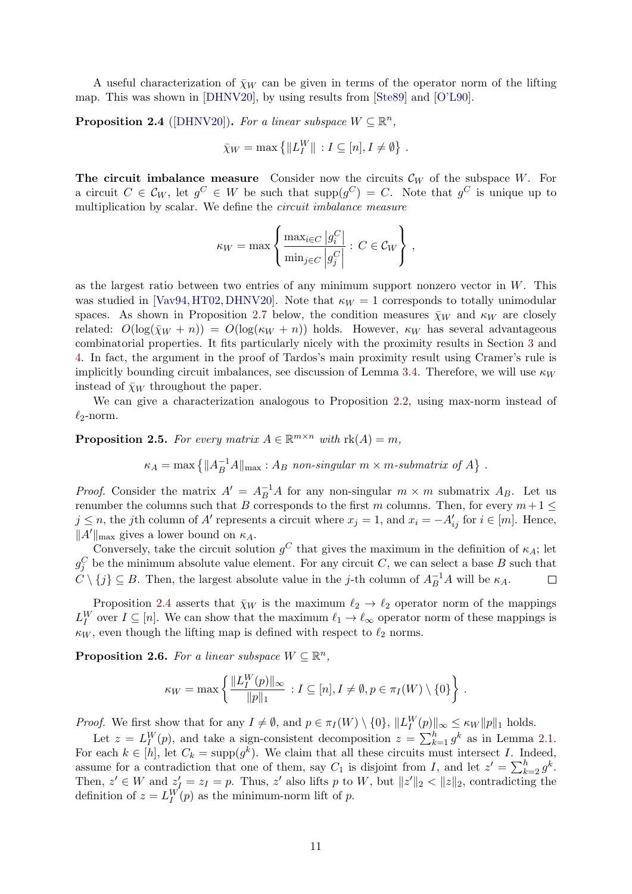<span id="page-10-3"></span>A useful characterization of  $\bar{\chi}_W$  can be given in terms of the operator norm of the lifting map. This was shown in [\[DHNV20\]](#page-40-5), by using results from [\[Ste89\]](#page-41-6) and [\[O'L90\]](#page-41-14).

<span id="page-10-1"></span>**Proposition 2.4** ([\[DHNV20\]](#page-40-5)). For a linear subspace  $W \subseteq \mathbb{R}^n$ ,

$$
\bar{\chi}_W = \max \left\{ ||L_I^W|| : I \subseteq [n], I \neq \emptyset \right\}.
$$

The circuit imbalance measure Consider now the circuits  $\mathcal{C}_W$  of the subspace W. For a circuit  $C \in \mathcal{C}_W$ , let  $g^C \in W$  be such that  $\text{supp}(g^C) = C$ . Note that  $g^C$  is unique up to multiplication by scalar. We define the circuit imbalance measure

$$
\kappa_W = \max \left\{ \frac{\max_{i \in C} |g_i^C|}{\min_{j \in C} |g_j^C|} : C \in \mathcal{C}_W \right\},\,
$$

as the largest ratio between two entries of any minimum support nonzero vector in  $W$ . This was studied in [\[Vav94,](#page-42-11) [HT02,](#page-40-7) [DHNV20\]](#page-40-5). Note that  $\kappa_W = 1$  corresponds to totally unimodular spaces. As shown in Proposition [2.7](#page-11-0) below, the condition measures  $\bar{\chi}_W$  and  $\kappa_W$  are closely related:  $O(\log(\bar{\chi}_W + n)) = O(\log(\kappa_W + n))$  holds. However,  $\kappa_W$  has several advantageous combinatorial properties. It fits particularly nicely with the proximity results in Section [3](#page-12-0) and [4.](#page-15-0) In fact, the argument in the proof of Tardos's main proximity result using Cramer's rule is implicitly bounding circuit imbalances, see discussion of Lemma [3.4.](#page-13-0) Therefore, we will use  $\kappa_W$ instead of  $\bar{\chi}_W$  throughout the paper.

We can give a characterization analogous to Proposition [2.2,](#page-9-3) using max-norm instead of  $\ell_2$ -norm.

<span id="page-10-2"></span>**Proposition 2.5.** For every matrix  $A \in \mathbb{R}^{m \times n}$  with  $\text{rk}(A) = m$ ,

$$
\kappa_A = \max \left\{ ||A_B^{-1}A||_{\max} : A_B \text{ non-singular } m \times m \text{-submatrix of } A \right\}.
$$

*Proof.* Consider the matrix  $A' = A_B^{-1}A$  for any non-singular  $m \times m$  submatrix  $A_B$ . Let us renumber the columns such that B corresponds to the first m columns. Then, for every  $m+1 \leq$  $j \leq n$ , the jth column of A' represents a circuit where  $x_j = 1$ , and  $x_i = -A'_{ij}$  for  $i \in [m]$ . Hence,  $||A'||_{\text{max}}$  gives a lower bound on  $\kappa_A$ .

Conversely, take the circuit solution  $g^C$  that gives the maximum in the definition of  $\kappa_A$ ; let  $g_j^C$  be the minimum absolute value element. For any circuit C, we can select a base B such that  $\tilde{C} \setminus \{j\} \subseteq B$ . Then, the largest absolute value in the j-th column of  $A_B^{-1}A$  will be  $\kappa_A$ .  $\Box$ 

Proposition [2.4](#page-10-1) asserts that  $\bar{\chi}_W$  is the maximum  $\ell_2 \to \ell_2$  operator norm of the mappings  $L_I^W$  over  $I \subseteq [n]$ . We can show that the maximum  $\ell_1 \to \ell_\infty$  operator norm of these mappings is  $\kappa_W$ , even though the lifting map is defined with respect to  $\ell_2$  norms.

<span id="page-10-0"></span>**Proposition 2.6.** For a linear subspace  $W \subseteq \mathbb{R}^n$ ,

$$
\kappa_W = \max \left\{ \frac{\|L_I^W(p)\|_{\infty}}{\|p\|_1} : I \subseteq [n], I \neq \emptyset, p \in \pi_I(W) \setminus \{0\} \right\}.
$$

*Proof.* We first show that for any  $I \neq \emptyset$ , and  $p \in \pi_I(W) \setminus \{0\}$ ,  $||L_I^W(p)||_{\infty} \leq \kappa_W ||p||_1$  holds.

Let  $z = L_I^W(p)$ , and take a sign-consistent decomposition  $z = \sum_{k=1}^h g^k$  as in Lemma [2.1.](#page-8-1) For each  $k \in [h]$ , let  $C_k = \text{supp}(g^k)$ . We claim that all these circuits must intersect I. Indeed, assume for a contradiction that one of them, say  $C_1$  is disjoint from I, and let  $z' = \sum_{k=2}^{h} g^k$ . Then,  $z' \in W$  and  $z'_{\text{r}} = z_I = p$ . Thus,  $z'$  also lifts p to W, but  $||z'||_2 < ||z||_2$ , contradicting the definition of  $z = L_I^W(p)$  as the minimum-norm lift of p.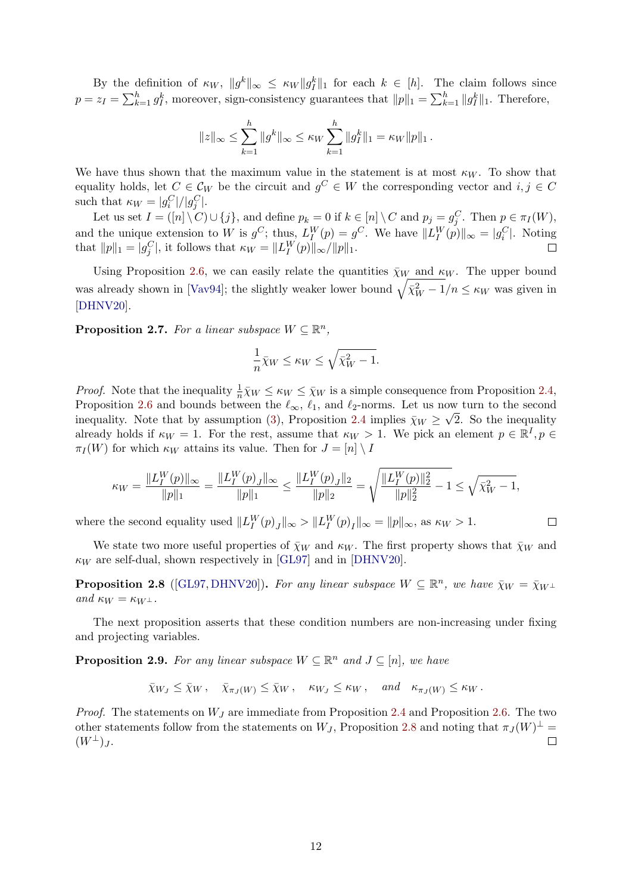<span id="page-11-3"></span>By the definition of  $\kappa_W$ ,  $||g^k||_{\infty} \leq \kappa_W ||g^k||_1$  for each  $k \in [h]$ . The claim follows since  $p = z_I = \sum_{k=1}^h g_I^k$ , moreover, sign-consistency guarantees that  $||p||_1 = \sum_{k=1}^h ||g_I^k||_1$ . Therefore,

$$
||z||_{\infty} \leq \sum_{k=1}^{h} ||g^k||_{\infty} \leq \kappa_W \sum_{k=1}^{h} ||g_f^k||_1 = \kappa_W ||p||_1.
$$

We have thus shown that the maximum value in the statement is at most  $\kappa_W$ . To show that equality holds, let  $C \in \mathcal{C}_W$  be the circuit and  $g^C \in W$  the corresponding vector and  $i, j \in C$ such that  $\kappa_W = |g_i^C|/|g_j^C|$ .

Let us set  $I = ([n] \setminus C) \cup \{j\}$ , and define  $p_k = 0$  if  $k \in [n] \setminus C$  and  $p_j = g_j^C$ . Then  $p \in \pi_I(W)$ , and the unique extension to W is  $g^C$ ; thus,  $L_I^W(p) = g^C$ . We have  $||L_I^W(p)||_{\infty} = |g_i^C|$ . Noting that  $||p||_1 = |g_j^C|$ , it follows that  $\kappa_W = ||L_I^W(p)||_{\infty}/||p||_1$ .

Using Proposition [2.6,](#page-10-0) we can easily relate the quantities  $\bar{\chi}_W$  and  $\kappa_W$ . The upper bound was already shown in [\[Vav94\]](#page-42-11); the slightly weaker lower bound  $\sqrt{\bar{\chi}_{W}^{2} - 1}/n \leq \kappa_{W}$  was given in [\[DHNV20\]](#page-40-5).

<span id="page-11-0"></span>**Proposition 2.7.** For a linear subspace  $W \subseteq \mathbb{R}^n$ ,

$$
\frac{1}{n}\bar{\chi}_W \le \kappa_W \le \sqrt{\bar{\chi}_W^2 - 1}.
$$

*Proof.* Note that the inequality  $\frac{1}{n}\overline{\chi}_W \leq \kappa_W \leq \overline{\chi}_W$  is a simple consequence from Proposition [2.4,](#page-10-1) Proposition [2.6](#page-10-0) and bounds between the  $\ell_{\infty}$ ,  $\ell_1$ , and  $\ell_2$ -norms. Let us now turn to the second inequality. Note that by assumption [\(3\)](#page-8-2), Proposition [2.4](#page-10-1) implies  $\bar{\chi}_W \geq \sqrt{2}$ . So the inequality already holds if  $\kappa_W = 1$ . For the rest, assume that  $\kappa_W > 1$ . We pick an element  $p \in \mathbb{R}^I, p \in$  $\pi_I(W)$  for which  $\kappa_W$  attains its value. Then for  $J = [n] \setminus I$ 

$$
\kappa_W = \frac{\|L_I^W(p)\|_\infty}{\|p\|_1} = \frac{\|L_I^W(p)_J\|_\infty}{\|p\|_1} \le \frac{\|L_I^W(p)_J\|_2}{\|p\|_2} = \sqrt{\frac{\|L_I^W(p)\|_2^2}{\|p\|_2^2} - 1} \le \sqrt{\bar \chi_W^2 - 1},
$$

where the second equality used  $||L_I^W(p)_J||_{\infty} > ||L_I^W(p)_I||_{\infty} = ||p||_{\infty}$ , as  $\kappa_W > 1$ .  $\Box$ 

We state two more useful properties of  $\bar{\chi}_W$  and  $\kappa_W$ . The first property shows that  $\bar{\chi}_W$  and  $\kappa_W$  are self-dual, shown respectively in [\[GL97\]](#page-40-13) and in [\[DHNV20\]](#page-40-5).

<span id="page-11-1"></span>**Proposition 2.8** ([\[GL97,](#page-40-13) [DHNV20\]](#page-40-5)). For any linear subspace  $W \subseteq \mathbb{R}^n$ , we have  $\bar{\chi}_W = \bar{\chi}_{W^{\perp}}$ and  $\kappa_W = \kappa_{W^{\perp}}$ .

The next proposition asserts that these condition numbers are non-increasing under fixing and projecting variables.

<span id="page-11-2"></span>**Proposition 2.9.** For any linear subspace  $W \subseteq \mathbb{R}^n$  and  $J \subseteq [n]$ , we have

$$
\bar{\chi}_{W_J} \leq \bar{\chi}_W
$$
,  $\bar{\chi}_{\pi_J(W)} \leq \bar{\chi}_W$ ,  $\kappa_{W_J} \leq \kappa_W$ , and  $\kappa_{\pi_J(W)} \leq \kappa_W$ .

*Proof.* The statements on  $W_J$  are immediate from Proposition [2.4](#page-10-1) and Proposition [2.6.](#page-10-0) The two other statements follow from the statements on  $W_J$ , Proposition [2.8](#page-11-1) and noting that  $\pi_J(W)^{\perp}$  $(W^{\perp})_J$ .  $\Box$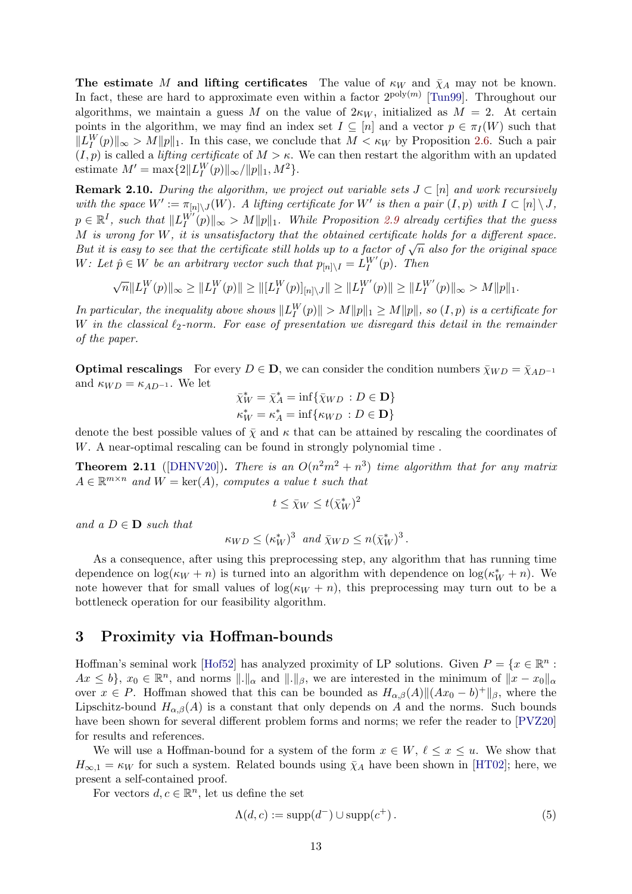<span id="page-12-3"></span>The estimate M and lifting certificates The value of  $\kappa_W$  and  $\bar{\chi}_A$  may not be known. In fact, these are hard to approximate even within a factor  $2^{poly(m)}$  [\[Tun99\]](#page-42-8). Throughout our algorithms, we maintain a guess M on the value of  $2\kappa_W$ , initialized as  $M = 2$ . At certain points in the algorithm, we may find an index set  $I \subseteq [n]$  and a vector  $p \in \pi_I(W)$  such that  $||L_I^W(p)||_{\infty} > M||p||_1$ . In this case, we conclude that  $M < \kappa_W$  by Proposition [2.6.](#page-10-0) Such a pair  $(I, p)$  is called a *lifting certificate* of  $M > \kappa$ . We can then restart the algorithm with an updated estimate  $M' = \max\{2||L_I^W(p)||_{\infty}/||p||_1, M^2\}.$ 

<span id="page-12-2"></span>**Remark 2.10.** During the algorithm, we project out variable sets  $J \subset [n]$  and work recursively with the space  $W' := \pi_{[n] \setminus J}(W)$ . A lifting certificate for W' is then a pair  $(I, p)$  with  $I \subset [n] \setminus J$ ,  $p \in \mathbb{R}^I$ , such that  $||L_I^{W'}(p)||_{\infty} > M||p||_1$ . While Proposition [2.9](#page-11-2) already certifies that the guess M is wrong for W, it is unsatisfactory that the obtained certificate holds for a different space. But it is easy to see that the certificate still holds up to a factor of  $\sqrt{n}$  also for the original space.<br>But it is easy to see that the certificate still holds up to a factor of  $\sqrt{n}$  also for the original space. W: Let  $\hat{p} \in W$  be an arbitrary vector such that  $p_{[n] \setminus I} = L_I^{W'}(p)$ . Then

$$
\sqrt{n}||L_I^W(p)||_{\infty} \ge ||L_I^W(p)|| \ge ||[L_I^W(p)]_{[n]\setminus J}|| \ge ||L_I^{W'}(p)|| \ge ||L_I^{W'}(p)||_{\infty} > M||p||_1.
$$

In particular, the inequality above shows  $||L_I^W(p)|| > M||p||_1 \ge M||p||$ , so  $(I, p)$  is a certificate for W in the classical  $\ell_2$ -norm. For ease of presentation we disregard this detail in the remainder of the paper.

**Optimal rescalings** For every  $D \in \mathbf{D}$ , we can consider the condition numbers  $\bar{\chi}_{WD} = \bar{\chi}_{AD^{-1}}$ and  $\kappa_{WD} = \kappa_{AD^{-1}}$ . We let

$$
\bar{\chi}_W^* = \bar{\chi}_A^* = \inf \{ \bar{\chi}_{WD} : D \in \mathbf{D} \}
$$
  

$$
\kappa_W^* = \kappa_A^* = \inf \{ \kappa_{WD} : D \in \mathbf{D} \}
$$

denote the best possible values of  $\bar{\chi}$  and  $\kappa$  that can be attained by rescaling the coordinates of W. A near-optimal rescaling can be found in strongly polynomial time .

**Theorem 2.11** ([\[DHNV20\]](#page-40-5)). There is an  $O(n^2m^2 + n^3)$  time algorithm that for any matrix  $A \in \mathbb{R}^{m \times n}$  and  $W = \text{ker}(A)$ , computes a value t such that

$$
t\leq \bar{\chi}_W\leq t(\bar{\chi}_W^*)^2
$$

and a  $D \in \mathbf{D}$  such that

$$
\kappa_{WD} \leq (\kappa_W^*)^3
$$
 and  $\bar{\chi}_{WD} \leq n(\bar{\chi}_W^*)^3$ .

As a consequence, after using this preprocessing step, any algorithm that has running time dependence on  $\log(\kappa_W + n)$  is turned into an algorithm with dependence on  $\log(\kappa_W^* + n)$ . We note however that for small values of  $\log(\kappa_W + n)$ , this preprocessing may turn out to be a bottleneck operation for our feasibility algorithm.

### <span id="page-12-0"></span>3 Proximity via Hoffman-bounds

Hoffman's seminal work [\[Hof52\]](#page-40-3) has analyzed proximity of LP solutions. Given  $P = \{x \in \mathbb{R}^n :$  $Ax \leq b$ ,  $x_0 \in \mathbb{R}^n$ , and norms  $\|\cdot\|_{\alpha}$  and  $\|\cdot\|_{\beta}$ , we are interested in the minimum of  $\|x - x_0\|_{\alpha}$ over  $x \in P$ . Hoffman showed that this can be bounded as  $H_{\alpha,\beta}(A) || (Ax_0 - b)^+ ||_{\beta}$ , where the Lipschitz-bound  $H_{\alpha,\beta}(A)$  is a constant that only depends on A and the norms. Such bounds have been shown for several different problem forms and norms; we refer the reader to  $[PVZ20]$ for results and references.

We will use a Hoffman-bound for a system of the form  $x \in W$ ,  $\ell \leq x \leq u$ . We show that  $H_{\infty,1} = \kappa_W$  for such a system. Related bounds using  $\bar{\chi}_A$  have been shown in [\[HT02\]](#page-40-7); here, we present a self-contained proof.

<span id="page-12-1"></span>For vectors  $d, c \in \mathbb{R}^n$ , let us define the set

$$
\Lambda(d, c) := \text{supp}(d^-) \cup \text{supp}(c^+).
$$
\n(5)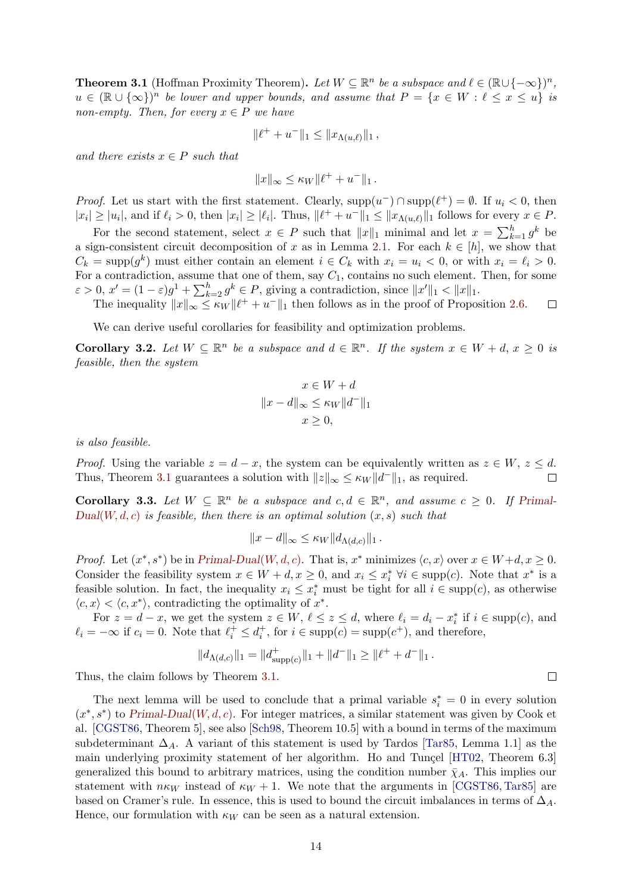<span id="page-13-3"></span>**Theorem 3.1** (Hoffman Proximity Theorem). Let  $W \subseteq \mathbb{R}^n$  be a subspace and  $\ell \in (\mathbb{R} \cup \{-\infty\})^n$ ,  $u \in (\mathbb{R} \cup \{\infty\})^n$  be lower and upper bounds, and assume that  $P = \{x \in W : \ell \leq x \leq u\}$  is non-empty. Then, for every  $x \in P$  we have

$$
\|\ell^+ + u^-\|_1 \le \|x_{\Lambda(u,\ell)}\|_1,
$$

and there exists  $x \in P$  such that

$$
||x||_{\infty} \leq \kappa_W ||\ell^+ + u^-||_1.
$$

*Proof.* Let us start with the first statement. Clearly,  $\text{supp}(u^-) \cap \text{supp}(\ell^+) = \emptyset$ . If  $u_i < 0$ , then  $|x_i| \ge |u_i|$ , and if  $\ell_i > 0$ , then  $|x_i| \ge |\ell_i|$ . Thus,  $\|\ell^+ + u^-\|_1 \le \|x_{\Lambda(u,\ell)}\|_1$  follows for every  $x \in P$ .

For the second statement, select  $x \in P$  such that  $||x||_1$  minimal and let  $x = \sum_{k=1}^h g^k$  be a sign-consistent circuit decomposition of x as in Lemma [2.1.](#page-8-1) For each  $k \in [h]$ , we show that  $C_k = \text{supp}(g^k)$  must either contain an element  $i \in C_k$  with  $x_i = u_i < 0$ , or with  $x_i = \ell_i > 0$ . For a contradiction, assume that one of them, say  $C_1$ , contains no such element. Then, for some  $\varepsilon > 0$ ,  $x' = (1 - \varepsilon)g^1 + \sum_{k=2}^h g^k \in P$ , giving a contradiction, since  $||x'||_1 < ||x||_1$ .

The inequality  $||x||_{\infty} \leq \kappa_W ||\ell^+ + u^+||_1$  then follows as in the proof of Proposition [2.6.](#page-10-0)  $\Box$ 

We can derive useful corollaries for feasibility and optimization problems.

<span id="page-13-1"></span>**Corollary 3.2.** Let  $W \subseteq \mathbb{R}^n$  be a subspace and  $d \in \mathbb{R}^n$ . If the system  $x \in W + d$ ,  $x \geq 0$  is feasible, then the system

$$
x \in W + d
$$

$$
||x - d||_{\infty} \le \kappa_W ||d^-||_1
$$

$$
x \ge 0,
$$

is also feasible.

*Proof.* Using the variable  $z = d - x$ , the system can be equivalently written as  $z \in W$ ,  $z \leq d$ . Thus, Theorem [3.1](#page-12-1) guarantees a solution with  $||z||_{\infty} \leq \kappa_W ||d^-||_1$ , as required.  $\Box$ 

<span id="page-13-2"></span>**Corollary 3.3.** Let  $W \subseteq \mathbb{R}^n$  be a subspace and  $c, d \in \mathbb{R}^n$ , and assume  $c \geq 0$ . If [Primal-](#page-8-0) $Dual(W, d, c)$  $Dual(W, d, c)$  $Dual(W, d, c)$  is feasible, then there is an optimal solution  $(x, s)$  such that

$$
||x-d||_{\infty} \leq \kappa_W ||d_{\Lambda(d,c)}||_1.
$$

*Proof.* Let  $(x^*, s^*)$  be in [Primal-Dual](#page-8-0)(W, d, c). That is,  $x^*$  minimizes  $\langle c, x \rangle$  over  $x \in W + d, x \ge 0$ . Consider the feasibility system  $x \in W + d, x \ge 0$ , and  $x_i \le x_i^* \forall i \in \text{supp}(c)$ . Note that  $x^*$  is a feasible solution. In fact, the inequality  $x_i \leq x_i^*$  must be tight for all  $i \in \text{supp}(c)$ , as otherwise  $\langle c, x \rangle < \langle c, x^* \rangle$ , contradicting the optimality of  $x^*$ .

For  $z = d - x$ , we get the system  $z \in W$ ,  $\ell \leq z \leq d$ , where  $\ell_i = d_i - x_i^*$  if  $i \in \text{supp}(c)$ , and  $\ell_i = -\infty$  if  $c_i = 0$ . Note that  $\ell_i^+ \leq d_i^+$ , for  $i \in \text{supp}(c) = \text{supp}(c^+)$ , and therefore,

$$
||d_{\Lambda(d,c)}||_1 = ||d_{\mathrm{supp}(c)}^+||_1 + ||d^-||_1 \ge ||\ell^+ + d^-||_1.
$$

Thus, the claim follows by Theorem [3.1.](#page-12-1)

<span id="page-13-0"></span>The next lemma will be used to conclude that a primal variable  $s_i^* = 0$  in every solution  $(x^*, s^*)$  to [Primal-Dual](#page-8-0)(W, d, c). For integer matrices, a similar statement was given by Cook et al. [\[CGST86,](#page-40-4) Theorem 5], see also [\[Sch98,](#page-41-16) Theorem 10.5] with a bound in terms of the maximum subdeterminant  $\Delta_A$ . A variant of this statement is used by Tardos [\[Tar85,](#page-41-3) Lemma 1.1] as the main underlying proximity statement of her algorithm. Ho and Tunçel  $[HT02,$  Theorem 6.3] generalized this bound to arbitrary matrices, using the condition number  $\bar{\chi}_A$ . This implies our statement with  $n\kappa_W$  instead of  $\kappa_W + 1$ . We note that the arguments in [\[CGST86,](#page-40-4) [Tar85\]](#page-41-3) are based on Cramer's rule. In essence, this is used to bound the circuit imbalances in terms of  $\Delta_A$ . Hence, our formulation with  $\kappa_W$  can be seen as a natural extension.

 $\Box$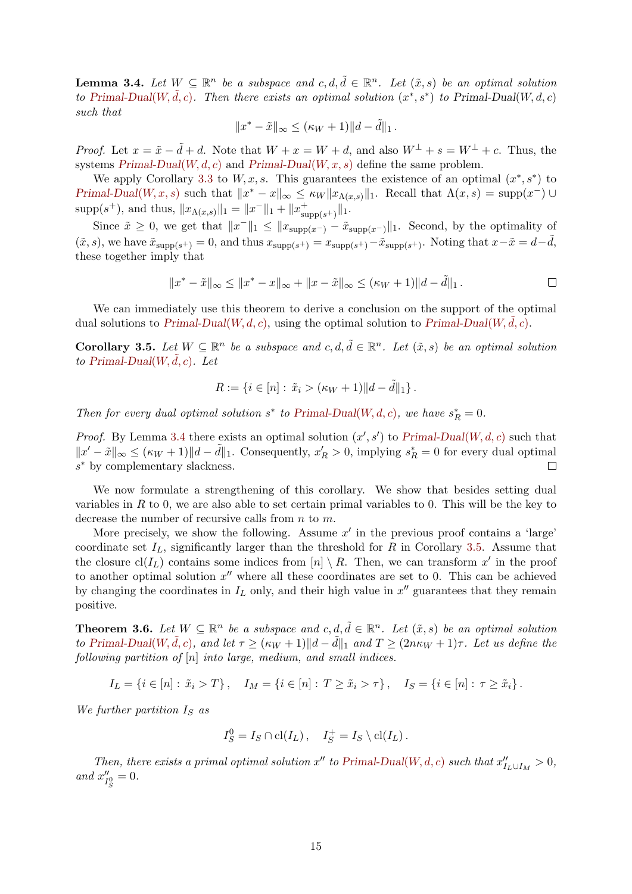**Lemma 3.4.** Let  $W \subseteq \mathbb{R}^n$  be a subspace and  $c, d, \tilde{d} \in \mathbb{R}^n$ . Let  $(\tilde{x}, s)$  be an optimal solution to [Primal-Dual](#page-8-0)(W,  $\tilde{d}, c$ ). Then there exists an optimal solution  $(x^*, s^*)$  to Primal-Dual(W, d, c) such that

$$
||x^* - \tilde{x}||_{\infty} \leq (\kappa_W + 1)||d - \tilde{d}||_1.
$$

*Proof.* Let  $x = \tilde{x} - \tilde{d} + d$ . Note that  $W + x = W + d$ , and also  $W^{\perp} + s = W^{\perp} + c$ . Thus, the systems  $Primal-Dual(W, d, c)$  $Primal-Dual(W, d, c)$  and  $Primal-Dual(W, x, s)$  define the same problem.

We apply Corollary [3.3](#page-13-2) to  $W, x, s$ . This guarantees the existence of an optimal  $(x^*, s^*)$  to [Primal-Dual](#page-8-0)(W, x, s) such that  $||x^* - x||_{\infty} \leq \kappa_W ||x_{\Lambda(x,s)}||_1$ . Recall that  $\Lambda(x,s) = \text{supp}(x^-) \cup$  $\supp(s^+)$ , and thus,  $||x_{\Lambda(x,s)}||_1 = ||x^-||_1 + ||x^+_{\supp(s^+)}||_1$ .

Since  $\tilde{x} \geq 0$ , we get that  $||x||_1 \leq ||x_{\text{supp}(x-)} - \tilde{x}_{\text{supp}(x-)}||_1$ . Second, by the optimality of  $(\tilde{x}, s)$ , we have  $\tilde{x}_{\text{supp}(s^+)} = 0$ , and thus  $x_{\text{supp}(s^+)} = x_{\text{supp}(s^+)} - \tilde{x}_{\text{supp}(s^+)}$ . Noting that  $x - \tilde{x} = d - \tilde{d}$ , these together imply that

$$
||x^* - \tilde{x}||_{\infty} \le ||x^* - x||_{\infty} + ||x - \tilde{x}||_{\infty} \le (\kappa_W + 1) ||d - \tilde{d}||_1.
$$

We can immediately use this theorem to derive a conclusion on the support of the optimal dual solutions to  $Primal-Dual(W, d, c)$  $Primal-Dual(W, d, c)$ , using the optimal solution to  $Primal-Dual(W, d, c)$ .

<span id="page-14-1"></span>**Corollary 3.5.** Let  $W \subseteq \mathbb{R}^n$  be a subspace and  $c, d, \tilde{d} \in \mathbb{R}^n$ . Let  $(\tilde{x}, s)$  be an optimal solution to [Primal-Dual](#page-8-0) $(W, d, c)$ . Let

$$
R := \{ i \in [n] : \tilde{x}_i > (\kappa_W + 1) ||d - \tilde{d}||_1 \}.
$$

Then for every dual optimal solution  $s^*$  to [Primal-Dual](#page-8-0)(W, d, c), we have  $s_R^* = 0$ .

*Proof.* By Lemma [3.4](#page-13-0) there exists an optimal solution  $(x', s')$  to [Primal-Dual](#page-8-0)(W, d, c) such that  $||x'-\tilde{x}||_{\infty} \leq (\kappa_W+1)||d-\tilde{d}||_1$ . Consequently,  $x'_R > 0$ , implying  $s_R^* = 0$  for every dual optimal s<sup>∗</sup> by complementary slackness.  $\Box$ 

We now formulate a strengthening of this corollary. We show that besides setting dual variables in  $R$  to 0, we are also able to set certain primal variables to 0. This will be the key to decrease the number of recursive calls from  $n$  to  $m$ .

More precisely, we show the following. Assume  $x'$  in the previous proof contains a 'large' coordinate set  $I_L$ , significantly larger than the threshold for R in Corollary [3.5.](#page-14-1) Assume that the closure  $\text{cl}(I_L)$  contains some indices from  $[n] \setminus R$ . Then, we can transform x' in the proof to another optimal solution  $x''$  where all these coordinates are set to 0. This can be achieved by changing the coordinates in  $I_L$  only, and their high value in  $x''$  guarantees that they remain positive.

<span id="page-14-0"></span>**Theorem 3.6.** Let  $W \subseteq \mathbb{R}^n$  be a subspace and  $c, d, \tilde{d} \in \mathbb{R}^n$ . Let  $(\tilde{x}, s)$  be an optimal solution to [Primal-Dual](#page-8-0)(W,  $\tilde{d}, c$ ), and let  $\tau \geq (\kappa_W + 1) ||d - \tilde{d}||_1$  and  $T \geq (2n\kappa_W + 1)\tau$ . Let us define the following partition of  $[n]$  into large, medium, and small indices.

$$
I_L = \{ i \in [n] : \tilde{x}_i > T \}, \quad I_M = \{ i \in [n] : T \ge \tilde{x}_i > \tau \}, \quad I_S = \{ i \in [n] : \tau \ge \tilde{x}_i \}.
$$

We further partition  $I_S$  as

$$
I_S^0 = I_S \cap \text{cl}(I_L), \quad I_S^+ = I_S \setminus \text{cl}(I_L).
$$

Then, there exists a primal optimal solution  $x''$  to [Primal-Dual](#page-8-0)(W, d, c) such that  $x''_{I_L \cup I_M} > 0$ , and  $x_I''$  $I_S'' = 0.$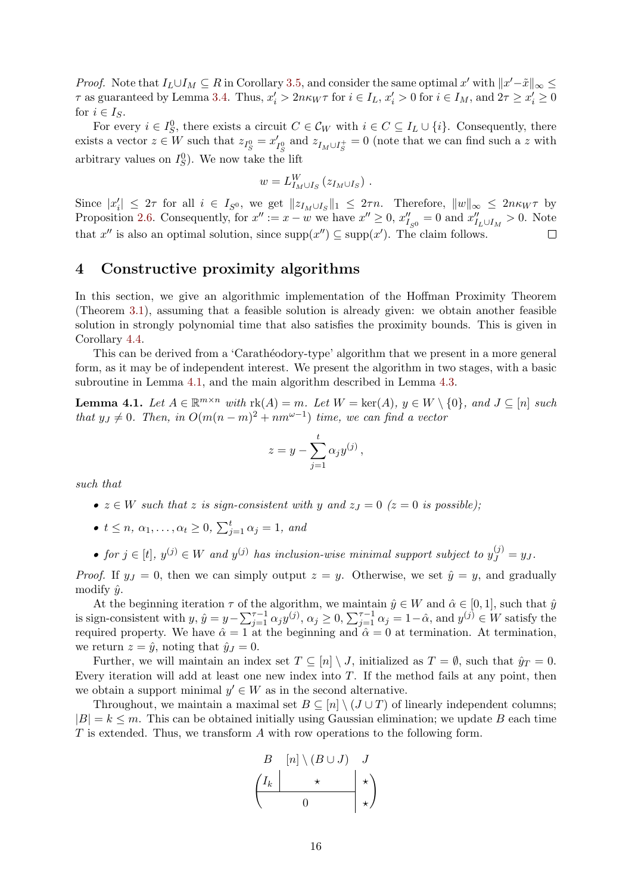*Proof.* Note that  $I_L \cup I_M \subseteq R$  in Corollary [3.5,](#page-14-1) and consider the same optimal x' with  $||x'-\tilde{x}||_{\infty} \le$  $\tau$  as guaranteed by Lemma [3.4.](#page-13-0) Thus,  $x'_i > 2n\kappa_W \tau$  for  $i \in I_L$ ,  $x'_i > 0$  for  $i \in I_M$ , and  $2\tau \ge x'_i \ge 0$ for  $i \in I_S$ .

For every  $i \in I_S^0$ , there exists a circuit  $C \in \mathcal{C}_W$  with  $i \in C \subseteq I_L \cup \{i\}$ . Consequently, there exists a vector  $z \in W$  such that  $z_{I_S^0} = x'_1$  $I_S^{\prime}$  and  $z_{I_M \cup I_S^+} = 0$  (note that we can find such a z with arbitrary values on  $I_S^0$ ). We now take the lift

$$
w=L_{I_M\cup I_S}^W\left(z_{I_M\cup I_S}\right)\,.
$$

Since  $|x'_i| \leq 2\tau$  for all  $i \in I_{S^0}$ , we get  $||z_{I_M \cup I_S}||_1 \leq 2\tau n$ . Therefore,  $||w||_{\infty} \leq 2n\kappa_W\tau$  by Proposition [2.6.](#page-10-0) Consequently, for  $x'' := x - w$  we have  $x'' \ge 0$ ,  $x''_{I_{S^0}} = 0$  and  $x''_{I_L \cup I_M} > 0$ . Note that  $x''$  is also an optimal solution, since  $\text{supp}(x'') \subseteq \text{supp}(x')$ . The claim follows.  $\Box$ 

# <span id="page-15-0"></span>4 Constructive proximity algorithms

In this section, we give an algorithmic implementation of the Hoffman Proximity Theorem (Theorem [3.1\)](#page-12-1), assuming that a feasible solution is already given: we obtain another feasible solution in strongly polynomial time that also satisfies the proximity bounds. This is given in Corollary [4.4.](#page-17-1)

This can be derived from a 'Carathéodory-type' algorithm that we present in a more general form, as it may be of independent interest. We present the algorithm in two stages, with a basic subroutine in Lemma [4.1,](#page-15-1) and the main algorithm described in Lemma [4.3.](#page-16-0)

<span id="page-15-1"></span>**Lemma 4.1.** Let  $A \in \mathbb{R}^{m \times n}$  with  $\text{rk}(A) = m$ . Let  $W = \text{ker}(A)$ ,  $y \in W \setminus \{0\}$ , and  $J \subseteq [n]$  such that  $y_j \neq 0$ . Then, in  $O(m(n-m)^2 + nm^{\omega-1})$  time, we can find a vector

$$
z = y - \sum_{j=1}^{t} \alpha_j y^{(j)},
$$

such that

- $z \in W$  such that z is sign-consistent with y and  $z_j = 0$  ( $z = 0$  is possible);
- $t \leq n, \, \alpha_1, \ldots, \alpha_t \geq 0, \, \sum_{j=1}^t \alpha_j = 1, \text{ and}$

• for  $j \in [t]$ ,  $y^{(j)} \in W$  and  $y^{(j)}$  has inclusion-wise minimal support subject to  $y^{(j)}_J = y_J$ .

*Proof.* If  $y_j = 0$ , then we can simply output  $z = y$ . Otherwise, we set  $\hat{y} = y$ , and gradually modify  $\hat{y}$ .

At the beginning iteration  $\tau$  of the algorithm, we maintain  $\hat{y} \in W$  and  $\hat{\alpha} \in [0, 1]$ , such that  $\hat{y}$ is sign-consistent with  $y, \hat{y} = y - \sum_{j=1}^{\tau-1} \alpha_j y^{(j)}, \alpha_j \ge 0, \sum_{j=1}^{\tau-1} \alpha_j = 1 - \hat{\alpha}$ , and  $y^{(j)} \in W$  satisfy the required property. We have  $\hat{\alpha} = 1$  at the beginning and  $\hat{\alpha} = 0$  at termination. At termination, we return  $z = \hat{y}$ , noting that  $\hat{y}_J = 0$ .

Further, we will maintain an index set  $T \subseteq [n] \setminus J$ , initialized as  $T = \emptyset$ , such that  $\hat{y}_T = 0$ . Every iteration will add at least one new index into  $T$ . If the method fails at any point, then we obtain a support minimal  $y' \in W$  as in the second alternative.

Throughout, we maintain a maximal set  $B \subseteq [n] \setminus (J \cup T)$  of linearly independent columns;  $|B| = k \leq m$ . This can be obtained initially using Gaussian elimination; we update B each time  $T$  is extended. Thus, we transform  $\tilde{A}$  with row operations to the following form.

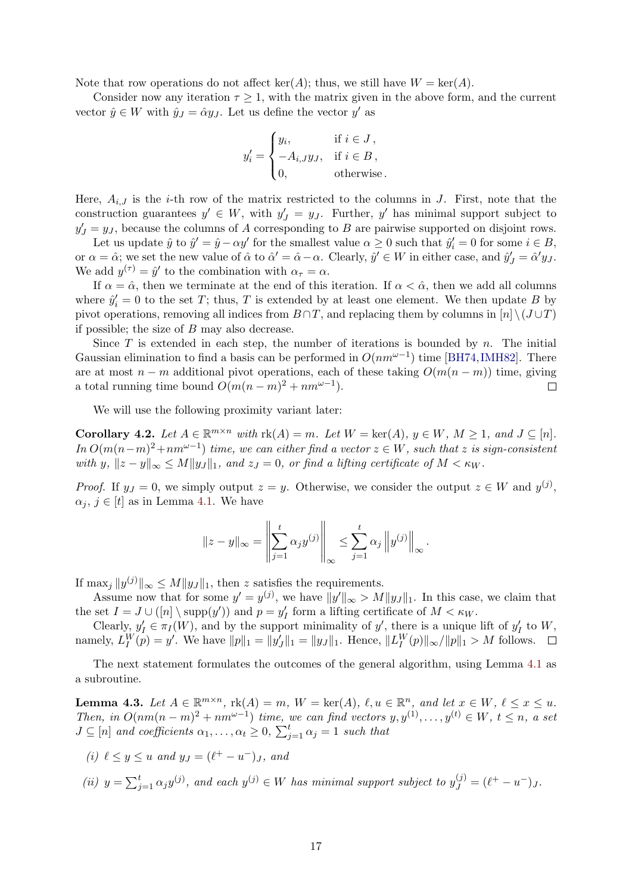<span id="page-16-3"></span>Note that row operations do not affect ker(A); thus, we still have  $W = \text{ker}(A)$ .

Consider now any iteration  $\tau \geq 1$ , with the matrix given in the above form, and the current vector  $\hat{y} \in W$  with  $\hat{y}_J = \hat{\alpha} y_J$ . Let us define the vector  $y'$  as

$$
y'_{i} = \begin{cases} y_{i}, & \text{if } i \in J, \\ -A_{i,J}y_{J}, & \text{if } i \in B, \\ 0, & \text{otherwise.} \end{cases}
$$

Here,  $A_{i,J}$  is the *i*-th row of the matrix restricted to the columns in J. First, note that the construction guarantees  $y' \in W$ , with  $y'_{J} = y_{J}$ . Further, y' has minimal support subject to  $y'_J = y_J$ , because the columns of A corresponding to B are pairwise supported on disjoint rows.

Let us update  $\hat{y}$  to  $\hat{y}' = \hat{y} - \alpha y'$  for the smallest value  $\alpha \ge 0$  such that  $\hat{y}'_i = 0$  for some  $i \in B$ , or  $\alpha = \hat{\alpha}$ ; we set the new value of  $\hat{\alpha}$  to  $\hat{\alpha}' = \hat{\alpha} - \alpha$ . Clearly,  $\hat{y}' \in W$  in either case, and  $\hat{y}'_J = \hat{\alpha}' y_J$ . We add  $y^{(\tau)} = \hat{y}'$  to the combination with  $\alpha_{\tau} = \alpha$ .

If  $\alpha = \hat{\alpha}$ , then we terminate at the end of this iteration. If  $\alpha < \hat{\alpha}$ , then we add all columns where  $\hat{y}'_i = 0$  to the set T; thus, T is extended by at least one element. We then update B by pivot operations, removing all indices from  $B \cap T$ , and replacing them by columns in  $[n] \setminus (J \cup T)$ if possible; the size of B may also decrease.

Since  $T$  is extended in each step, the number of iterations is bounded by  $n$ . The initial Gaussian elimination to find a basis can be performed in  $O(nm^{\omega-1})$  time [\[BH74,](#page-40-11) [IMH82\]](#page-40-12). There are at most  $n - m$  additional pivot operations, each of these taking  $O(m(n-m))$  time, giving a total running time bound  $O(m(n-m)^2 + nm^{\omega-1})$ .  $\Box$ 

We will use the following proximity variant later:

<span id="page-16-2"></span>Corollary 4.2. Let  $A \in \mathbb{R}^{m \times n}$  with  $\text{rk}(A) = m$ . Let  $W = \text{ker}(A)$ ,  $y \in W$ ,  $M \ge 1$ , and  $J \subseteq [n]$ . In  $O(m(n-m)^2 + nm^{\omega-1})$  time, we can either find a vector  $z \in W$ , such that z is sign-consistent with y,  $||z - y||_{\infty} \le M||y_J||_1$ , and  $z_J = 0$ , or find a lifting certificate of  $M < \kappa_W$ .

*Proof.* If  $y_j = 0$ , we simply output  $z = y$ . Otherwise, we consider the output  $z \in W$  and  $y^{(j)}$ ,  $\alpha_j, j \in [t]$  as in Lemma [4.1.](#page-15-1) We have

$$
||z - y||_{\infty} = \left\| \sum_{j=1}^{t} \alpha_j y^{(j)} \right\|_{\infty} \le \sum_{j=1}^{t} \alpha_j ||y^{(j)}||_{\infty}.
$$

If  $\max_j ||y^{(j)}||_{\infty} \le M||y_J||_1$ , then z satisfies the requirements.

Assume now that for some  $y' = y^{(j)}$ , we have  $||y'||_{\infty} > M||y_{J}||_{1}$ . In this case, we claim that the set  $I = J \cup ([n] \setminus \text{supp}(y'))$  and  $p = y'_I$  form a lifting certificate of  $M < \kappa_W$ .

Clearly,  $y'_I \in \pi_I(W)$ , and by the support minimality of y', there is a unique lift of  $y'_I$  to W, namely,  $L_I^W(p) = y'$ . We have  $||p||_1 = ||y'_J||_1 = ||y_J||_1$ . Hence,  $||L_I^W(p)||_{\infty}/||p||_1 > M$  follows.

The next statement formulates the outcomes of the general algorithm, using Lemma [4.1](#page-15-1) as a subroutine.

<span id="page-16-0"></span>**Lemma 4.3.** Let  $A \in \mathbb{R}^{m \times n}$ ,  $rk(A) = m$ ,  $W = ker(A)$ ,  $\ell, u \in \mathbb{R}^n$ , and let  $x \in W$ ,  $\ell \le x \le u$ . Then, in  $O(nm(n-m)^2 + nm^{\omega-1})$  time, we can find vectors  $y, y^{(1)}, \ldots, y^{(t)} \in W$ ,  $t \leq n$ , a set  $J \subseteq [n]$  and coefficients  $\alpha_1, \ldots, \alpha_t \geq 0$ ,  $\sum_{j=1}^t \alpha_j = 1$  such that

- <span id="page-16-1"></span>(i)  $\ell \leq y \leq u$  and  $y_J = (\ell^+ - u^-)_J$ , and
- (ii)  $y = \sum_{j=1}^{t} \alpha_j y^{(j)}$ , and each  $y^{(j)} \in W$  has minimal support subject to  $y^{(j)}_J = (\ell^+ u^-)J$ .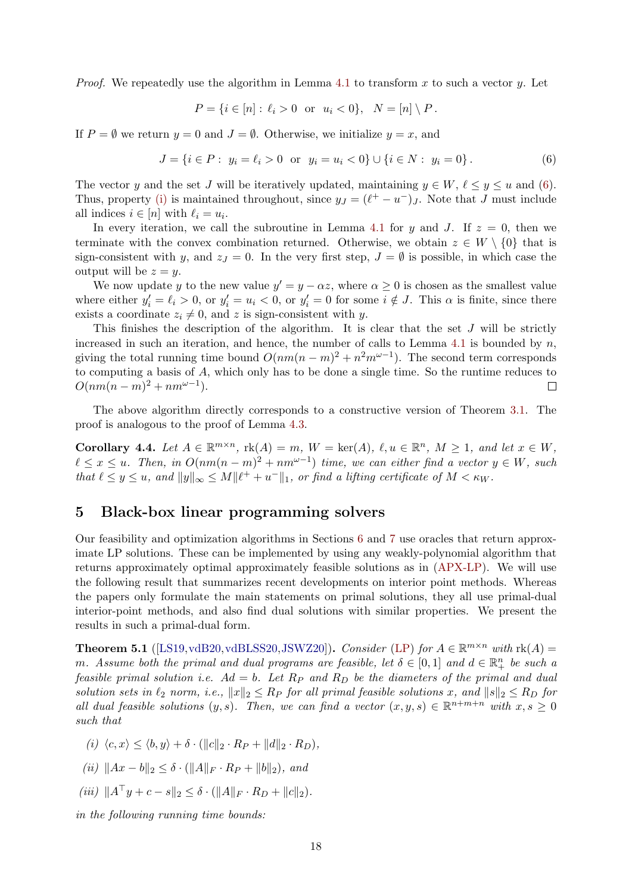<span id="page-17-4"></span>*Proof.* We repeatedly use the algorithm in Lemma [4.1](#page-15-1) to transform x to such a vector y. Let

<span id="page-17-2"></span>
$$
P = \{ i \in [n] : \ell_i > 0 \text{ or } u_i < 0 \}, \ N = [n] \setminus P.
$$

If  $P = \emptyset$  we return  $y = 0$  and  $J = \emptyset$ . Otherwise, we initialize  $y = x$ , and

$$
J = \{i \in P : y_i = \ell_i > 0 \text{ or } y_i = u_i < 0\} \cup \{i \in N : y_i = 0\}.
$$
 (6)

The vector y and the set J will be iteratively updated, maintaining  $y \in W$ ,  $\ell \leq y \leq u$  and [\(6\)](#page-17-2). Thus, property [\(i\)](#page-16-1) is maintained throughout, since  $y_J = (\ell^+ - u^-)_J$ . Note that J must include all indices  $i \in [n]$  with  $\ell_i = u_i$ .

In every iteration, we call the subroutine in Lemma [4.1](#page-15-1) for y and J. If  $z = 0$ , then we terminate with the convex combination returned. Otherwise, we obtain  $z \in W \setminus \{0\}$  that is sign-consistent with y, and  $z_j = 0$ . In the very first step,  $J = \emptyset$  is possible, in which case the output will be  $z = y$ .

We now update y to the new value  $y' = y - \alpha z$ , where  $\alpha \geq 0$  is chosen as the smallest value where either  $y_i' = \ell_i > 0$ , or  $y_i' = u_i < 0$ , or  $y_i' = 0$  for some  $i \notin J$ . This  $\alpha$  is finite, since there exists a coordinate  $z_i \neq 0$ , and z is sign-consistent with y.

This finishes the description of the algorithm. It is clear that the set  $J$  will be strictly increased in such an iteration, and hence, the number of calls to Lemma [4.1](#page-15-1) is bounded by  $n$ , giving the total running time bound  $O(nm(n-m)^2 + n^2m^{\omega-1})$ . The second term corresponds to computing a basis of A, which only has to be done a single time. So the runtime reduces to  $O(nm(n-m)^2 + nm^{\omega-1}).$  $\Box$ 

The above algorithm directly corresponds to a constructive version of Theorem [3.1.](#page-12-1) The proof is analogous to the proof of Lemma [4.3.](#page-16-0)

<span id="page-17-1"></span>Corollary 4.4. Let  $A \in \mathbb{R}^{m \times n}$ ,  $rk(A) = m$ ,  $W = ker(A)$ ,  $\ell, u \in \mathbb{R}^n$ ,  $M \ge 1$ , and let  $x \in W$ ,  $\ell \leq x \leq u$ . Then, in  $O(nm(n-m)^2 + nm^{\omega-1})$  time, we can either find a vector  $y \in W$ , such that  $\ell \leq y \leq u$ , and  $||y||_{\infty} \leq M||\ell^{+} + u^{-}||_{1}$ , or find a lifting certificate of  $M < \kappa_{W}$ .

# <span id="page-17-0"></span>5 Black-box linear programming solvers

Our feasibility and optimization algorithms in Sections [6](#page-19-0) and [7](#page-24-0) use oracles that return approximate LP solutions. These can be implemented by using any weakly-polynomial algorithm that returns approximately optimal approximately feasible solutions as in [\(APX-LP\)](#page-2-0). We will use the following result that summarizes recent developments on interior point methods. Whereas the papers only formulate the main statements on primal solutions, they all use primal-dual interior-point methods, and also find dual solutions with similar properties. We present the results in such a primal-dual form.

<span id="page-17-3"></span>**Theorem 5.1** ([\[LS19,](#page-41-9)[vdB20,](#page-42-6)[vdBLSS20,](#page-42-7)[JSWZ20\]](#page-41-11)). Consider [\(LP\)](#page-1-0) for  $A \in \mathbb{R}^{m \times n}$  with  $rk(A)$ m. Assume both the primal and dual programs are feasible, let  $\delta \in [0,1]$  and  $d \in \mathbb{R}^n_+$  be such a feasible primal solution i.e.  $Ad = b$ . Let  $R_P$  and  $R_D$  be the diameters of the primal and dual solution sets in  $\ell_2$  norm, i.e.,  $||x||_2 \leq R_P$  for all primal feasible solutions x, and  $||s||_2 \leq R_D$  for all dual feasible solutions  $(y, s)$ . Then, we can find a vector  $(x, y, s) \in \mathbb{R}^{n+m+n}$  with  $x, s \geq 0$ such that

- (i)  $\langle c, x \rangle \le \langle b, y \rangle + \delta \cdot (\|c\|_2 \cdot R_P + \|d\|_2 \cdot R_D),$
- (ii)  $||Ax b||_2 < \delta \cdot (||A||_F \cdot R_P + ||b||_2)$ , and
- (iii)  $||A^{\top}y + c s||_2 \leq \delta \cdot (||A||_F \cdot R_D + ||c||_2).$

in the following running time bounds: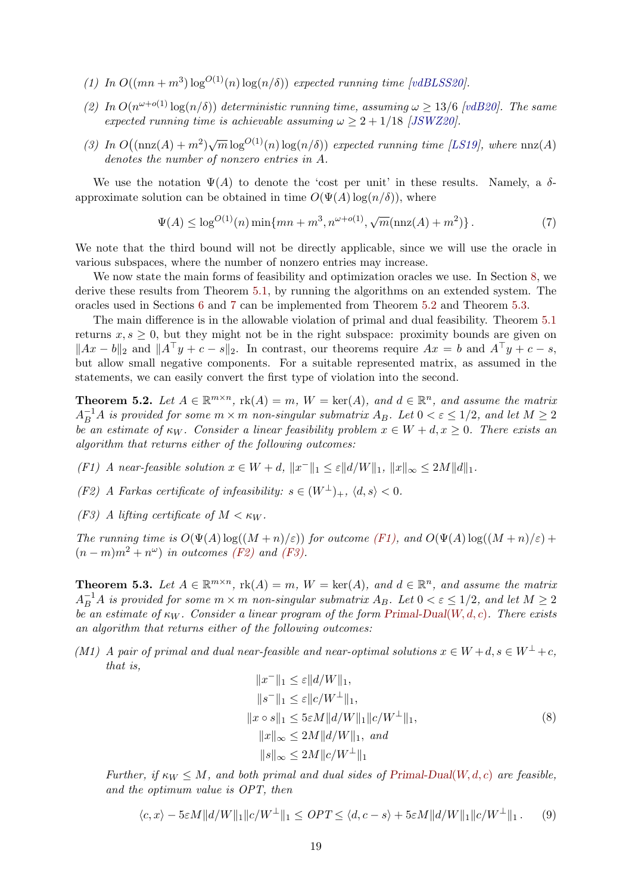- <span id="page-18-8"></span>(1) In  $O((mn+m^3)\log^{O(1)}(n)\log(n/\delta))$  expected running time [\[vdBLSS20\]](#page-42-7).
- (2) In  $O(n^{\omega+o(1)}\log(n/\delta))$  deterministic running time, assuming  $\omega \geq 13/6$  [\[vdB20\]](#page-42-6). The same expected running time is achievable assuming  $\omega \geq 2 + 1/18$  [\[JSWZ20\]](#page-41-11).
- (3) In  $O((\text{nnz}(A) + m^2)\sqrt{m} \log^{O(1)}(n) \log(n/\delta))$  expected running time [\[LS19\]](#page-41-9), where  $\text{nnz}(A)$ denotes the number of nonzero entries in A.

We use the notation  $\Psi(A)$  to denote the 'cost per unit' in these results. Namely, a  $\delta$ approximate solution can be obtained in time  $O(\Psi(A) \log(n/\delta))$ , where

<span id="page-18-6"></span>
$$
\Psi(A) \le \log^{O(1)}(n) \min\{mn + m^3, n^{\omega + o(1)}, \sqrt{m}(\text{nnz}(A) + m^2)\}.
$$
 (7)

We note that the third bound will not be directly applicable, since we will use the oracle in various subspaces, where the number of nonzero entries may increase.

We now state the main forms of feasibility and optimization oracles we use. In Section [8,](#page-31-1) we derive these results from Theorem [5.1,](#page-17-3) by running the algorithms on an extended system. The oracles used in Sections [6](#page-19-0) and [7](#page-24-0) can be implemented from Theorem [5.2](#page-18-0) and Theorem [5.3.](#page-18-1)

The main difference is in the allowable violation of primal and dual feasibility. Theorem [5.1](#page-17-3) returns  $x, s \geq 0$ , but they might not be in the right subspace: proximity bounds are given on  $||Ax - b||_2$  and  $||A^{\top}y + c - s||_2$ . In contrast, our theorems require  $Ax = b$  and  $A^{\top}y + c - s$ , but allow small negative components. For a suitable represented matrix, as assumed in the statements, we can easily convert the first type of violation into the second.

<span id="page-18-0"></span>**Theorem 5.2.** Let  $A \in \mathbb{R}^{m \times n}$ ,  $\text{rk}(A) = m$ ,  $W = \text{ker}(A)$ , and  $d \in \mathbb{R}^n$ , and assume the matrix  $A_B^{-1}A$  is provided for some  $m \times m$  non-singular submatrix  $A_B$ . Let  $0 < \varepsilon \leq 1/2$ , and let  $M \geq 2$ be an estimate of  $\kappa_W$ . Consider a linear feasibility problem  $x \in W + d, x \geq 0$ . There exists an algorithm that returns either of the following outcomes:

- <span id="page-18-2"></span>(F1) A near-feasible solution  $x \in W + d$ ,  $||x^-||_1 \leq \varepsilon ||d/W||_1$ ,  $||x||_{\infty} \leq 2M||d||_1$ .
- <span id="page-18-3"></span>(F2) A Farkas certificate of infeasibility:  $s \in (W^{\perp})_{+}$ ,  $\langle d, s \rangle < 0$ .
- <span id="page-18-4"></span>(F3) A lifting certificate of  $M < \kappa_W$ .

The running time is  $O(\Psi(A) \log((M+n)/\varepsilon))$  for outcome [\(F1\),](#page-18-2) and  $O(\Psi(A) \log((M+n)/\varepsilon))$  +  $(n-m)m^2 + n^{\omega})$  in outcomes [\(F2\)](#page-18-3) and [\(F3\).](#page-18-4)

<span id="page-18-1"></span>**Theorem 5.3.** Let  $A \in \mathbb{R}^{m \times n}$ ,  $rk(A) = m$ ,  $W = ker(A)$ , and  $d \in \mathbb{R}^n$ , and assume the matrix  $A_B^{-1}A$  is provided for some  $m \times m$  non-singular submatrix  $A_B$ . Let  $0 < \varepsilon \leq 1/2$ , and let  $M \geq 2$ be an estimate of  $\kappa_W$ . Consider a linear program of the form [Primal-Dual](#page-8-0)(W, d, c). There exists an algorithm that returns either of the following outcomes:

<span id="page-18-5"></span>(M1) A pair of primal and dual near-feasible and near-optimal solutions  $x \in W + d$ ,  $s \in W^{\perp} + c$ , that is,

<span id="page-18-7"></span>
$$
||x^{-}||_{1} \leq \varepsilon ||d/W||_{1},
$$
  
\n
$$
||s^{-}||_{1} \leq \varepsilon ||c/W^{\perp}||_{1},
$$
  
\n
$$
||x \circ s||_{1} \leq 5\varepsilon M ||d/W||_{1} ||c/W^{\perp}||_{1},
$$
  
\n
$$
||x||_{\infty} \leq 2M ||d/W||_{1}, and
$$
  
\n
$$
||s||_{\infty} \leq 2M ||c/W^{\perp}||_{1}
$$
  
\n(8)

Further, if  $\kappa_W \leq M$ , and both primal and dual sides of [Primal-Dual](#page-8-0)(W, d, c) are feasible. and the optimum value is OPT, then

$$
\langle c, x \rangle - 5\varepsilon M \|d/W\|_1 \|c/W^{\perp}\|_1 \le OPT \le \langle d, c - s \rangle + 5\varepsilon M \|d/W\|_1 \|c/W^{\perp}\|_1. \tag{9}
$$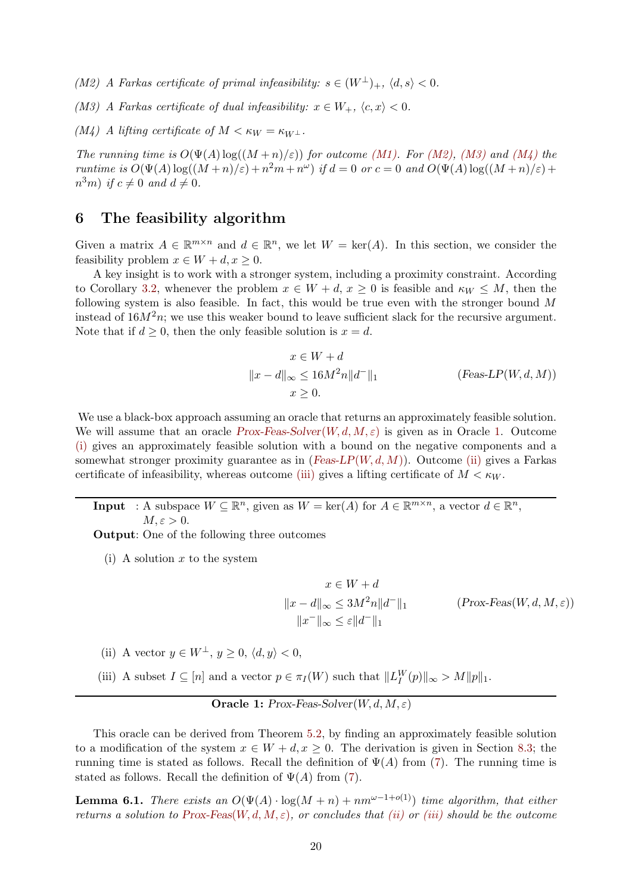<span id="page-19-1"></span>(M2) A Farkas certificate of primal infeasibility:  $s \in (W^{\perp})_{+}$ ,  $\langle d, s \rangle < 0$ .

<span id="page-19-2"></span>(M3) A Farkas certificate of dual infeasibility:  $x \in W_+$ ,  $\langle c, x \rangle < 0$ .

<span id="page-19-3"></span> $(M_4)$  A lifting certificate of  $M < \kappa_W = \kappa_{W^{\perp}}$ .

The running time is  $O(\Psi(A) \log((M+n)/\varepsilon))$  for outcome [\(M1\).](#page-18-5) For [\(M2\),](#page-19-1) [\(M3\)](#page-19-2) and [\(M4\)](#page-19-3) the runtime is  $O(\Psi(A) \log((M+n)/\varepsilon) + n^2m + n^{\omega})$  if  $d = 0$  or  $c = 0$  and  $O(\Psi(A) \log((M+n)/\varepsilon) +$  $n^3m$ ) if  $c \neq 0$  and  $d \neq 0$ .

# <span id="page-19-0"></span>6 The feasibility algorithm

Given a matrix  $A \in \mathbb{R}^{m \times n}$  and  $d \in \mathbb{R}^n$ , we let  $W = \text{ker}(A)$ . In this section, we consider the feasibility problem  $x \in W + d, x \geq 0$ .

A key insight is to work with a stronger system, including a proximity constraint. According to Corollary [3.2,](#page-13-1) whenever the problem  $x \in W + d$ ,  $x \ge 0$  is feasible and  $\kappa_W \le M$ , then the following system is also feasible. In fact, this would be true even with the stronger bound M instead of  $16M<sup>2</sup>n$ ; we use this weaker bound to leave sufficient slack for the recursive argument. Note that if  $d \geq 0$ , then the only feasible solution is  $x = d$ .

<span id="page-19-6"></span>
$$
x \in W + d
$$
  

$$
||x - d||_{\infty} \le 16M^2n||d^-||_1
$$
 (Feas-LP(W, d, M))  

$$
x \ge 0.
$$

We use a black-box approach assuming an oracle that returns an approximately feasible solution. We will assume that an oracle  $Prox-Feas-Solver(W, d, M, \varepsilon)$  $Prox-Feas-Solver(W, d, M, \varepsilon)$  is given as in Oracle [1.](#page-19-4) Outcome [\(i\)](#page-19-5) gives an approximately feasible solution with a bound on the negative components and a somewhat stronger proximity guarantee as in  $(Feas\text{-}LP(W, d, M))$ . Outcome [\(ii\)](#page-19-7) gives a Farkas certificate of infeasibility, whereas outcome [\(iii\)](#page-19-8) gives a lifting certificate of  $M < \kappa_W$ .

<span id="page-19-4"></span>**Input** : A subspace  $W \subseteq \mathbb{R}^n$ , given as  $W = \text{ker}(A)$  for  $A \in \mathbb{R}^{m \times n}$ , a vector  $d \in \mathbb{R}^n$ ,  $M, \varepsilon > 0.$ 

Output: One of the following three outcomes

<span id="page-19-5"></span>(i) A solution  $x$  to the system

<span id="page-19-9"></span>
$$
x \in W + d
$$
  
\n
$$
||x - d||_{\infty} \le 3M^2 n ||d^-||_1
$$
 (Prox-Feas $(W, d, M, \varepsilon)$ )  
\n
$$
||x^-||_{\infty} \le \varepsilon ||d^-||_1
$$

- <span id="page-19-7"></span>(ii) A vector  $y \in W^{\perp}$ ,  $y \ge 0$ ,  $\langle d, y \rangle < 0$ ,
- <span id="page-19-8"></span>(iii) A subset  $I \subseteq [n]$  and a vector  $p \in \pi_I(W)$  such that  $||L_I^W(p)||_{\infty} > M||p||_1$ .

**Oracle 1:** Prox-Feas-Solver $(W, d, M, \varepsilon)$ 

This oracle can be derived from Theorem [5.2,](#page-18-0) by finding an approximately feasible solution to a modification of the system  $x \in W + d, x \geq 0$ . The derivation is given in Section [8.3;](#page-37-0) the running time is stated as follows. Recall the definition of  $\Psi(A)$  from [\(7\)](#page-18-6). The running time is stated as follows. Recall the definition of  $\Psi(A)$  from [\(7\)](#page-18-6).

<span id="page-19-10"></span>**Lemma 6.1.** There exists an  $O(\Psi(A) \cdot \log(M+n) + nm^{\omega-1+o(1)})$  time algorithm, that either returns a solution to  $Prox-Feas(W, d, M, \varepsilon)$  $Prox-Feas(W, d, M, \varepsilon)$ , or concludes that [\(ii\)](#page-19-7) or [\(iii\)](#page-19-8) should be the outcome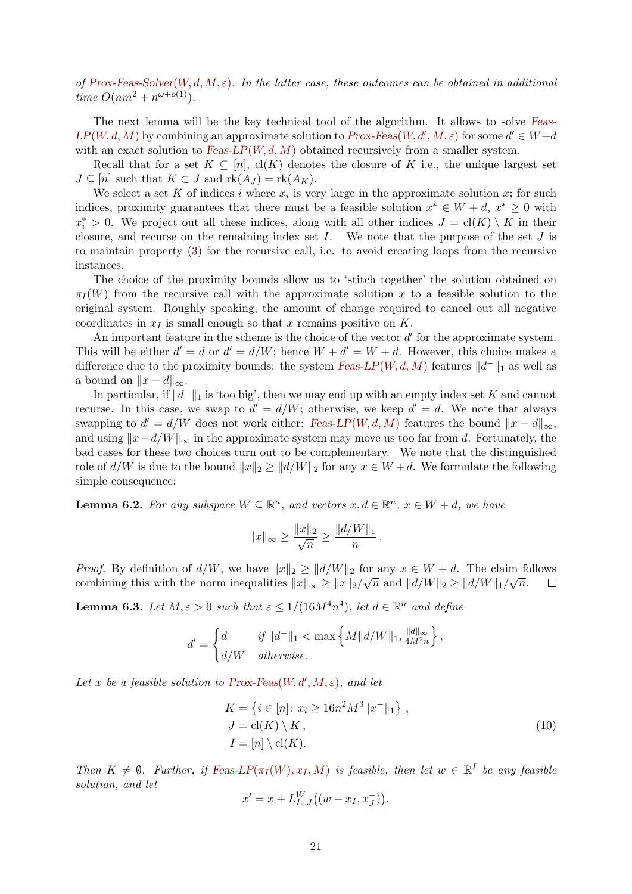of [Prox-Feas-Solver](#page-19-4)(W, d, M,  $\varepsilon$ ). In the latter case, these outcomes can be obtained in additional time  $O(nm^2 + n^{\omega+o(1)})$ .

The next lemma will be the key technical tool of the algorithm. It allows to solve [Feas-](#page-19-6) $LP(W, d, M)$  $LP(W, d, M)$  $LP(W, d, M)$  by combining an approximate solution to  $Prox\text{-}Feas(W, d', M, \varepsilon)$  for some  $d' \in W+d$ with an exact solution to Feas- $LP(W, d, M)$  obtained recursively from a smaller system.

Recall that for a set  $K \subseteq [n]$ ,  $cl(K)$  denotes the closure of K i.e., the unique largest set  $J \subseteq [n]$  such that  $K \subset J$  and  $rk(A_J) = rk(A_K)$ .

We select a set K of indices i where  $x_i$  is very large in the approximate solution x; for such indices, proximity guarantees that there must be a feasible solution  $x^* \in W + d$ ,  $x^* \geq 0$  with  $x_i^* > 0$ . We project out all these indices, along with all other indices  $J = \text{cl}(K) \setminus K$  in their closure, and recurse on the remaining index set  $I$ . We note that the purpose of the set  $J$  is to maintain property [\(3\)](#page-8-2) for the recursive call, i.e. to avoid creating loops from the recursive instances.

The choice of the proximity bounds allow us to 'stitch together' the solution obtained on  $\pi_I(W)$  from the recursive call with the approximate solution x to a feasible solution to the original system. Roughly speaking, the amount of change required to cancel out all negative coordinates in  $x_I$  is small enough so that x remains positive on K.

An important feature in the scheme is the choice of the vector  $d'$  for the approximate system. This will be either  $d' = d$  or  $d' = d/W$ ; hence  $W + d' = W + d$ . However, this choice makes a difference due to the proximity bounds: the system [Feas-LP](#page-19-6)( $W, d, M$ ) features  $||d||_1$  as well as a bound on  $||x - d||_{\infty}$ .

In particular, if  $||d^-||_1$  is 'too big', then we may end up with an empty index set K and cannot recurse. In this case, we swap to  $d' = d/W$ ; otherwise, we keep  $d' = d$ . We note that always swapping to  $d' = d/W$  does not work either: [Feas-LP](#page-19-6)(W, d, M) features the bound  $||x - d||_{\infty}$ , and using  $||x-d/W||_{\infty}$  in the approximate system may move us too far from d. Fortunately, the bad cases for these two choices turn out to be complementary. We note that the distinguished role of  $d/W$  is due to the bound  $||x||_2 \geq ||d/W||_2$  for any  $x \in W + d$ . We formulate the following simple consequence:

<span id="page-20-0"></span>**Lemma 6.2.** For any subspace  $W \subseteq \mathbb{R}^n$ , and vectors  $x, d \in \mathbb{R}^n$ ,  $x \in W + d$ , we have

$$
||x||_{\infty} \ge \frac{||x||_2}{\sqrt{n}} \ge \frac{||d/W||_1}{n}
$$

*Proof.* By definition of  $d/W$ , we have  $||x||_2 \ge ||d/W||_2$  for any  $x \in W + d$ . The claim follows combining this with the norm inequalities  $||x||_{\infty} \ge ||x||_2/\sqrt{n}$  and  $||d/W||_2 \ge ||d/W||_1/\sqrt{n}$ .  $\Box$ 

<span id="page-20-1"></span>**Lemma 6.3.** Let  $M, \varepsilon > 0$  such that  $\varepsilon \leq 1/(16M^4n^4)$ , let  $d \in \mathbb{R}^n$  and define

$$
d' = \begin{cases} d & \text{if } ||d^-||_1 < \max\left\{M||d/W||_1, \frac{||d||_{\infty}}{4M^2n}\right\}, \\ d/W & otherwise. \end{cases}
$$

Let x be a feasible solution to [Prox-Feas](#page-19-9) $(W, d', M, \varepsilon)$ , and let

$$
K = \{ i \in [n] : x_i \ge 16n^2 M^3 ||x^-||_1 \},
$$
  
\n
$$
J = \text{cl}(K) \setminus K,
$$
  
\n
$$
I = [n] \setminus \text{cl}(K).
$$
\n(10)

.

Then  $K \neq \emptyset$ . Further, if [Feas-LP](#page-19-6)( $\pi_I(W), \pi_I, M$ ) is feasible, then let  $w \in \mathbb{R}^I$  be any feasible solution, and let

$$
x' = x + L_{I \cup J}^W((w - x_I, x_J^-)).
$$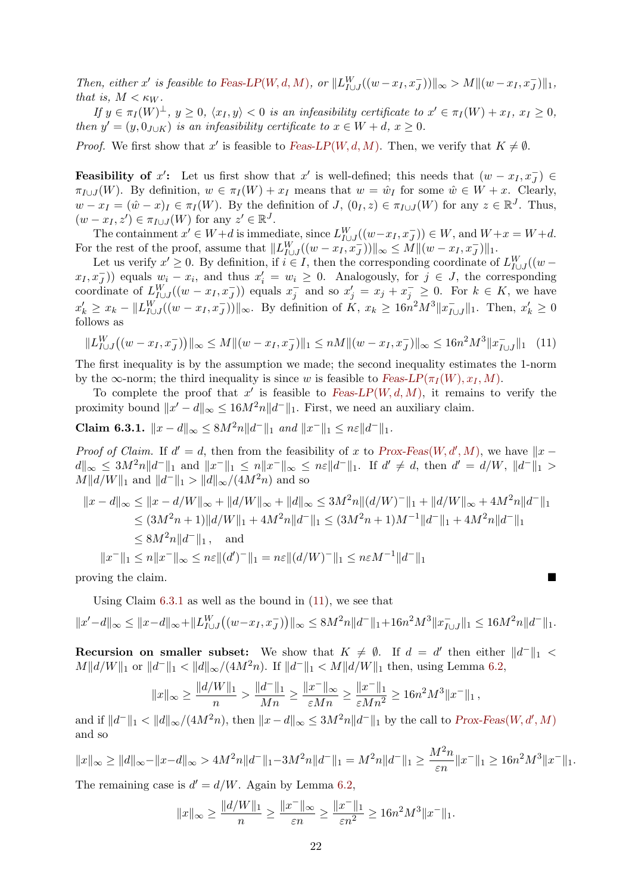Then, either x' is feasible to [Feas-LP](#page-19-6)(W, d, M), or  $||L_{I\cup J}^W((w-x_I,x_J^-))||_{\infty} > M|| (w-x_I,x_J^-)||_1$ , that is,  $M < \kappa_W$ .

If  $y \in \pi_I(W)^{\perp}$ ,  $y \geq 0$ ,  $\langle x_I, y \rangle < 0$  is an infeasibility certificate to  $x' \in \pi_I(W) + x_I$ ,  $x_I \geq 0$ , then  $y' = (y, 0_{J\cup K})$  is an infeasibility certificate to  $x \in W + d$ ,  $x \ge 0$ .

*Proof.* We first show that x' is feasible to [Feas-LP](#page-19-6)(W, d, M). Then, we verify that  $K \neq \emptyset$ .

**Feasibility of** x': Let us first show that x' is well-defined; this needs that  $(w - x_I, x_J^-) \in$  $\pi_{I\cup J}(W)$ . By definition,  $w \in \pi_I(W) + x_I$  means that  $w = \hat{w}_I$  for some  $\hat{w} \in W + x$ . Clearly,  $w - x_I = (\hat{w} - x)_I \in \pi_I(W)$ . By the definition of  $J$ ,  $(0_I, z) \in \pi_{I \cup J}(W)$  for any  $z \in \mathbb{R}^J$ . Thus,  $(w - x_I, z') \in \pi_{I \cup J}(W)$  for any  $z' \in \mathbb{R}^J$ .

The containment  $x' \in W + d$  is immediate, since  $L_{I \cup J}^W((w - x_I, x_J^-)) \in W$ , and  $W + x = W + d$ . For the rest of the proof, assume that  $||L_{I\cup J}^W((w - x_I, x_J^-))||_{\infty} \leq M|| (w - x_I, x_J^-)||_1$ .

Let us verify  $x' \geq 0$ . By definition, if  $i \in I$ , then the corresponding coordinate of  $L_{I \cup J}^{W}((w (x_1, x_J^-)$  equals  $w_i - x_i$ , and thus  $x_i' = w_i \geq 0$ . Analogously, for  $j \in J$ , the corresponding coordinate of  $L_{I\cup J}^W((w-x_I,x_J^-))$  equals  $x_j^-$  and so  $x_j'=x_j+x_j^-\geq 0$ . For  $k\in K$ , we have  $x'_k \ge x_k - ||L_{I \cup J}^W((w - x_I, x_J^-))||_{\infty}$ . By definition of  $K, x_k \ge 16n^2M^3||x_{I \cup J}^-|$  $\bar{I}_{U}$ , Then,  $x'_{k}$  ≥ 0 follows as

<span id="page-21-1"></span>
$$
||L_{I \cup J}^W((w - x_I, x_J^-))||_{\infty} \le M ||(w - x_I, x_J^-)||_1 \le nM ||(w - x_I, x_J^-)||_{\infty} \le 16n^2 M^3 ||x_{I \cup J}^-||_1 \tag{11}
$$

The first inequality is by the assumption we made; the second inequality estimates the 1-norm by the  $\infty$ -norm; the third inequality is since w is feasible to [Feas-LP](#page-19-6)( $\pi_I(W), \pi_I, M$ ).

To complete the proof that  $x'$  is feasible to [Feas-LP](#page-19-6)(W, d, M), it remains to verify the proximity bound  $||x'-d||_{\infty} \leq 16M^2n||d^-||_1$ . First, we need an auxiliary claim.

<span id="page-21-0"></span>Claim 6.3.1.  $||x - d||_{\infty} \leq 8M^2n||d^-||_1$  and  $||x^-||_1 \leq n\varepsilon||d^-||_1$ .

*Proof of Claim.* If  $d' = d$ , then from the feasibility of x to [Prox-Feas](#page-19-9)(W, d', M), we have  $||x - y||$  $d\|_{\infty} \leq 3M^2n\|d^-\|_1$  and  $\|x^-\|_1 \leq n\|x^-\|_{\infty} \leq n\varepsilon\|d^-\|_1$ . If  $d' \neq d$ , then  $d' = d/W$ ,  $\|d^-\|_1 >$  $M||d/W||_1$  and  $||d^-\||_1 > ||d||_{\infty}/(4M^2n)$  and so

$$
||x - d||_{\infty} \le ||x - d/W||_{\infty} + ||d/W||_{\infty} + ||d||_{\infty} \le 3M^2 n ||(d/W)^{-}||_1 + ||d/W||_{\infty} + 4M^2 n||d^{-}||_1
$$
  
\n
$$
\le (3M^2 n + 1)||d/W||_1 + 4M^2 n||d^{-}||_1 \le (3M^2 n + 1)M^{-1}||d^{-}||_1 + 4M^2 n||d^{-}||_1
$$
  
\n
$$
\le 8M^2 n||d^{-}||_1, \text{ and}
$$
  
\n
$$
||x^{-}||_1 \le n||x^{-}||_{\infty} \le n\varepsilon ||(d')^{-}||_1 = n\varepsilon ||(d/W)^{-}||_1 \le n\varepsilon M^{-1}||d^{-}||_1
$$

proving the claim.

Using Claim [6.3.1](#page-21-0) as well as the bound in [\(11\)](#page-21-1), we see that  $||x'-d||_{\infty} \le ||x-d||_{\infty} + ||L_{I \cup J}^{W}((w-x_I,x_J^-))||_{\infty} \le 8M^2n||d^-||_1+16n^2M^3||x_{I \cup J}^-||_{\infty}$  $\sum_{I\cup J}^{\cdot}||_1 \leq 16M^2n||d^-||_1.$ 

**Recursion on smaller subset:** We show that  $K \neq \emptyset$ . If  $d = d'$  then either  $||d^-||_1 <$  $M||d/W||_1$  or  $||d||_1 < ||d||_{\infty}/(4M^2n)$ . If  $||d||_1 < M||d/W||_1$  then, using Lemma [6.2,](#page-20-0)

$$
||x||_{\infty} \ge \frac{||d/W||_1}{n} > \frac{||d^-||_1}{Mn} \ge \frac{||x^-||_{\infty}}{\varepsilon Mn} \ge \frac{||x^-||_1}{\varepsilon Mn^2} \ge 16n^2M^3||x^-||_1,
$$

and if  $||d^-||_1 < ||d||_{\infty}/(4M^2n)$ , then  $||x - d||_{\infty} \leq 3M^2n||d^-||_1$  by the call to  $Prox\text{-}\text{Feas}(W, d', M)$ and so

$$
||x||_{\infty} \ge ||d||_{\infty} - ||x - d||_{\infty} > 4M^2n||d^{-}||_1 - 3M^2n||d^{-}||_1 = M^2n||d^{-}||_1 \ge \frac{M^2n}{\varepsilon n}||x^{-}||_1 \ge 16n^2M^3||x^{-}||_1.
$$

The remaining case is  $d' = d/W$ . Again by Lemma [6.2,](#page-20-0)

$$
||x||_{\infty} \ge \frac{||d/W||_1}{n} \ge \frac{||x^-||_{\infty}}{\varepsilon n} \ge \frac{||x^-||_1}{\varepsilon n^2} \ge 16n^2M^3||x^-||_1.
$$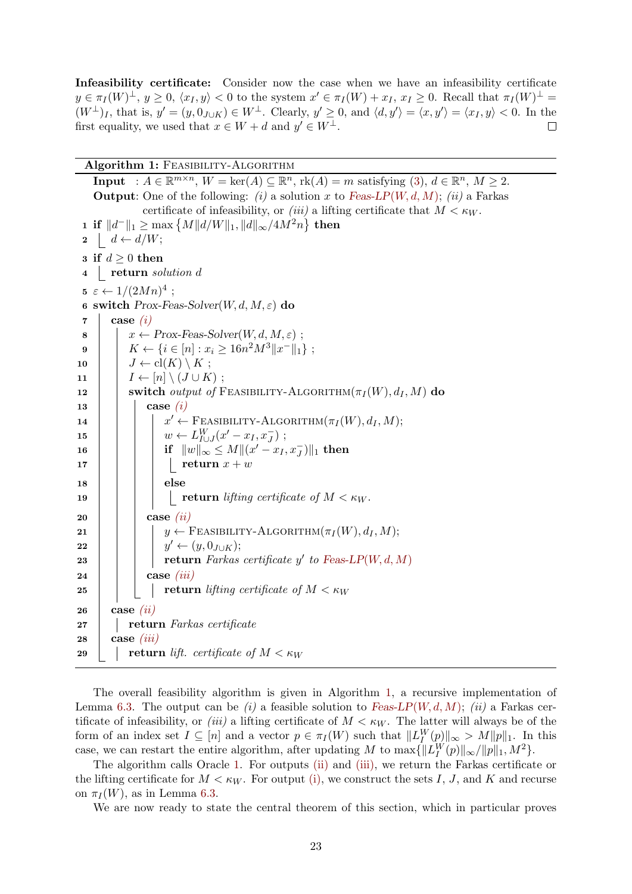Infeasibility certificate: Consider now the case when we have an infeasibility certificate  $y \in \pi_I(W)^{\perp}, y \ge 0, \langle x_I, y \rangle < 0$  to the system  $x' \in \pi_I(W) + x_I, x_I \ge 0$ . Recall that  $\pi_I(W)^{\perp} =$  $(W^{\perp})_I$ , that is,  $y' = (y, 0_{J\cup K}) \in W^{\perp}$ . Clearly,  $y' \ge 0$ , and  $\langle d, y' \rangle = \langle x, y' \rangle = \langle x_I, y \rangle < 0$ . In the first equality, we used that  $x \in W + d$  and  $y' \in W^{\perp}$ .  $\Box$ 

Algorithm 1: FEASIBILITY-ALGORITHM

<span id="page-22-1"></span>Input :  $A \in \mathbb{R}^{m \times n}$ ,  $W = \text{ker}(A) \subseteq \mathbb{R}^n$ ,  $\text{rk}(A) = m$  satisfying [\(3\)](#page-8-2),  $d \in \mathbb{R}^n$ ,  $M \ge 2$ . **Output:** One of the following: (i) a solution x to [Feas-LP](#page-19-6)(W, d, M); (ii) a Farkas certificate of infeasibility, or (iii) a lifting certificate that  $M < \kappa_W$ . 1 if  $||d^-||_1 ≥ max \{M||d/W||_1, ||d||_{∞}/4M^2n\}$  then  $2 \mid d \leftarrow d/W;$ 3 if  $d \geq 0$  then 4 return solution d  $5 \varepsilon \leftarrow 1/(2Mn)^4$ ; 6 switch Prox-Feas-Solver $(W, d, M, \varepsilon)$  do  $7 \mid \text{case } (i)$  $7 \mid \text{case } (i)$ 8  $\vert x \leftarrow Prox\text{-}Feas\text{-}Solver(W, d, M, \varepsilon);$ 9  $\mid K \leftarrow \{i \in [n] : x_i \geq 16n^2M^3||x^-||_1\};$ 10  $\mid J \leftarrow cl(K) \setminus K$ ; 11  $\vert I \leftarrow [n] \setminus (J \cup K)$ ; 12 Switch *output of* FEASIBILITY-ALGORITHM $(\pi_I(W), d_I, M)$  do  $13$  case  $(i)$ 14  $\vert$   $\vert$   $\vert$   $x$  $x' \leftarrow$  Feasibility-Algorithm $(\pi_I(W), d_I, M);$ 15  $\Big| \qquad \Big| \qquad w \leftarrow L_{I \cup J}^{W}(x'-x_I,x_J^{-}) ;$ 16 if  $||w||_{\infty} \leq M ||(x'-x_I,x_J^-)||_1$  then  $17$  | | | | return  $x + w$  $18$  | | | else 19 | | | | return lifting certificate of  $M < \kappa_W$ .  $20$  case [\(ii\)](#page-19-7) 21 | | |  $y \leftarrow$  FEASIBILITY-ALGORITHM $(\pi_I(W), d_I, M);$ 22 | | |  $y$  $y' \leftarrow (y, 0_{J\cup K});$ 23 | | | return Farkas certificate y' to [Feas-LP](#page-19-6) $(W, d, M)$ 24 **case** *[\(iii\)](#page-19-8)* 25 **return** lifting certificate of  $M < \kappa_W$ 26  $\cos(eii)$ 27 | return Farkas certificate  $28$  case *[\(iii\)](#page-19-8)* 29 **return** lift. certificate of  $M < \kappa_W$ 

<span id="page-22-0"></span>The overall feasibility algorithm is given in Algorithm [1,](#page-19-4) a recursive implementation of Lemma [6.3.](#page-20-1) The output can be *(i)* a feasible solution to [Feas-LP](#page-19-6)(W, d, M); *(ii)* a Farkas certificate of infeasibility, or *(iii)* a lifting certificate of  $M < \kappa_W$ . The latter will always be of the form of an index set  $I \subseteq [n]$  and a vector  $p \in \pi_I(W)$  such that  $||L_I^W(p)||_{\infty} > M||p||_1$ . In this case, we can restart the entire algorithm, after updating M to  $\max\{\Vert L_I^W(p)\Vert_\infty/\Vert p\Vert_1, M^2\}.$ 

The algorithm calls Oracle [1.](#page-19-4) For outputs [\(ii\)](#page-19-7) and [\(iii\),](#page-19-8) we return the Farkas certificate or the lifting certificate for  $M < \kappa_W$ . For output [\(i\),](#page-19-5) we construct the sets I, J, and K and recurse on  $\pi_I(W)$ , as in Lemma [6.3.](#page-20-1)

We are now ready to state the central theorem of this section, which in particular proves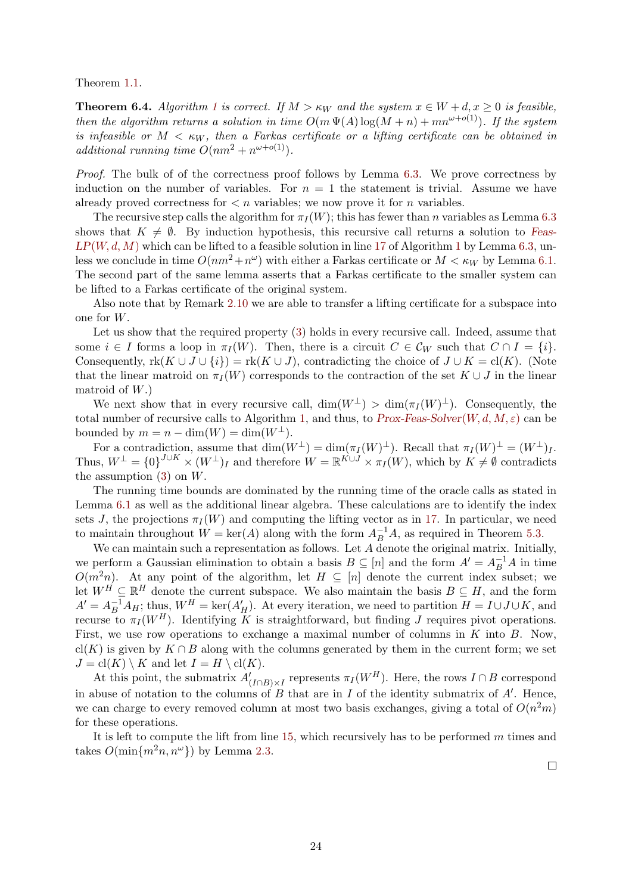<span id="page-23-0"></span>Theorem [1.1.](#page-3-1)

**Theorem 6.4.** Algorithm [1](#page-19-4) is correct. If  $M > \kappa_W$  and the system  $x \in W + d, x \geq 0$  is feasible, then the algorithm returns a solution in time  $O(m \Psi(A) \log(M+n) + mn^{\omega+o(1)})$ . If the system is infeasible or  $M < \kappa_W$ , then a Farkas certificate or a lifting certificate can be obtained in additional running time  $O(nm^2 + n^{\omega+o(1)})$ .

Proof. The bulk of of the correctness proof follows by Lemma [6.3.](#page-20-1) We prove correctness by induction on the number of variables. For  $n = 1$  the statement is trivial. Assume we have already proved correctness for  $\lt n$  variables; we now prove it for *n* variables.

The recursive step calls the algorithm for  $\pi_I (W)$ ; this has fewer than n variables as Lemma [6.3](#page-20-1) shows that  $K \neq \emptyset$ . By induction hypothesis, this recursive call returns a solution to [Feas-](#page-19-6) $LP(W, d, M)$  $LP(W, d, M)$  $LP(W, d, M)$  which can be lifted to a feasible solution in line [17](#page-22-0) of Algorithm [1](#page-19-4) by Lemma [6.3,](#page-20-1) unless we conclude in time  $O(nm^2 + n^{\omega})$  with either a Farkas certificate or  $M < \kappa_W$  by Lemma [6.1.](#page-19-10) The second part of the same lemma asserts that a Farkas certificate to the smaller system can be lifted to a Farkas certificate of the original system.

Also note that by Remark [2.10](#page-12-2) we are able to transfer a lifting certificate for a subspace into one for W.

Let us show that the required property [\(3\)](#page-8-2) holds in every recursive call. Indeed, assume that some  $i \in I$  forms a loop in  $\pi_I(W)$ . Then, there is a circuit  $C \in \mathcal{C}_W$  such that  $C \cap I = \{i\}$ . Consequently,  $rk(K \cup J \cup \{i\}) = rk(K \cup J)$ , contradicting the choice of  $J \cup K = cl(K)$ . (Note that the linear matroid on  $\pi_I(W)$  corresponds to the contraction of the set  $K \cup J$  in the linear matroid of  $W$ .)

We next show that in every recursive call,  $\dim(W^{\perp}) > \dim(\pi_I(W)^{\perp})$ . Consequently, the total number of recursive calls to Algorithm [1,](#page-19-4) and thus, to [Prox-Feas-Solver](#page-19-4) $(W, d, M, \varepsilon)$  can be bounded by  $m = n - \dim(W) = \dim(W^{\perp}).$ 

For a contradiction, assume that  $\dim(W^{\perp}) = \dim(\pi_I(W)^{\perp})$ . Recall that  $\pi_I(W)^{\perp} = (W^{\perp})_I$ . Thus,  $W^{\perp} = \{0\}^{J \cup K} \times (W^{\perp})_I$  and therefore  $W = \mathbb{R}^{K \cup J} \times \pi_I(W)$ , which by  $K \neq \emptyset$  contradicts the assumption  $(3)$  on  $W$ .

The running time bounds are dominated by the running time of the oracle calls as stated in Lemma [6.1](#page-19-10) as well as the additional linear algebra. These calculations are to identify the index sets J, the projections  $\pi_I(W)$  and computing the lifting vector as in [17.](#page-22-0) In particular, we need to maintain throughout  $W = \text{ker}(A)$  along with the form  $A_B^{-1}A$ , as required in Theorem [5.3.](#page-18-1)

We can maintain such a representation as follows. Let  $A$  denote the original matrix. Initially, we perform a Gaussian elimination to obtain a basis  $B \subseteq [n]$  and the form  $A' = A_B^{-1}A$  in time  $O(m^2n)$ . At any point of the algorithm, let  $H \subseteq [n]$  denote the current index subset; we let  $W^H \subseteq \mathbb{R}^H$  denote the current subspace. We also maintain the basis  $B \subseteq H$ , and the form  $A'=A_B^{-1}A_H$ ; thus,  $W^H = \text{ker}(A'_H)$ . At every iteration, we need to partition  $H = I \cup J \cup K$ , and recurse to  $\pi_I(W^H)$ . Identifying K is straightforward, but finding J requires pivot operations. First, we use row operations to exchange a maximal number of columns in  $K$  into  $B$ . Now, cl(K) is given by  $K \cap B$  along with the columns generated by them in the current form; we set  $J = \text{cl}(K) \setminus K$  and let  $I = H \setminus \text{cl}(K)$ .

At this point, the submatrix  $A'_{(I \cap B) \times I}$  represents  $\pi_I(W^H)$ . Here, the rows  $I \cap B$  correspond in abuse of notation to the columns of  $B$  that are in  $I$  of the identity submatrix of  $A'$ . Hence, we can charge to every removed column at most two basis exchanges, giving a total of  $O(n^2m)$ for these operations.

It is left to compute the lift from line  $15$ , which recursively has to be performed m times and takes  $O(\min\{m^2n, n^{\omega}\})$  by Lemma [2.3.](#page-9-4)

 $\Box$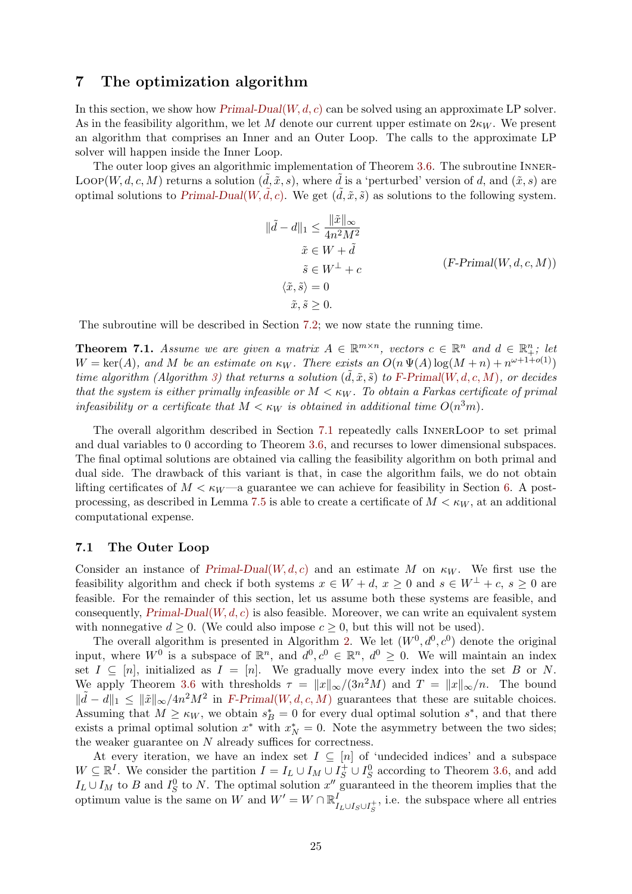# <span id="page-24-0"></span>7 The optimization algorithm

In this section, we show how  $P{\text{rimal-Dual}(W, d, c)}$  can be solved using an approximate LP solver. As in the feasibility algorithm, we let M denote our current upper estimate on  $2\kappa_W$ . We present an algorithm that comprises an Inner and an Outer Loop. The calls to the approximate LP solver will happen inside the Inner Loop.

<span id="page-24-1"></span>The outer loop gives an algorithmic implementation of Theorem [3.6.](#page-14-0) The subroutine INNER-LOOP(W, d, c, M) returns a solution  $(d, \tilde{x}, s)$ , where d is a 'perturbed' version of d, and  $(\tilde{x}, s)$  are optimal solutions to [Primal-Dual](#page-8-0)(W,  $\tilde{d}$ , c). We get  $(\tilde{d}, \tilde{x}, \tilde{s})$  as solutions to the following system.

$$
\|\tilde{d} - d\|_1 \le \frac{\|\tilde{x}\|_{\infty}}{4n^2M^2}
$$
  
\n
$$
\tilde{x} \in W + \tilde{d}
$$
  
\n
$$
\tilde{s} \in W^{\perp} + c
$$
  
\n
$$
\langle \tilde{x}, \tilde{s} \rangle = 0
$$
  
\n
$$
\tilde{x}, \tilde{s} \ge 0.
$$
  
\n(F-Primal(W, d, c, M))

The subroutine will be described in Section [7.2;](#page-26-0) we now state the running time.

<span id="page-24-3"></span>**Theorem 7.1.** Assume we are given a matrix  $A \in \mathbb{R}^{m \times n}$ , vectors  $c \in \mathbb{R}^n$  and  $d \in \mathbb{R}^n_+$ ; let  $W = \text{ker}(A)$ , and M be an estimate on  $\kappa_W$ . There exists an  $O(n \Psi(A) \log(M+n) + n^{\omega+1+o(1)})$ time algorithm (Algorithm [3\)](#page-30-0) that returns a solution  $(\tilde{d}, \tilde{x}, \tilde{s})$  to F-Primal([W, d, c, M](#page-24-1)), or decides that the system is either primally infeasible or  $M < \kappa_W$ . To obtain a Farkas certificate of primal infeasibility or a certificate that  $M < \kappa_W$  is obtained in additional time  $O(n^3m)$ .

The overall algorithm described in Section [7.1](#page-24-2) repeatedly calls InnerLoop to set primal and dual variables to 0 according to Theorem [3.6,](#page-14-0) and recurses to lower dimensional subspaces. The final optimal solutions are obtained via calling the feasibility algorithm on both primal and dual side. The drawback of this variant is that, in case the algorithm fails, we do not obtain lifting certificates of  $M < \kappa_W$ —a guarantee we can achieve for feasibility in Section [6.](#page-19-0) A post-processing, as described in Lemma [7.5](#page-30-1) is able to create a certificate of  $M < \kappa_W$ , at an additional computational expense.

#### <span id="page-24-2"></span>7.1 The Outer Loop

Consider an instance of [Primal-Dual](#page-8-0)(W, d, c) and an estimate M on  $\kappa_W$ . We first use the feasibility algorithm and check if both systems  $x \in W + d$ ,  $x \ge 0$  and  $s \in W^{\perp} + c$ ,  $s \ge 0$  are feasible. For the remainder of this section, let us assume both these systems are feasible, and consequently,  $Primal-Dual(W, d, c)$  $Primal-Dual(W, d, c)$  is also feasible. Moreover, we can write an equivalent system with nonnegative  $d \geq 0$ . (We could also impose  $c \geq 0$ , but this will not be used).

The overall algorithm is presented in Algorithm [2.](#page-25-1) We let  $(W^0, d^0, c^0)$  denote the original input, where  $W^0$  is a subspace of  $\mathbb{R}^n$ , and  $d^0, c^0 \in \mathbb{R}^n$ ,  $d^0 \geq 0$ . We will maintain an index set  $I \subseteq [n]$ , initialized as  $I = [n]$ . We gradually move every index into the set B or N. We apply Theorem [3.6](#page-14-0) with thresholds  $\tau = ||x||_{\infty}/(3n^2M)$  and  $T = ||x||_{\infty}/n$ . The bound  $\|\tilde{d} - d\|_1 \leq \|\tilde{x}\|_{\infty}/4n^2M^2$  in F-Primal([W, d, c, M](#page-24-1)) guarantees that these are suitable choices. Assuming that  $M \geq \kappa_W$ , we obtain  $s_B^* = 0$  for every dual optimal solution  $s^*$ , and that there exists a primal optimal solution  $x^*$  with  $x_N^* = 0$ . Note the asymmetry between the two sides; the weaker guarantee on  $N$  already suffices for correctness.

At every iteration, we have an index set  $I \subseteq [n]$  of 'undecided indices' and a subspace  $W \subseteq \mathbb{R}^I$ . We consider the partition  $I = I_L \cup I_M \cup I_S^+ \cup I_S^0$  according to Theorem [3.6,](#page-14-0) and add  $I_L \cup I_M$  to B and  $I_S^0$  to N. The optimal solution  $x''$  guaranteed in the theorem implies that the optimum value is the same on W and  $W' = W \cap \mathbb{R}^l$  $I_{L\cup I_S\cup I_S^+}$ , i.e. the subspace where all entries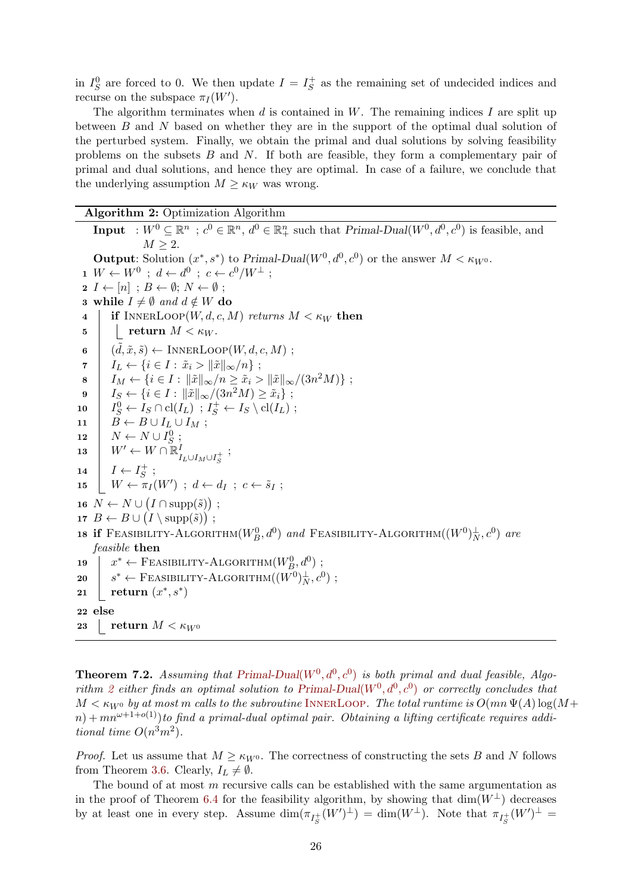in  $I_S^0$  are forced to 0. We then update  $I = I_S^+$  $S<sub>S</sub>$  as the remaining set of undecided indices and recurse on the subspace  $\pi_I(W')$ .

The algorithm terminates when d is contained in  $W$ . The remaining indices I are split up between B and N based on whether they are in the support of the optimal dual solution of the perturbed system. Finally, we obtain the primal and dual solutions by solving feasibility problems on the subsets  $B$  and  $N$ . If both are feasible, they form a complementary pair of primal and dual solutions, and hence they are optimal. In case of a failure, we conclude that the underlying assumption  $M \geq \kappa_W$  was wrong.

Algorithm 2: Optimization Algorithm

<span id="page-25-4"></span><span id="page-25-1"></span>**Input** :  $W^0 \subseteq \mathbb{R}^n$ ;  $c^0 \in \mathbb{R}^n$ ,  $d^0 \in \mathbb{R}^n$  such that  $Primal-Dual(W^0, d^0, c^0)$  is feasible, and  $M \geq 2$ . **Output:** Solution  $(x^*, s^*)$  to Primal-Dual $(W^0, d^0, c^0)$  or the answer  $M < \kappa_{W^0}$ .  $\mathbf{1} \ \ W \leftarrow W^0 \ \ ; \ \ d \leftarrow d^0 \ \ ; \ \ c \leftarrow c^0/W^\perp \ ;$  $2 I \leftarrow [n]$ ;  $B \leftarrow \emptyset$ ;  $N \leftarrow \emptyset$ ; 3 while  $I \neq \emptyset$  and  $d \notin W$  do 4 if INNERLOOP $(W, d, c, M)$  returns  $M < \kappa_W$  then 5 | | return  $M < \kappa_W$ . 6  $(\tilde{d}, \tilde{x}, \tilde{s}) \leftarrow \text{INNERLoop}(W, d, c, M);$ 7  $I_L \leftarrow \{i \in I : \tilde{x}_i > ||\tilde{x}||_{\infty}/n\};$  $8 \mid I_M \leftarrow \{i \in I : ||\tilde{x}||_{\infty}/n \ge \tilde{x}_i > ||\tilde{x}||_{\infty}/(3n^2M)\};$  $\mathbf{9} \quad | \quad I_S \leftarrow \{ i \in I : \|\tilde{x}\|_{\infty}/(3n^2M) \geq \tilde{x}_i \} \,\, ;$  $10 \quad | \quad I_S^0 \leftarrow I_S \cap \mathrm{cl}(I_L) \; ; \, I_S^+ \leftarrow I_S \setminus \mathrm{cl}(I_L) \; ;$ 11  $\mid \tilde{B} \leftarrow B \cup I_L \cup I_M;$ 12  $\mid N \leftarrow N \cup I_S^0;$ 13  $W' \leftarrow W \cap \mathbb{R}^I$  $I_L$ ∪ $I_M$ ∪ $I_S^+$  ; 14  $I \leftarrow I_S^+$ ; 14  $\begin{array}{c} \begin{array}{c} \n1 \leftarrow \n1_S, \\
N \leftarrow \pi_I(W') \n\end{array} \n\end{array} \n\begin{array}{c} \n\end{array} \n\begin{array}{c} \n\end{array} \n\end{array} \n\begin{array}{c} \n\end{array} \n\begin{array}{c} \n\end{array} \n\begin{array}{c} \n\end{array} \n\end{array} \n\begin{array}{c} \n\end{array} \n\begin{array}{c} \n\end{array} \n\begin{array}{c} \n\end{array} \n\begin{array}{c} \n\end{array} \n\end{array}$ 16  $N \leftarrow N \cup (I \cap \text{supp}(\tilde{s}))$ ; 17  $B \leftarrow B \cup (I \setminus \text{supp}(\tilde{s}))$ ; 18 If Feasibility-Algorithm $(W_B^0,d^0)$  and Feasibility-Algorithm $((W^0)^{\perp}_N,c^0)$  are feasible then 19  $x^* \leftarrow$  FEASIBILITY-ALGORITHM $(W_B^0, d^0)$ ;  $20$ \*  $\leftarrow$  Feasibility-Algorithm $((W^0)^{\perp}_{N}, c^0)$ ;  $\mathbf{p}$   $\mathbf{p}$  return  $(x^*, s^*)$ 22 else 23 return  $M < \kappa_{W^0}$ 

<span id="page-25-3"></span><span id="page-25-2"></span><span id="page-25-0"></span>**Theorem 7.2.** Assuming that [Primal-Dual](#page-8-0)( $W^0, d^0, c^0$ ) is both primal and dual feasible, Algo-rithm [2](#page-25-1) either finds an optimal solution to [Primal-Dual](#page-8-0)( $W^0, d^0, c^0$ ) or correctly concludes that  $M < \kappa_{W^0}$  by at most m calls to the subroutine INNERLOOP. The total runtime is  $O(mn \Psi(A) \log(M +$  $n+m^{\omega+1+o(1)}$  to find a primal-dual optimal pair. Obtaining a lifting certificate requires additional time  $O(n^3m^2)$ .

*Proof.* Let us assume that  $M \geq \kappa_{W^0}$ . The correctness of constructing the sets B and N follows from Theorem [3.6.](#page-14-0) Clearly,  $I_L \neq \emptyset$ .

The bound of at most m recursive calls can be established with the same argumentation as in the proof of Theorem [6.4](#page-23-0) for the feasibility algorithm, by showing that  $\dim(W^{\perp})$  decreases by at least one in every step. Assume  $\dim(\pi_{I_S^+}(W')^{\perp}) = \dim(W^{\perp})$ . Note that  $\pi_{I_S^+}(W')^{\perp} =$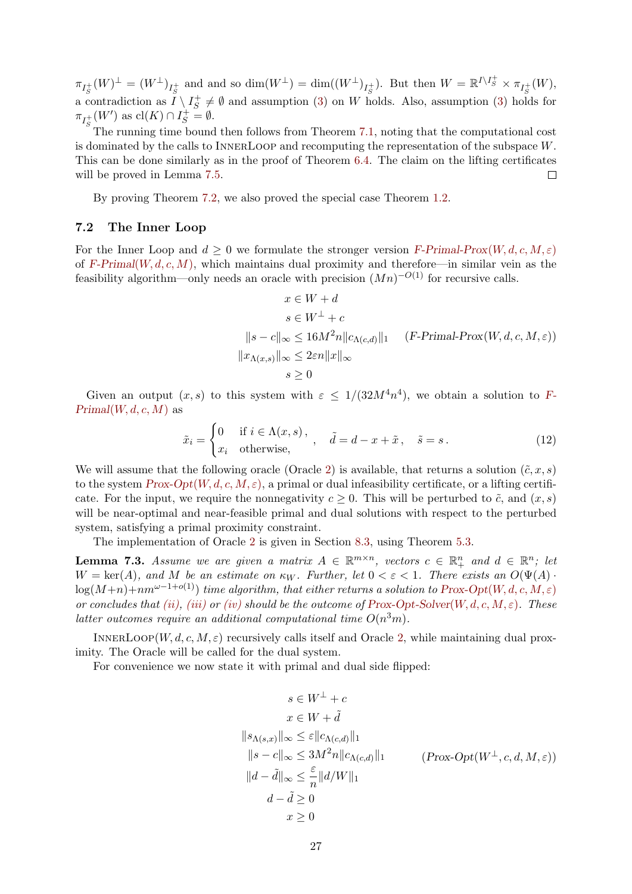$\pi_{I_{\mathcal{S}}^+}(W)^{\perp} = (W^{\perp})_{I_{\mathcal{S}}^+}$  and and so  $\dim(W^{\perp}) = \dim((W^{\perp})_{I_{\mathcal{S}}^+})$ . But then  $W = \mathbb{R}^{I \setminus I_{\mathcal{S}}^+} \times \pi_{I_{\mathcal{S}}^+}(W)$ ,  $\lim_{s \to s} \frac{S}{s}$  a contradiction as  $I \setminus I_S^+ \neq \emptyset$  and assumption (3) on W holds. Also, assumption (3) holds.  $S^+ \neq \emptyset$  and assumption [\(3\)](#page-8-2) on W holds. Also, assumption (3) holds for  $\pi_{I_S^+}(W')$  as  $\text{cl}(K) \cap I_S^+ = \emptyset$ .

The running time bound then follows from Theorem [7.1,](#page-24-3) noting that the computational cost is dominated by the calls to InnerLoop and recomputing the representation of the subspace W. This can be done similarly as in the proof of Theorem [6.4.](#page-23-0) The claim on the lifting certificates will be proved in Lemma [7.5.](#page-30-1)  $\Box$ 

By proving Theorem [7.2,](#page-25-0) we also proved the special case Theorem [1.2.](#page-3-2)

### <span id="page-26-0"></span>7.2 The Inner Loop

For the Inner Loop and  $d \geq 0$  we formulate the stronger version [F-Primal-Prox](#page-26-1)(W, d, c, M,  $\varepsilon$ ) of F-Primal([W, d, c, M](#page-24-1)), which maintains dual proximity and therefore—in similar vein as the feasibility algorithm—only needs an oracle with precision  $(Mn)^{-O(1)}$  for recursive calls.

<span id="page-26-1"></span>
$$
x \in W + d
$$
  
\n
$$
s \in W^{\perp} + c
$$
  
\n
$$
||s - c||_{\infty} \le 16M^2n ||c_{\Lambda(c,d)}||_1 \quad (F\text{-Primal-Prox}(W, d, c, M, \varepsilon))
$$
  
\n
$$
||x_{\Lambda(x,s)}||_{\infty} \le 2\varepsilon n ||x||_{\infty}
$$
  
\n
$$
s \ge 0
$$

Given an output  $(x, s)$  to this system with  $\varepsilon \leq 1/(32M^4n^4)$ , we obtain a solution to [F-](#page-24-1) $Primal(W, d, c, M)$  $Primal(W, d, c, M)$  $Primal(W, d, c, M)$  as

<span id="page-26-2"></span>
$$
\tilde{x}_i = \begin{cases}\n0 & \text{if } i \in \Lambda(x, s), \\
x_i & \text{otherwise,}\n\end{cases}, \quad \tilde{d} = d - x + \tilde{x}, \quad \tilde{s} = s.
$$
\n(12)

We will assume that the following oracle (Oracle [2\)](#page-25-1) is available, that returns a solution  $(\tilde{c}, x, s)$ to the system  $Prox\text{-}Opt(W, d, c, M, \varepsilon)$ , a primal or dual infeasibility certificate, or a lifting certificate. For the input, we require the nonnegativity  $c \geq 0$ . This will be perturbed to  $\tilde{c}$ , and  $(x, s)$ will be near-optimal and near-feasible primal and dual solutions with respect to the perturbed system, satisfying a primal proximity constraint.

The implementation of Oracle [2](#page-25-1) is given in Section [8.3,](#page-37-0) using Theorem [5.3.](#page-18-1)

<span id="page-26-3"></span>**Lemma 7.3.** Assume we are given a matrix  $A \in \mathbb{R}^{m \times n}$ , vectors  $c \in \mathbb{R}_+^n$  and  $d \in \mathbb{R}^n$ ; let  $W = \text{ker}(A)$ , and M be an estimate on  $\kappa_W$ . Further, let  $0 < \varepsilon < 1$ . There exists an  $O(\Psi(A))$  $log(M+n)+nm^{\omega-1+o(1)})$  time algorithm, that either returns a solution to Prox-Opt(W, d, c, M,  $\varepsilon$ ) or concludes that [\(ii\),](#page-27-1) [\(iii\)](#page-27-2) or [\(iv\)](#page-27-3) should be the outcome of [Prox-Opt-Solver](#page-25-1)(W, d, c, M,  $\varepsilon$ ). These latter outcomes require an additional computational time  $O(n^3m)$ .

INNERLOOP $(W, d, c, M, \varepsilon)$  recursively calls itself and Oracle [2,](#page-25-1) while maintaining dual proximity. The Oracle will be called for the dual system.

For convenience we now state it with primal and dual side flipped:

$$
s \in W^{\perp} + c
$$
  
\n
$$
x \in W + \tilde{d}
$$
  
\n
$$
||s_{\Lambda(s,x)}||_{\infty} \le \varepsilon ||c_{\Lambda(c,d)}||_1
$$
  
\n
$$
||s - c||_{\infty} \le 3M^2n ||c_{\Lambda(c,d)}||_1
$$
  
\n
$$
||d - \tilde{d}||_{\infty} \le \frac{\varepsilon}{n} ||d/W||_1
$$
  
\n
$$
d - \tilde{d} \ge 0
$$
  
\n
$$
x \ge 0
$$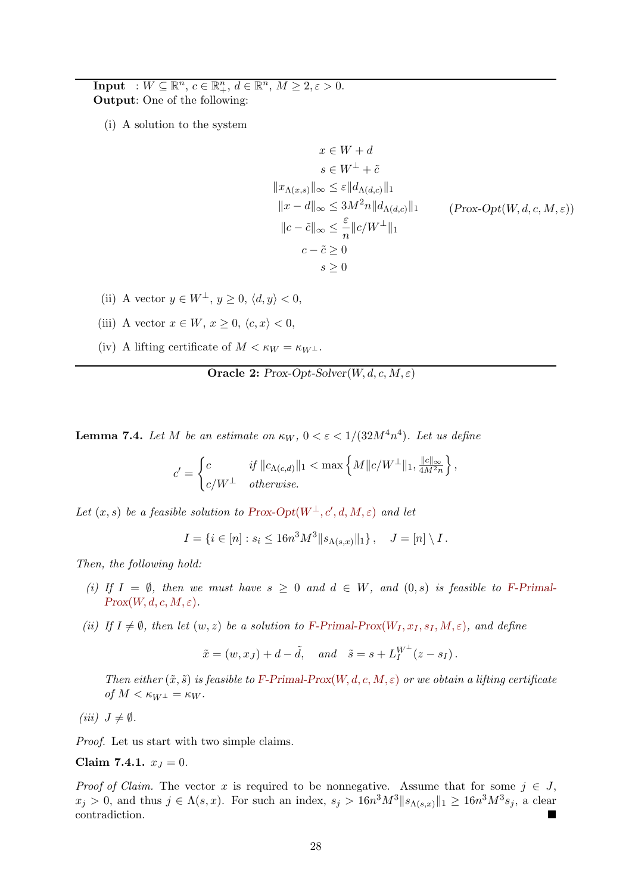**Input** :  $W \subseteq \mathbb{R}^n$ ,  $c \in \mathbb{R}^n_+$ ,  $d \in \mathbb{R}^n$ ,  $M \geq 2, \varepsilon > 0$ . Output: One of the following:

<span id="page-27-7"></span>(i) A solution to the system

<span id="page-27-0"></span>
$$
x \in W + d
$$
  
\n
$$
s \in W^{\perp} + \tilde{c}
$$
  
\n
$$
||x_{\Lambda(x,s)}||_{\infty} \le \varepsilon ||d_{\Lambda(d,c)}||_1
$$
  
\n
$$
||x - d||_{\infty} \le 3M^2 n ||d_{\Lambda(d,c)}||_1
$$
  
\n
$$
||c - \tilde{c}||_{\infty} \le \frac{\varepsilon}{n} ||c/W^{\perp}||_1
$$
  
\n
$$
c - \tilde{c} \ge 0
$$
  
\n
$$
s \ge 0
$$

 $(Prox-Opt(W, d, c, M, \varepsilon))$ 

- <span id="page-27-1"></span>(ii) A vector  $y \in W^{\perp}$ ,  $y > 0$ ,  $\langle d, y \rangle < 0$ ,
- <span id="page-27-2"></span>(iii) A vector  $x \in W$ ,  $x \geq 0$ ,  $\langle c, x \rangle < 0$ ,
- <span id="page-27-3"></span>(iv) A lifting certificate of  $M < \kappa_W = \kappa_{W^{\perp}}$ .

**Oracle 2:** Prox-Opt-Solver $(W, d, c, M, \varepsilon)$ 

<span id="page-27-6"></span>**Lemma 7.4.** Let M be an estimate on  $\kappa_W$ ,  $0 < \varepsilon < 1/(32M^4n^4)$ . Let us define

$$
c' = \begin{cases} c & \text{if } ||c_{\Lambda(c,d)}||_1 < \max\left\{M||c/W^{\perp}||_1, \frac{||c||_{\infty}}{4M^2n}\right\}, \\ c/W^{\perp} & otherwise. \end{cases}
$$

Let  $(x, s)$  be a feasible solution to [Prox-Opt](#page-27-0) $(W^{\perp}, c', d, M, \varepsilon)$  and let

 $I = \{i \in [n] : s_i \leq 16n^3M^3 || s_{\Lambda(s,x)} ||_1 \}, \quad J = [n] \setminus I$ .

Then, the following hold:

- (i) If  $I = \emptyset$ , then we must have  $s \geq 0$  and  $d \in W$ , and  $(0, s)$  is feasible to [F-Primal-](#page-26-1) $Prox(W, d, c, M, \varepsilon).$
- (ii) If  $I \neq \emptyset$ , then let  $(w, z)$  be a solution to [F-Primal-Prox](#page-26-1)( $W_I, x_I, s_I, M, \varepsilon$ ), and define

$$
\tilde{x} = (w, x_J) + d - \tilde{d}, \quad and \quad \tilde{s} = s + L_I^{W^{\perp}}(z - s_I).
$$

Then either  $(\tilde{x}, \tilde{s})$  is feasible to [F-Primal-Prox](#page-26-1)(W, d, c, M,  $\varepsilon$ ) or we obtain a lifting certificate of  $M < \kappa_{W^{\perp}} = \kappa_W$ .

(iii)  $J \neq \emptyset$ .

<span id="page-27-4"></span>Proof. Let us start with two simple claims.

Claim 7.4.1. 
$$
x_J = 0
$$
.

<span id="page-27-5"></span>*Proof of Claim.* The vector x is required to be nonnegative. Assume that for some  $j \in J$ ,  $x_j > 0$ , and thus  $j \in \Lambda(s, x)$ . For such an index,  $s_j > 16n^3 M^3 ||s_{\Lambda(s, x)}||_1 \geq 16n^3 M^3 s_j$ , a clear contradiction.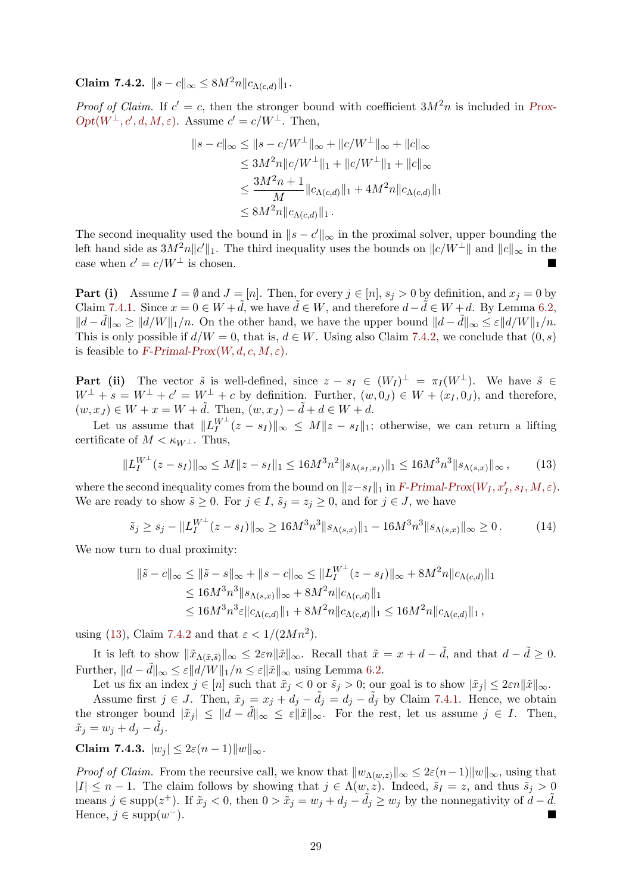Claim 7.4.2.  $||s - c||_{\infty} \leq 8M^2 n ||c_{\Lambda(c,d)}||_1$ .

*Proof of Claim.* If  $c' = c$ , then the stronger bound with coefficient  $3M^2n$  is included in [Prox-](#page-27-0) $Opt(W^{\perp}, c', d, M, \varepsilon)$ . Assume  $c' = c/W^{\perp}$ . Then,

$$
||s - c||_{\infty} \le ||s - c/W^{\perp}||_{\infty} + ||c/W^{\perp}||_{\infty} + ||c||_{\infty}
$$
  
\n
$$
\le 3M^2n ||c/W^{\perp}||_1 + ||c/W^{\perp}||_1 + ||c||_{\infty}
$$
  
\n
$$
\le \frac{3M^2n + 1}{M} ||c_{\Lambda(c,d)}||_1 + 4M^2n ||c_{\Lambda(c,d)}||_1
$$
  
\n
$$
\le 8M^2n ||c_{\Lambda(c,d)}||_1.
$$

The second inequality used the bound in  $||s - c'||_{\infty}$  in the proximal solver, upper bounding the left hand side as  $3M^2n||c'||_1$ . The third inequality uses the bounds on  $||c/W^{\perp}||$  and  $||c||_{\infty}$  in the case when  $c' = c/W^{\perp}$  is chosen.

**Part (i)** Assume  $I = \emptyset$  and  $J = [n]$ . Then, for every  $j \in [n]$ ,  $s_j > 0$  by definition, and  $x_j = 0$  by Claim [7.4.1.](#page-27-4) Since  $x = 0 \in W + \tilde{d}$ , we have  $\tilde{d} \in W$ , and therefore  $d - \tilde{d} \in W + d$ . By Lemma [6.2,](#page-20-0)  $||d - \tilde{d}||_{\infty} \ge ||d/W||_1/n$ . On the other hand, we have the upper bound  $||d - \tilde{d}||_{\infty} \le \varepsilon ||d/W||_1/n$ . This is only possible if  $d/W = 0$ , that is,  $d \in W$ . Using also Claim [7.4.2,](#page-27-5) we conclude that  $(0, s)$ is feasible to [F-Primal-Prox](#page-26-1) $(W, d, c, M, \varepsilon)$ .

**Part (ii)** The vector  $\tilde{s}$  is well-defined, since  $z - s_I \in (W_I)^{\perp} = \pi_I (W^{\perp})$ . We have  $\tilde{s} \in$  $W^{\perp} + s = W^{\perp} + c' = W^{\perp} + c$  by definition. Further,  $(w, 0<sub>J</sub>) \in W + (x<sub>I</sub>, 0<sub>J</sub>)$ , and therefore,  $(w, x_J) \in W + x = W + d$ . Then,  $(w, x_J) - d + d \in W + d$ .

Let us assume that  $||L_I^{W^{\perp}}(z - s_I)||_{\infty} \leq M||z - s_I||_1$ ; otherwise, we can return a lifting certificate of  $M < \kappa_{W^{\perp}}$ . Thus,

<span id="page-28-0"></span>
$$
||L_I^{W^{\perp}}(z - s_I)||_{\infty} \le M||z - s_I||_1 \le 16M^3n^2||s_{\Lambda(s_I, x_I)}||_1 \le 16M^3n^3||s_{\Lambda(s, x)}||_{\infty},\tag{13}
$$

where the second inequality comes from the bound on  $||z-s_I||_1$  in [F-Primal-Prox](#page-26-1)( $W_I, x_I', s_I, M, \varepsilon$ ). We are ready to show  $\tilde{s} \geq 0$ . For  $j \in I$ ,  $\tilde{s}_j = z_j \geq 0$ , and for  $j \in J$ , we have

$$
\tilde{s}_j \ge s_j - \|L_I^{W^\perp}(z - s_I)\|_{\infty} \ge 16M^3 n^3 \|s_{\Lambda(s,x)}\|_1 - 16M^3 n^3 \|s_{\Lambda(s,x)}\|_{\infty} \ge 0. \tag{14}
$$

We now turn to dual proximity:

$$
\|\tilde{s} - c\|_{\infty} \le \|\tilde{s} - s\|_{\infty} + \|s - c\|_{\infty} \le \|L_I^{W^{\perp}}(z - s_I)\|_{\infty} + 8M^2n\|c_{\Lambda(c,d)}\|_1
$$
  
\n
$$
\le 16M^3n^3\|s_{\Lambda(s,x)}\|_{\infty} + 8M^2n\|c_{\Lambda(c,d)}\|_1
$$
  
\n
$$
\le 16M^3n^3\varepsilon\|c_{\Lambda(c,d)}\|_1 + 8M^2n\|c_{\Lambda(c,d)}\|_1 \le 16M^2n\|c_{\Lambda(c,d)}\|_1,
$$

using [\(13\)](#page-28-0), Claim [7.4.2](#page-27-5) and that  $\varepsilon < 1/(2Mn^2)$ .

It is left to show  $\|\tilde{x}_{\Lambda(\tilde{x},\tilde{s})}\|_{\infty} \leq 2\varepsilon n\|\tilde{x}\|_{\infty}$ . Recall that  $\tilde{x} = x + d - \tilde{d}$ , and that  $d - \tilde{d} \geq 0$ . Further,  $||d - d||_{\infty} \leq \varepsilon ||d/W||_1/n \leq \varepsilon ||\tilde{x}||_{\infty}$  using Lemma [6.2.](#page-20-0)

Let us fix an index  $j \in [n]$  such that  $\tilde{x}_j < 0$  or  $\tilde{s}_j > 0$ ; our goal is to show  $|\tilde{x}_j| \leq 2\varepsilon n ||\tilde{x}||_{\infty}$ . Assume first  $j \in J$ . Then,  $\tilde{x}_j = x_j + d_j - d_j = d_j - d_j$  by Claim [7.4.1.](#page-27-4) Hence, we obtain the stronger bound  $|\tilde{x}_j| \leq ||d - \tilde{d}||_{\infty} \leq \varepsilon ||\tilde{x}||_{\infty}$ . For the rest, let us assume  $j \in I$ . Then,  $\tilde{x}_j = w_j + d_j - d_j.$ 

Claim 7.4.3.  $|w_j| \leq 2\varepsilon(n-1)\|w\|_{\infty}$ .

*Proof of Claim.* From the recursive call, we know that  $||w_{\Lambda(w,z)}||_{\infty} \leq 2\varepsilon(n-1)||w||_{\infty}$ , using that  $|I| \leq n-1$ . The claim follows by showing that  $j \in \Lambda(w, z)$ . Indeed,  $\tilde{s}_I = z$ , and thus  $\tilde{s}_j > 0$ means  $j \in \text{supp}(z^+)$ . If  $\tilde{x}_j < 0$ , then  $0 > \tilde{x}_j = w_j + d_j - \tilde{d}_j \ge w_j$  by the nonnegativity of  $d - \tilde{d}$ . Hence,  $j \in \text{supp}(w^{-})$ . <sup>−</sup>).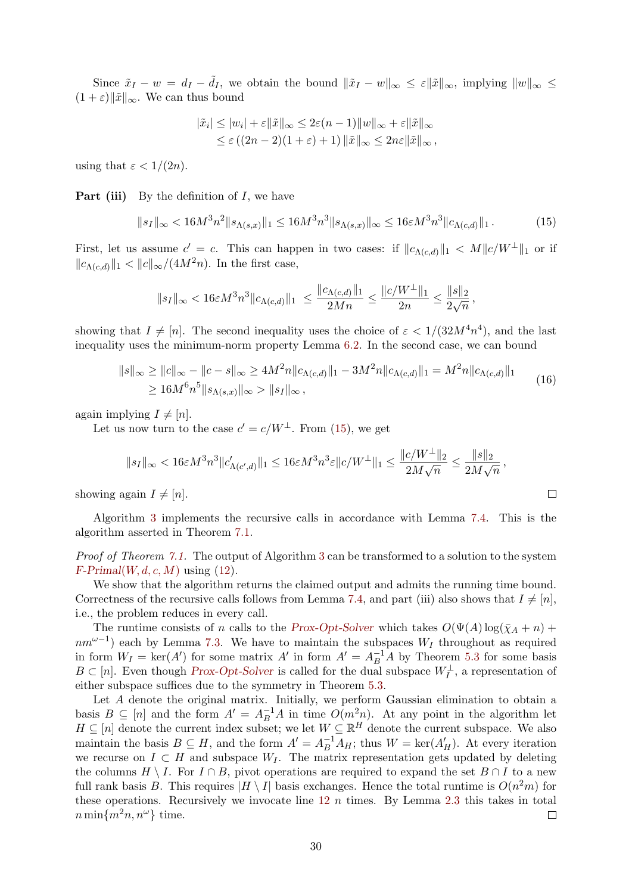Since  $\tilde{x}_I - w = d_I - \tilde{d}_I$ , we obtain the bound  $\|\tilde{x}_I - w\|_{\infty} \leq \varepsilon \|\tilde{x}\|_{\infty}$ , implying  $\|w\|_{\infty} \leq$  $(1 + \varepsilon)$ || $\tilde{x}$ ||<sub>∞</sub>. We can thus bound

<span id="page-29-0"></span>
$$
|\tilde{x}_i| \le |w_i| + \varepsilon ||\tilde{x}||_{\infty} \le 2\varepsilon(n-1) ||w||_{\infty} + \varepsilon ||\tilde{x}||_{\infty}
$$
  

$$
\le \varepsilon ((2n-2)(1+\varepsilon)+1) ||\tilde{x}||_{\infty} \le 2n\varepsilon ||\tilde{x}||_{\infty},
$$

using that  $\varepsilon < 1/(2n)$ .

**Part (iii)** By the definition of  $I$ , we have

$$
||s_I||_{\infty} < 16M^3n^2||s_{\Lambda(s,x)}||_1 \le 16M^3n^3||s_{\Lambda(s,x)}||_{\infty} \le 16\varepsilon M^3n^3||c_{\Lambda(c,d)}||_1.
$$
 (15)

First, let us assume  $c' = c$ . This can happen in two cases: if  $||c_{\Lambda(c,d)}||_1 < M||c/W^{\perp}||_1$  or if  $||c_{\Lambda(c,d)}||_1 < ||c||_{\infty}/(4M^2n)$ . In the first case,

$$
\|s_I\|_\infty < 16\varepsilon M^3n^3\|c_{\Lambda(c,d)}\|_1 \ \leq \frac{\|c_{\Lambda(c,d)}\|_1}{2Mn} \leq \frac{\|c/W^\perp\|_1}{2n} \leq \frac{\|s\|_2}{2\sqrt{n}},
$$

showing that  $I \neq [n]$ . The second inequality uses the choice of  $\varepsilon < 1/(32M^4n^4)$ , and the last inequality uses the minimum-norm property Lemma [6.2.](#page-20-0) In the second case, we can bound

$$
||s||_{\infty} \ge ||c||_{\infty} - ||c - s||_{\infty} \ge 4M^2n ||c_{\Lambda(c,d)}||_1 - 3M^2n ||c_{\Lambda(c,d)}||_1 = M^2n ||c_{\Lambda(c,d)}||_1
$$
  
\n
$$
\ge 16M^6n^5||s_{\Lambda(s,x)}||_{\infty} > ||s_I||_{\infty},
$$
\n(16)

again implying  $I \neq [n]$ .

Let us now turn to the case  $c' = c/W^{\perp}$ . From [\(15\)](#page-29-0), we get

$$
||s_I||_{\infty} < 16\varepsilon M^3 n^3 ||c'_{\Lambda(c',d)}||_1 \le 16\varepsilon M^3 n^3 \varepsilon ||c/W^{\perp}||_1 \le \frac{||c/W^{\perp}||_2}{2M\sqrt{n}} \le \frac{||s||_2}{2M\sqrt{n}},
$$

showing again  $I \neq [n]$ .

Algorithm [3](#page-30-0) implements the recursive calls in accordance with Lemma [7.4.](#page-27-6) This is the algorithm asserted in Theorem [7.1.](#page-24-3)

Proof of Theorem [7.1.](#page-24-3) The output of Algorithm [3](#page-30-0) can be transformed to a solution to the system  $F\text{-}Primal(W, d, c, M)$  $F\text{-}Primal(W, d, c, M)$  $F\text{-}Primal(W, d, c, M)$  using [\(12\)](#page-26-2).

We show that the algorithm returns the claimed output and admits the running time bound. Correctness of the recursive calls follows from Lemma [7.4,](#page-27-6) and part (iii) also shows that  $I \neq [n]$ , i.e., the problem reduces in every call.

The runtime consists of n calls to the [Prox-Opt-Solver](#page-25-1) which takes  $O(\Psi(A) \log(\bar{\chi}_A + n) +$  $nm^{\omega-1}$ ) each by Lemma [7.3.](#page-26-3) We have to maintain the subspaces  $W_I$  throughout as required in form  $W_I = \text{ker}(A')$  for some matrix  $A'$  in form  $A' = A_B^{-1}A$  by Theorem [5.3](#page-18-1) for some basis  $B \subset [n]$ . Even though [Prox-Opt-Solver](#page-25-1) is called for the dual subspace  $W_I^{\perp}$ , a representation of either subspace suffices due to the symmetry in Theorem [5.3.](#page-18-1)

Let A denote the original matrix. Initially, we perform Gaussian elimination to obtain a basis  $B \subseteq [n]$  and the form  $A' = A_B^{-1}A$  in time  $O(m^2n)$ . At any point in the algorithm let  $H \subseteq [n]$  denote the current index subset; we let  $W \subseteq \mathbb{R}^H$  denote the current subspace. We also maintain the basis  $B \subseteq H$ , and the form  $A' = A_B^{-1} A_H$ ; thus  $W = \text{ker}(A'_H)$ . At every iteration we recurse on  $I \subset H$  and subspace  $W_I$ . The matrix representation gets updated by deleting the columns  $H \setminus I$ . For  $I \cap B$ , pivot operations are required to expand the set  $B \cap I$  to a new full rank basis B. This requires  $|H \setminus I|$  basis exchanges. Hence the total runtime is  $O(n^2m)$  for these operations. Recursively we invocate line  $12\ n$  $12\ n$  times. By Lemma [2.3](#page-9-4) this takes in total  $n \min\{m^2n, n^\omega\}$  time.  $\Box$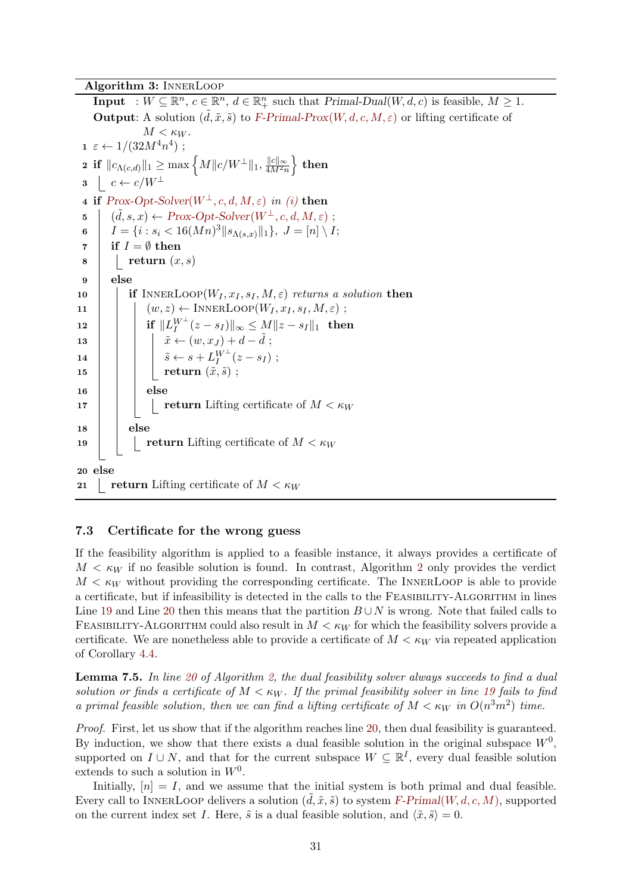Algorithm 3: InnerLoop

<span id="page-30-0"></span>**Input** :  $W \subseteq \mathbb{R}^n$ ,  $c \in \mathbb{R}^n$ ,  $d \in \mathbb{R}^n$  such that  $Primal-Dual(W, d, c)$  is feasible,  $M \geq 1$ . **Output:** A solution  $(\tilde{d}, \tilde{x}, \tilde{s})$  to [F-Primal-Prox](#page-26-1)(W, d, c, M,  $\varepsilon$ ) or lifting certificate of  $M < \kappa_W$ .  $\tau \in \leftarrow 1/(32M^4n^4);$  $\textbf{2 if } \|c_{\Lambda(c, d)}\|_1 \geq \max\left\{M\|c/W^{\perp}\|_1, \frac{\|c\|_\infty}{4M^2r}\right\}$  $\frac{\|c\|_{\infty}}{4M^2n} \Big\}$  then  $3 \mid c \leftarrow c/W^{\perp}$ 4 if  $Prox-Opt-Solver(W^{\perp}, c, d, M, \varepsilon)$  $Prox-Opt-Solver(W^{\perp}, c, d, M, \varepsilon)$  in [\(i\)](#page-27-7) then 5 (  $(\tilde{d}, s, x) \leftarrow Prox\text{-}Obt\text{-}Solver(W^{\perp}, c, d, M, \varepsilon)$ ; 6  $I = \{i : s_i < 16(Mn)^3 \|s_{\Lambda(s,x)}\|_1\}, J = [n] \setminus I;$  $\tau$  if  $I = \emptyset$  then  $\mathbf{s}$  | return  $(x, s)$ 9 else 10 if INNERLOOP $(W_I, x_I, s_I, M, \varepsilon)$  returns a solution then 11  $\vert \vert \vert (w, z) \leftarrow \text{INNERLoop}(W_I, x_I, s_I, M, \varepsilon)$ ;  $\begin{array}{lll} \textbf{12} & \quad \quad \mid & \quad \quad \text{if} \ \ \|L_I^{W^\perp}(z-s_I)\|_\infty \leq M\|z-s_I\|_1 & \textbf{then} \end{array}$ 13  $\begin{vmatrix} \n\end{vmatrix}$   $\begin{vmatrix} \tilde{x} \leftarrow (w, x_J) + d - \tilde{d} \n\end{vmatrix}$ ;  $\begin{array}{|c|c|c|}\hline \ \textbf{14} & & \end{array} \begin{array}{|c|c|c|}\hline \ \tilde s &\leftarrow s + L_I^{W^\perp}(z-s_I) \; ; \end{array}$  $\begin{array}{|c|c|c|}\hline \text{\bf{15}}& & \text{\bf{16}}& \text{\bf{17}}& \text{\bf{18}}& \text{\bf{18}}& \text{\bf{18}}& \text{\bf{18}}& \text{\bf{18}}& \text{\bf{18}}& \text{\bf{18}}& \text{\bf{18}}& \text{\bf{18}}& \text{\bf{18}}& \text{\bf{18}}& \text{\bf{18}}& \text{\bf{18}}& \text{\bf{18}}& \text{\bf{18}}& \text{\bf{18}}& \text{\bf{18}}& \text{\bf{18}}& \text{\bf{18}}& \text{\bf{1$  $16$  else 17 | | | return Lifting certificate of  $M < \kappa_W$  $18$  else 19 **return** Lifting certificate of  $M < \kappa_W$ 20 else 21 return Lifting certificate of  $M < \kappa_W$ 

#### <span id="page-30-2"></span>7.3 Certificate for the wrong guess

If the feasibility algorithm is applied to a feasible instance, it always provides a certificate of  $M < \kappa_W$  if no feasible solution is found. In contrast, Algorithm [2](#page-25-1) only provides the verdict  $M < \kappa_W$  without providing the corresponding certificate. The INNERLOOP is able to provide a certificate, but if infeasibility is detected in the calls to the Feasibility-Algorithm in lines Line [19](#page-25-2) and Line [20](#page-25-3) then this means that the partition  $B \cup N$  is wrong. Note that failed calls to FEASIBILITY-ALGORITHM could also result in  $M < \kappa_W$  for which the feasibility solvers provide a certificate. We are nonetheless able to provide a certificate of  $M < \kappa_W$  via repeated application of Corollary [4.4.](#page-17-1)

<span id="page-30-1"></span>**Lemma 7.5.** In line [20](#page-25-3) of Algorithm [2,](#page-25-1) the dual feasibility solver always succeeds to find a dual solution or finds a certificate of  $M < \kappa_W$ . If the primal feasibility solver in line [19](#page-25-2) fails to find a primal feasible solution, then we can find a lifting certificate of  $M < \kappa_W$  in  $O(n^3m^2)$  time.

Proof. First, let us show that if the algorithm reaches line [20,](#page-25-3) then dual feasibility is guaranteed. By induction, we show that there exists a dual feasible solution in the original subspace  $W<sup>0</sup>$ , supported on  $I \cup N$ , and that for the current subspace  $W \subseteq \mathbb{R}^I$ , every dual feasible solution extends to such a solution in  $W^0$ .

Initially,  $[n] = I$ , and we assume that the initial system is both primal and dual feasible. Every call to INNERLOOP delivers a solution  $(d, \tilde{x}, \tilde{s})$  to system F-Primal([W, d, c, M](#page-24-1)), supported on the current index set I. Here,  $\tilde{s}$  is a dual feasible solution, and  $\langle \tilde{x}, \tilde{s} \rangle = 0$ .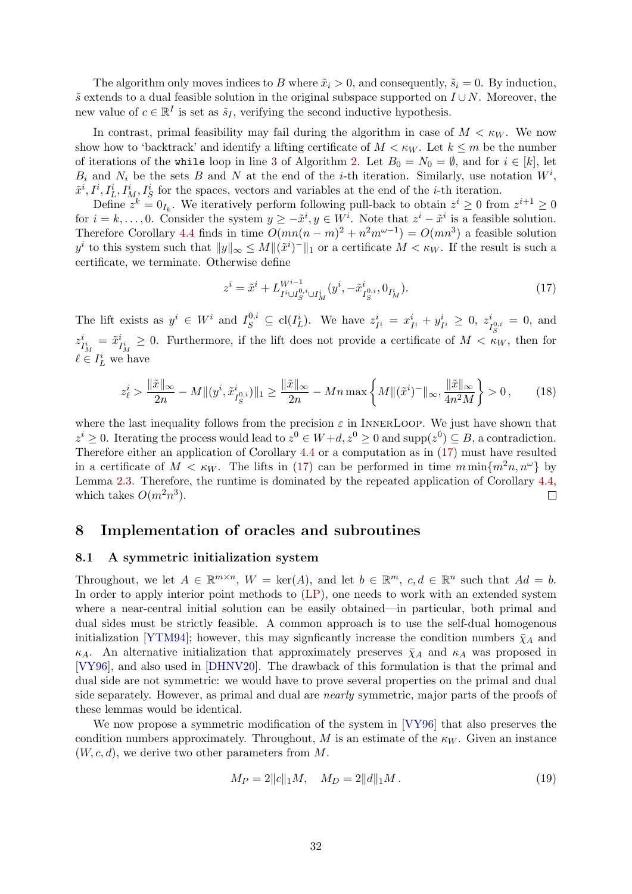<span id="page-31-4"></span>The algorithm only moves indices to B where  $\tilde{x}_i > 0$ , and consequently,  $\tilde{s}_i = 0$ . By induction,  $\tilde{s}$  extends to a dual feasible solution in the original subspace supported on  $I \cup N$ . Moreover, the new value of  $c \in \mathbb{R}^I$  is set as  $\tilde{s}_I$ , verifying the second inductive hypothesis.

In contrast, primal feasibility may fail during the algorithm in case of  $M < \kappa_W$ . We now show how to 'backtrack' and identify a lifting certificate of  $M < \kappa_W$ . Let  $k \leq m$  be the number of iterations of the while loop in line [3](#page-25-4) of Algorithm [2.](#page-25-1) Let  $B_0 = N_0 = \emptyset$ , and for  $i \in [k]$ , let  $B_i$  and  $N_i$  be the sets B and N at the end of the *i*-th iteration. Similarly, use notation  $W^i$ ,  $\tilde{x}^i, I^i, I^i_L, I^i_M, I^i_S$  for the spaces, vectors and variables at the end of the *i*-th iteration.

Define  $z^k = 0_{I_k}$ . We iteratively perform following pull-back to obtain  $z^i \ge 0$  from  $z^{i+1} \ge 0$ for  $i = k, \ldots, 0$ . Consider the system  $y \geq -\tilde{x}^i, y \in W^i$ . Note that  $z^i - \tilde{x}^i$  is a feasible solution. Therefore Corollary [4.4](#page-17-1) finds in time  $O(mn(n-m)^2 + n^2m^{\omega-1}) = O(mn^3)$  a feasible solution  $y^i$  to this system such that  $||y||_{\infty} \leq M ||(\tilde{x}^i)^-||_1$  or a certificate  $M < \kappa_W$ . If the result is such a certificate, we terminate. Otherwise define

<span id="page-31-2"></span>
$$
z^{i} = \tilde{x}^{i} + L_{I^{i} \cup I_{S}^{0,i} \cup I_{M}^{i}}^{W^{i-1}}(y^{i}, -\tilde{x}_{I_{S}^{0,i}}^{i}, 0_{I_{M}^{i}}).
$$
\n(17)

The lift exists as  $y^i \in W^i$  and  $I_S^{0,i} \subseteq \text{cl}(I_L^i)$ . We have  $z_{I^i}^i = x_{I^i}^i + y_{I^i}^i \geq 0$ ,  $z_I^i$  $I_{S}^{i} = 0$ , and  $z_i^i$  $i_{I_M^i} = \tilde{x}_I^i$  $I_{I_M}^i \geq 0$ . Furthermore, if the lift does not provide a certificate of  $M < \kappa_W$ , then for  $\ell \in I_L^i$  we have

$$
z_{\ell}^{i} > \frac{\|\tilde{x}\|_{\infty}}{2n} - M\|(y^{i}, \tilde{x}_{I_{S}^{0,i}}^{i})\|_{1} \ge \frac{\|\tilde{x}\|_{\infty}}{2n} - Mn\max\left\{M\|(\tilde{x}^{i})^{-}\|_{\infty}, \frac{\|\tilde{x}\|_{\infty}}{4n^{2}M}\right\} > 0,
$$
 (18)

where the last inequality follows from the precision  $\varepsilon$  in INNERLOOP. We just have shown that  $z^i \geq 0$ . Iterating the process would lead to  $z^0 \in W + d$ ,  $z^0 \geq 0$  and supp $(z^0) \subseteq B$ , a contradiction. Therefore either an application of Corollary [4.4](#page-17-1) or a computation as in [\(17\)](#page-31-2) must have resulted in a certificate of  $M < \kappa_W$ . The lifts in [\(17\)](#page-31-2) can be performed in time  $m \min\{m^2n, n^{\omega}\}\$  by Lemma [2.3.](#page-9-4) Therefore, the runtime is dominated by the repeated application of Corollary [4.4,](#page-17-1) which takes  $O(m^2n^3)$ .  $\Box$ 

# <span id="page-31-1"></span>8 Implementation of oracles and subroutines

#### <span id="page-31-0"></span>8.1 A symmetric initialization system

Throughout, we let  $A \in \mathbb{R}^{m \times n}$ ,  $W = \text{ker}(A)$ , and let  $b \in \mathbb{R}^m$ ,  $c, d \in \mathbb{R}^n$  such that  $Ad = b$ . In order to apply interior point methods to [\(LP\)](#page-1-0), one needs to work with an extended system where a near-central initial solution can be easily obtained—in particular, both primal and dual sides must be strictly feasible. A common approach is to use the self-dual homogenous initialization [\[YTM94\]](#page-42-12); however, this may signficantly increase the condition numbers  $\bar{\chi}_A$  and  $\kappa_A$ . An alternative initialization that approximately preserves  $\bar{\chi}_A$  and  $\kappa_A$  was proposed in [\[VY96\]](#page-42-3), and also used in [\[DHNV20\]](#page-40-5). The drawback of this formulation is that the primal and dual side are not symmetric: we would have to prove several properties on the primal and dual side separately. However, as primal and dual are nearly symmetric, major parts of the proofs of these lemmas would be identical.

We now propose a symmetric modification of the system in [\[VY96\]](#page-42-3) that also preserves the condition numbers approximately. Throughout, M is an estimate of the  $\kappa_W$ . Given an instance  $(W, c, d)$ , we derive two other parameters from M.

<span id="page-31-3"></span>
$$
M_P = 2||c||_1M, \quad M_D = 2||d||_1M. \tag{19}
$$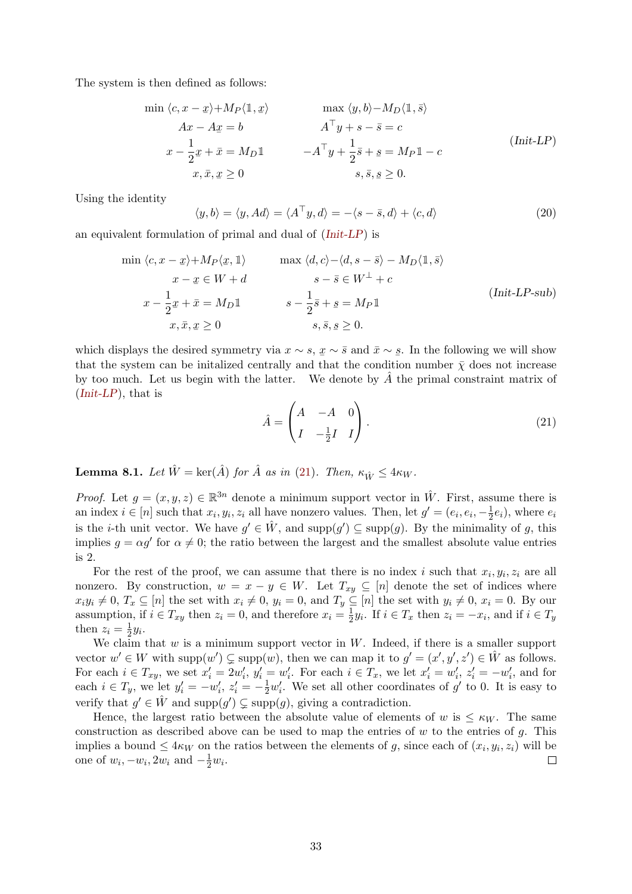The system is then defined as follows:

<span id="page-32-0"></span>
$$
\min \langle c, x - \underline{x} \rangle + M_P \langle \mathbb{1}, \underline{x} \rangle \qquad \max \langle y, b \rangle - M_D \langle \mathbb{1}, \overline{s} \rangle
$$
  
\n
$$
Ax - Ax = b \qquad A^{\top} y + s - \overline{s} = c
$$
  
\n
$$
x - \frac{1}{2} \underline{x} + \overline{x} = M_D \mathbb{1} \qquad -A^{\top} y + \frac{1}{2} \overline{s} + \underline{s} = M_P \mathbb{1} - c
$$
  
\n
$$
x, \overline{x}, \underline{x} \ge 0 \qquad s, \overline{s}, \underline{s} \ge 0.
$$
\n
$$
(Init-LP)
$$

Using the identity

<span id="page-32-1"></span>
$$
\langle y, b \rangle = \langle y, Ad \rangle = \langle A^{\top} y, d \rangle = -\langle s - \bar{s}, d \rangle + \langle c, d \rangle \tag{20}
$$

an equivalent formulation of primal and dual of ([Init-LP](#page-32-0)) is

$$
\min \langle c, x - \underline{x} \rangle + M_P \langle \underline{x}, \mathbb{1} \rangle \qquad \max \langle d, c \rangle - \langle d, s - \overline{s} \rangle - M_D \langle \mathbb{1}, \overline{s} \rangle
$$
\n
$$
x - \underline{x} \in W + d \qquad s - \overline{s} \in W^{\perp} + c
$$
\n
$$
x - \frac{1}{2} \underline{x} + \overline{x} = M_D \mathbb{1} \qquad s - \frac{1}{2} \overline{s} + \underline{s} = M_P \mathbb{1}
$$
\n
$$
x, \overline{x}, \underline{x} \ge 0 \qquad s, \overline{s}, \underline{s} \ge 0.
$$
\n(Init-LP-sub)

<span id="page-32-2"></span>which displays the desired symmetry via  $x \sim s$ ,  $x \sim \bar{s}$  and  $\bar{x} \sim s$ . In the following we will show that the system can be initialized centrally and that the condition number  $\bar{\chi}$  does not increase by too much. Let us begin with the latter. We denote by  $\hat{A}$  the primal constraint matrix of  $(Init-LP)$  $(Init-LP)$  $(Init-LP)$ , that is

$$
\hat{A} = \begin{pmatrix} A & -A & 0 \\ I & -\frac{1}{2}I & I \end{pmatrix}.
$$
\n(21)

**Lemma 8.1.** Let  $\hat{W} = \ker(\hat{A})$  for  $\hat{A}$  as in [\(21\)](#page-32-2). Then,  $\kappa_{\hat{W}} \leq 4\kappa_W$ .

*Proof.* Let  $g = (x, y, z) \in \mathbb{R}^{3n}$  denote a minimum support vector in  $\hat{W}$ . First, assume there is an index  $i \in [n]$  such that  $x_i, y_i, z_i$  all have nonzero values. Then, let  $g' = (e_i, e_i, -\frac{1}{2})$  $(\frac{1}{2}e_i)$ , where  $e_i$ is the *i*-th unit vector. We have  $g' \in \hat{W}$ , and supp $(g') \subseteq \text{supp}(g)$ . By the minimality of g, this implies  $g = \alpha g'$  for  $\alpha \neq 0$ ; the ratio between the largest and the smallest absolute value entries is 2.

For the rest of the proof, we can assume that there is no index i such that  $x_i, y_i, z_i$  are all nonzero. By construction,  $w = x - y \in W$ . Let  $T_{xy} \subseteq [n]$  denote the set of indices where  $x_i y_i \neq 0, T_x \subseteq [n]$  the set with  $x_i \neq 0, y_i = 0$ , and  $T_y \subseteq [n]$  the set with  $y_i \neq 0, x_i = 0$ . By our assumption, if  $i \in T_{xy}$  then  $z_i = 0$ , and therefore  $x_i = \frac{1}{2}$  $\frac{1}{2}y_i$ . If  $i \in T_x$  then  $z_i = -x_i$ , and if  $i \in T_y$ then  $z_i = \frac{1}{2}$  $rac{1}{2}y_i.$ 

We claim that  $w$  is a minimum support vector in  $W$ . Indeed, if there is a smaller support vector  $w' \in W$  with  $\text{supp}(w') \subsetneq \text{supp}(w)$ , then we can map it to  $g' = (x', y', z') \in \hat{W}$  as follows. For each  $i \in T_{xy}$ , we set  $x'_i = 2w'_i$ ,  $y'_i = w'_i$ . For each  $i \in T_x$ , we let  $x'_i = w'_i$ ,  $z'_i = -w'_i$ , and for each  $i \in T_y$ , we let  $y'_i = -w'_i$ ,  $z'_i = -\frac{1}{2}w'_i$ . We set all other coordinates of  $g'$  to 0. It is easy to verify that  $g' \in \hat{W}$  and  $\text{supp}(g') \subsetneq \text{supp}(g)$ , giving a contradiction.

Hence, the largest ratio between the absolute value of elements of w is  $\lt$   $\kappa_W$ . The same construction as described above can be used to map the entries of  $w$  to the entries of  $g$ . This implies a bound  $\leq 4\kappa_W$  on the ratios between the elements of g, since each of  $(x_i, y_i, z_i)$  will be one of  $w_i, -w_i, 2w_i$  and  $-\frac{1}{2}w_i$ .  $\Box$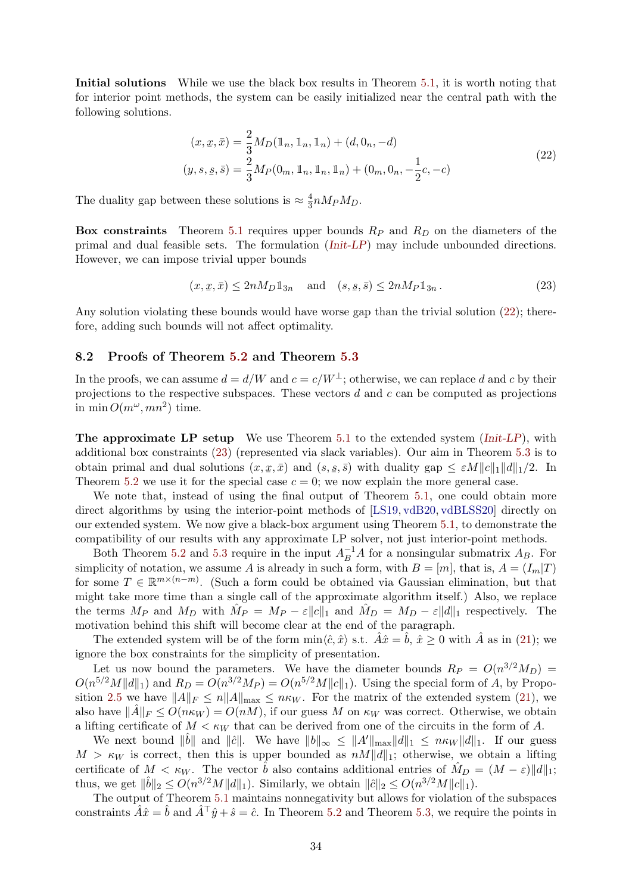<span id="page-33-2"></span>Initial solutions While we use the black box results in Theorem [5.1,](#page-17-3) it is worth noting that for interior point methods, the system can be easily initialized near the central path with the following solutions.

<span id="page-33-0"></span>
$$
(x, \bar{x}, \bar{x}) = \frac{2}{3} M_D(\mathbb{1}_n, \mathbb{1}_n, \mathbb{1}_n) + (d, 0_n, -d)
$$
  

$$
(y, s, \bar{s}, \bar{s}) = \frac{2}{3} M_P(0_m, \mathbb{1}_n, \mathbb{1}_n, \mathbb{1}_n) + (0_m, 0_n, -\frac{1}{2}c, -c)
$$
 (22)

The duality gap between these solutions is  $\approx \frac{4}{3}$  $\frac{4}{3} n M_P M_D$ .

**Box constraints** Theorem [5.1](#page-17-3) requires upper bounds  $R_P$  and  $R_D$  on the diameters of the primal and dual feasible sets. The formulation ([Init-LP](#page-32-0)) may include unbounded directions. However, we can impose trivial upper bounds

<span id="page-33-1"></span>
$$
(x, \underline{x}, \bar{x}) \le 2nM_D \mathbb{1}_{3n} \quad \text{and} \quad (s, \underline{s}, \bar{s}) \le 2nM_P \mathbb{1}_{3n} \,. \tag{23}
$$

Any solution violating these bounds would have worse gap than the trivial solution [\(22\)](#page-33-0); therefore, adding such bounds will not affect optimality.

#### 8.2 Proofs of Theorem [5.2](#page-18-0) and Theorem [5.3](#page-18-1)

In the proofs, we can assume  $d = d/W$  and  $c = c/W^{\perp}$ ; otherwise, we can replace d and c by their projections to the respective subspaces. These vectors  $d$  and  $c$  can be computed as projections in min  $O(m^{\omega}, mn^2)$  time.

**The approximate LP setup** We use Theorem [5.1](#page-17-3) to the extended system  $(Init-LP)$  $(Init-LP)$  $(Init-LP)$ , with additional box constraints [\(23\)](#page-33-1) (represented via slack variables). Our aim in Theorem [5.3](#page-18-1) is to obtain primal and dual solutions  $(x, \underline{x}, \overline{x})$  and  $(s, \underline{s}, \overline{s})$  with duality gap  $\leq \varepsilon M ||c||_1 ||d||_1/2$ . In Theorem [5.2](#page-18-0) we use it for the special case  $c = 0$ ; we now explain the more general case.

We note that, instead of using the final output of Theorem [5.1,](#page-17-3) one could obtain more direct algorithms by using the interior-point methods of [\[LS19,](#page-41-9) [vdB20,](#page-42-6) [vdBLSS20\]](#page-42-7) directly on our extended system. We now give a black-box argument using Theorem [5.1,](#page-17-3) to demonstrate the compatibility of our results with any approximate LP solver, not just interior-point methods.

Both Theorem [5.2](#page-18-0) and [5.3](#page-18-1) require in the input  $A_B^{-1}A$  for a nonsingular submatrix  $A_B$ . For simplicity of notation, we assume A is already in such a form, with  $B = [m]$ , that is,  $A = (I_m|T)$ for some  $T \in \mathbb{R}^{m \times (n-m)}$ . (Such a form could be obtained via Gaussian elimination, but that might take more time than a single call of the approximate algorithm itself.) Also, we replace the terms  $M_P$  and  $M_D$  with  $\hat{M}_P = M_P - \varepsilon ||c||_1$  and  $\hat{M}_D = M_D - \varepsilon ||d||_1$  respectively. The motivation behind this shift will become clear at the end of the paragraph.

The extended system will be of the form  $\min\langle \hat{c}, \hat{x} \rangle$  s.t.  $\hat{A}\hat{x} = \hat{b}, \hat{x} > 0$  with  $\hat{A}$  as in [\(21\)](#page-32-2); we ignore the box constraints for the simplicity of presentation.

Let us now bound the parameters. We have the diameter bounds  $R_P = O(n^{3/2}M_D)$  =  $O(n^{5/2}M||d||_1)$  and  $R_D = O(n^{3/2}M_P) = O(n^{5/2}M||c||_1)$ . Using the special form of A, by Propo-sition [2.5](#page-10-2) we have  $||A||_F \leq n||A||_{\max} \leq n\kappa_W$ . For the matrix of the extended system [\(21\)](#page-32-2), we also have  $\|\tilde{A}\|_F \leq O(n\kappa_W) = O(nM)$ , if our guess M on  $\kappa_W$  was correct. Otherwise, we obtain a lifting certificate of  $M < \kappa_W$  that can be derived from one of the circuits in the form of A.

We next bound  $\|\hat{b}\|$  and  $\|\hat{c}\|$ . We have  $\|b\|_{\infty} \leq \|A'\|_{\max} \|d\|_{1} \leq n\kappa_{W} \|d\|_{1}$ . If our guess  $M > \kappa_W$  is correct, then this is upper bounded as  $nM||d||_1$ ; otherwise, we obtain a lifting certificate of  $M < \kappa_W$ . The vector  $\hat{b}$  also contains additional entries of  $\hat{M}_D = (M - \varepsilon) \|d\|_1$ ; thus, we get  $\|\hat{b}\|_2 \le O(n^{3/2}M \|d\|_1)$ . Similarly, we obtain  $\|\hat{c}\|_2 \le O(n^{3/2}M \|c\|_1)$ .

The output of Theorem [5.1](#page-17-3) maintains nonnegativity but allows for violation of the subspaces constraints  $\hat{A}\hat{x} = \hat{b}$  and  $\hat{A}^{\top}\hat{y} + \hat{s} = \hat{c}$ . In Theorem [5.2](#page-18-0) and Theorem [5.3,](#page-18-1) we require the points in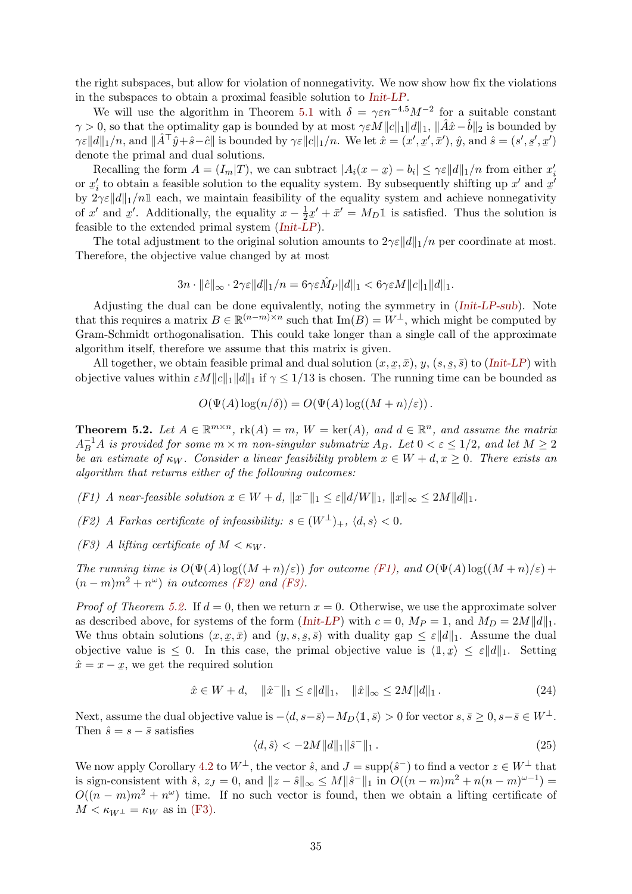the right subspaces, but allow for violation of nonnegativity. We now show how fix the violations in the subspaces to obtain a proximal feasible solution to [Init-LP](#page-32-0).

We will use the algorithm in Theorem [5.1](#page-17-3) with  $\delta = \gamma \varepsilon n^{-4.5} M^{-2}$  for a suitable constant  $\gamma > 0$ , so that the optimality gap is bounded by at most  $\gamma \in M||c||_1||d||_1$ ,  $\|\hat{A}\hat{x}-\hat{b}\|_2$  is bounded by  $\gamma \varepsilon ||d||_1/n$ , and  $||\hat{A}^\top \hat{y} + \hat{s} - \hat{c}||$  is bounded by  $\gamma \varepsilon ||c||_1/n$ . We let  $\hat{x} = (x', \underline{x}', \overline{x}')$ ,  $\hat{y}$ , and  $\hat{s} = (s', \underline{s}', \underline{x}')$ denote the primal and dual solutions.

Recalling the form  $A = (I_m | T)$ , we can subtract  $|A_i(x - \underline{x}) - b_i| \leq \gamma \varepsilon ||d||_1/n$  from either  $x_i'$ or  $x_i'$  to obtain a feasible solution to the equality system. By subsequently shifting up x' and  $x_i'$ by  $2\gamma \varepsilon ||d||_1/n1$  each, we maintain feasibility of the equality system and achieve nonnegativity of x' and x'. Additionally, the equality  $x - \frac{1}{2}$ feasible to the extended primal system  $(Init-LP)$  $(Init-LP)$  $(Init-LP)$ .  $\frac{1}{2}x' + \bar{x}' = M_D \mathbb{1}$  is satisfied. Thus the solution is

The total adjustment to the original solution amounts to  $2\gamma \varepsilon ||d||_1/n$  per coordinate at most. Therefore, the objective value changed by at most

$$
3n\cdot ||\hat{c}||_{\infty}\cdot 2\gamma \varepsilon||d||_1/n=6\gamma \varepsilon \hat{M}_P||d||_1<6\gamma \varepsilon M||c||_1||d||_1.
$$

Adjusting the dual can be done equivalently, noting the symmetry in ([Init-LP-sub](#page-32-1)). Note that this requires a matrix  $B \in \mathbb{R}^{(n-m)\times n}$  such that  $\text{Im}(B) = W^{\perp}$ , which might be computed by Gram-Schmidt orthogonalisation. This could take longer than a single call of the approximate algorithm itself, therefore we assume that this matrix is given.

All together, we obtain feasible primal and dual solution  $(x, \underline{x}, \overline{x}), y, (s, \underline{s}, \overline{s})$  to ([Init-LP](#page-32-0)) with objective values within  $\varepsilon M \|c\|_1 \|d\|_1$  if  $\gamma \le 1/13$  is chosen. The running time can be bounded as

$$
O(\Psi(A) \log(n/\delta)) = O(\Psi(A) \log((M+n)/\varepsilon)).
$$

**Theorem 5.2.** Let  $A \in \mathbb{R}^{m \times n}$ ,  $\text{rk}(A) = m$ ,  $W = \text{ker}(A)$ , and  $d \in \mathbb{R}^n$ , and assume the matrix  $A_B^{-1}A$  is provided for some  $m \times m$  non-singular submatrix  $A_B$ . Let  $0 < \varepsilon \leq 1/2$ , and let  $M \geq 2$ be an estimate of  $\kappa_W$ . Consider a linear feasibility problem  $x \in W + d, x \geq 0$ . There exists an algorithm that returns either of the following outcomes:

- (F1) A near-feasible solution  $x \in W + d$ ,  $||x^-||_1 \leq \varepsilon ||d/W||_1$ ,  $||x||_{\infty} \leq 2M||d||_1$ .
- (F2) A Farkas certificate of infeasibility:  $s \in (W^{\perp})_{+}$ ,  $\langle d, s \rangle < 0$ .
- (F3) A lifting certificate of  $M < \kappa_W$ .

The running time is  $O(\Psi(A) \log((M+n)/\varepsilon))$  for outcome [\(F1\),](#page-18-2) and  $O(\Psi(A) \log((M+n)/\varepsilon))$  +  $(n-m)m^2 + n^{\omega})$  in outcomes [\(F2\)](#page-18-3) and [\(F3\).](#page-18-4)

*Proof of Theorem [5.2.](#page-18-0)* If  $d = 0$ , then we return  $x = 0$ . Otherwise, we use the approximate solver as described above, for systems of the form ([Init-LP](#page-32-0)) with  $c = 0$ ,  $M_P = 1$ , and  $M_D = 2M||d||_1$ . We thus obtain solutions  $(x, \underline{x}, \overline{x})$  and  $(y, s, \underline{s}, \overline{s})$  with duality gap  $\leq \varepsilon ||d||_1$ . Assume the dual objective value is  $\leq 0$ . In this case, the primal objective value is  $\langle 1, x \rangle \leq \varepsilon ||d||_1$ . Setting  $\hat{x} = x - x$ , we get the required solution

$$
\hat{x} \in W + d, \quad \|\hat{x}^{-}\|_{1} \le \varepsilon \|d\|_{1}, \quad \|\hat{x}\|_{\infty} \le 2M \|d\|_{1}.
$$
 (24)

Next, assume the dual objective value is  $-\langle d, s-\overline{s}\rangle - M_D\langle \mathbb{1}, \overline{s}\rangle > 0$  for vector  $s, \overline{s} \geq 0, s-\overline{s} \in W^{\perp}$ . Then  $\hat{s} = s - \bar{s}$  satisfies

$$
\langle d, \hat{s} \rangle < -2M \|d\|_1 \|\hat{s}^-\|_1. \tag{25}
$$

We now apply Corollary [4.2](#page-16-2) to  $W^{\perp}$ , the vector  $\hat{s}$ , and  $J = \text{supp}(\hat{s}^-)$  to find a vector  $z \in W^{\perp}$  that is sign-consistent with  $\hat{s}$ ,  $z_j = 0$ , and  $||z - \hat{s}||_{\infty} \le M||\hat{s}^{-}||_1$  in  $O((n-m)m^2 + n(n-m)^{\omega-1}) =$  $O((n-m)m^2 + n^{\omega})$  time. If no such vector is found, then we obtain a lifting certificate of  $M < \kappa_{W^{\perp}} = \kappa_W$  as in [\(F3\).](#page-18-4)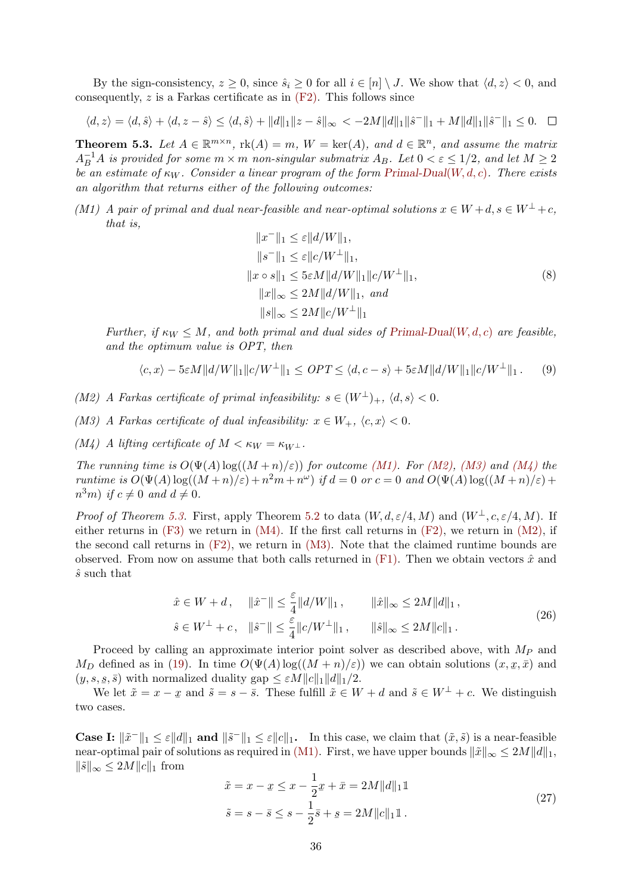By the sign-consistency,  $z \geq 0$ , since  $\hat{s}_i \geq 0$  for all  $i \in [n] \setminus J$ . We show that  $\langle d, z \rangle < 0$ , and consequently,  $z$  is a Farkas certificate as in  $(F2)$ . This follows since

$$
\langle d, z \rangle = \langle d, \hat{s} \rangle + \langle d, z - \hat{s} \rangle \le \langle d, \hat{s} \rangle + ||d||_1 ||z - \hat{s}||_{\infty} < -2M||d||_1 ||\hat{s}^-||_1 + M||d||_1 ||\hat{s}^-||_1 \le 0. \quad \Box
$$

**Theorem 5.3.** Let  $A \in \mathbb{R}^{m \times n}$ ,  $rk(A) = m$ ,  $W = ker(A)$ , and  $d \in \mathbb{R}^n$ , and assume the matrix  $A_B^{-1}A$  is provided for some  $m \times m$  non-singular submatrix  $A_B$ . Let  $0 < \varepsilon \leq 1/2$ , and let  $M \geq 2$ be an estimate of  $\kappa_W$ . Consider a linear program of the form [Primal-Dual](#page-8-0)(W, d, c). There exists an algorithm that returns either of the following outcomes:

(M1) A pair of primal and dual near-feasible and near-optimal solutions  $x \in W + d$ ,  $s \in W^{\perp} + c$ , that is,

$$
||x^{-}||_{1} \leq \varepsilon ||d/W||_{1},
$$
  
\n
$$
||s^{-}||_{1} \leq \varepsilon ||c/W^{\perp}||_{1},
$$
  
\n
$$
||x \circ s||_{1} \leq 5\varepsilon M ||d/W||_{1} ||c/W^{\perp}||_{1},
$$
  
\n
$$
||x||_{\infty} \leq 2M ||d/W||_{1}, and
$$
  
\n
$$
||s||_{\infty} \leq 2M ||c/W^{\perp}||_{1}
$$
  
\n(8)

Further, if  $\kappa_W \leq M$ , and both primal and dual sides of [Primal-Dual](#page-8-0)(W, d, c) are feasible, and the optimum value is OPT, then

$$
\langle c, x \rangle - 5\varepsilon M \|d/W\|_1 \|c/W^{\perp}\|_1 \leq OPT \leq \langle d, c - s \rangle + 5\varepsilon M \|d/W\|_1 \|c/W^{\perp}\|_1. \tag{9}
$$

(M2) A Farkas certificate of primal infeasibility:  $s \in (W^{\perp})_{+}$ ,  $\langle d, s \rangle < 0$ .

(M3) A Farkas certificate of dual infeasibility:  $x \in W_+$ ,  $\langle c, x \rangle < 0$ .

(M4) A lifting certificate of  $M < \kappa_W = \kappa_{W^{\perp}}$ .

The running time is  $O(\Psi(A) \log((M+n)/\varepsilon))$  for outcome [\(M1\).](#page-18-5) For [\(M2\),](#page-19-1) [\(M3\)](#page-19-2) and [\(M4\)](#page-19-3) the runtime is  $O(\Psi(A) \log((M+n)/\varepsilon) + n^2m + n^{\omega})$  if  $d = 0$  or  $c = 0$  and  $O(\Psi(A) \log((M+n)/\varepsilon) +$  $n^3m$ ) if  $c \neq 0$  and  $d \neq 0$ .

*Proof of Theorem [5.3.](#page-18-1)* First, apply Theorem [5.2](#page-18-0) to data  $(W, d, \varepsilon/4, M)$  and  $(W^{\perp}, c, \varepsilon/4, M)$ . If either returns in  $(F3)$  we return in  $(M4)$ . If the first call returns in  $(F2)$ , we return in  $(M2)$ , if the second call returns in  $(F2)$ , we return in  $(M3)$ . Note that the claimed runtime bounds are observed. From now on assume that both calls returned in  $(F1)$ . Then we obtain vectors  $\hat{x}$  and  $\hat{s}$  such that

$$
\hat{x} \in W + d, \quad \|\hat{x}^{-}\| \le \frac{\varepsilon}{4} \|d/W\|_1, \qquad \|\hat{x}\|_{\infty} \le 2M \|d\|_1,
$$
  

$$
\hat{s} \in W^{\perp} + c, \quad \|\hat{s}^{-}\| \le \frac{\varepsilon}{4} \|c/W^{\perp}\|_1, \qquad \|\hat{s}\|_{\infty} \le 2M \|c\|_1.
$$
 (26)

Proceed by calling an approximate interior point solver as described above, with  $M_P$  and  $M_D$  defined as in [\(19\)](#page-31-3). In time  $O(\Psi(A) \log((M+n)/\varepsilon))$  we can obtain solutions  $(x, x, \bar{x})$  and  $(y, s, \underline{s}, \overline{s})$  with normalized duality gap  $\leq \varepsilon M ||c||_1 ||d||_1/2$ .

We let  $\tilde{x} = x - \tilde{x}$  and  $\tilde{s} = s - \bar{s}$ . These fulfill  $\tilde{x} \in W + d$  and  $\tilde{s} \in W^{\perp} + c$ . We distinguish two cases.

**Case I:**  $\|\tilde{x}^{-}\|_1 \leq \varepsilon \|a\|_1$  and  $\|\tilde{s}^{-}\|_1 \leq \varepsilon \|c\|_1$ . In this case, we claim that  $(\tilde{x}, \tilde{s})$  is a near-feasible near-optimal pair of solutions as required in [\(M1\).](#page-18-5) First, we have upper bounds  $\|\tilde{x}\|_{\infty} \le 2M||d||_1$ ,  $\|\tilde{s}\|_{\infty}$  ≤ 2*M* $||c||_1$  from

<span id="page-35-0"></span>
$$
\tilde{x} = x - x \le x - \frac{1}{2}x + \bar{x} = 2M||d||_1 1
$$
  

$$
\tilde{s} = s - \bar{s} \le s - \frac{1}{2}\bar{s} + \bar{s} = 2M||c||_1 1.
$$
 (27)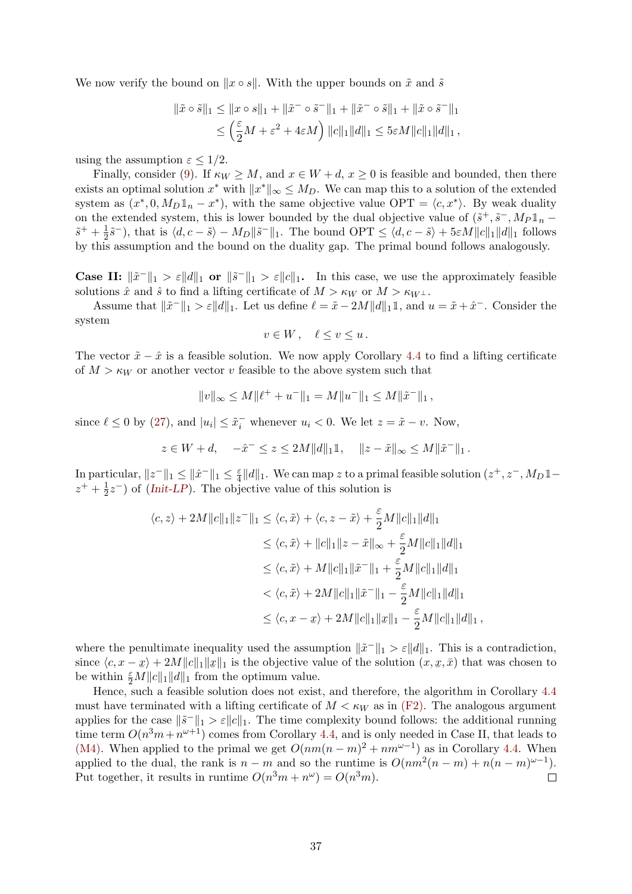We now verify the bound on  $\|x \circ s\|$ . With the upper bounds on  $\tilde{x}$  and  $\tilde{s}$ 

$$
\|\tilde{x} \circ \tilde{s}\|_{1} \le \|x \circ s\|_{1} + \|\tilde{x}^{-} \circ \tilde{s}^{-}\|_{1} + \|\tilde{x}^{-} \circ \tilde{s}\|_{1} + \|\tilde{x} \circ \tilde{s}^{-}\|_{1}
$$
  

$$
\le \left(\frac{\varepsilon}{2}M + \varepsilon^{2} + 4\varepsilon M\right) \|c\|_{1} \|d\|_{1} \le 5\varepsilon M \|c\|_{1} \|d\|_{1},
$$

using the assumption  $\varepsilon \leq 1/2$ .

Finally, consider [\(9\)](#page-18-7). If  $\kappa_W \geq M$ , and  $x \in W + d$ ,  $x \geq 0$  is feasible and bounded, then there exists an optimal solution  $x^*$  with  $||x^*||_{\infty} \leq M_D$ . We can map this to a solution of the extended system as  $(x^*, 0, M_D \mathbb{1}_n - x^*)$ , with the same objective value OPT =  $\langle c, x^* \rangle$ . By weak duality on the extended system, this is lower bounded by the dual objective value of  $(\tilde{s}^+, \tilde{s}^-, M_P \mathbb{1}_n$  $\tilde{s}^+ + \frac{1}{2}$  $\frac{1}{2}\tilde{s}^{-}$ ), that is  $\langle d, c - \tilde{s} \rangle - M_D \|\tilde{s}^{-}\|_1$ . The bound  $\text{OPT} \leq \langle d, c - \tilde{s} \rangle + 5\varepsilon M \|c\|_1 \|d\|_1$  follows by this assumption and the bound on the duality gap. The primal bound follows analogously.

**Case II:**  $\|\tilde{x}^{-}\|_1 > \varepsilon \|d\|_1$  or  $\|\tilde{s}^{-}\|_1 > \varepsilon \|c\|_1$ . In this case, we use the approximately feasible solutions  $\hat{x}$  and  $\hat{s}$  to find a lifting certificate of  $M > \kappa_W$  or  $M > \kappa_{W^{\perp}}$ .

Assume that  $\|\tilde{x}^{-}\|_1 > \varepsilon \|d\|_1$ . Let us define  $\ell = \tilde{x} - 2M \|d\|_1$ , and  $u = \tilde{x} + \hat{x}^{-}$ . Consider the system

$$
v\in W\,,\quad \ell\leq v\leq u\,.
$$

The vector  $\tilde{x} - \hat{x}$  is a feasible solution. We now apply Corollary [4.4](#page-17-1) to find a lifting certificate of  $M > \kappa_W$  or another vector v feasible to the above system such that

$$
||v||_{\infty} \le M||\ell^+ + u^-||_1 = M||u^-||_1 \le M||\tilde{x}^-||_1,
$$

since  $\ell \leq 0$  by [\(27\)](#page-35-0), and  $|u_i| \leq \tilde{x}_i^-$  whenever  $u_i < 0$ . We let  $z = \tilde{x} - v$ . Now,

$$
z \in W + d
$$
,  $-\hat{x}^- \le z \le 2M ||d||_1 1$ ,  $||z - \tilde{x}||_{\infty} \le M ||\tilde{x}^-||_1$ .

In particular,  $||z^-||_1 \le ||\hat{x}^-||_1 \le \frac{\varepsilon}{4}$  $\frac{\varepsilon}{4} ||d||_1$ . We can map z to a primal feasible solution  $(z^+, z^-, M_D \mathbb{1}$  $z^+ + \frac{1}{2}$  $\frac{1}{2}z^{-}$ ) of (*[Init-LP](#page-32-0)*). The objective value of this solution is

$$
\langle c, z \rangle + 2M ||c||_1 ||z^-||_1 \le \langle c, \tilde{x} \rangle + \langle c, z - \tilde{x} \rangle + \frac{\varepsilon}{2} M ||c||_1 ||d||_1
$$
  
\n
$$
\le \langle c, \tilde{x} \rangle + ||c||_1 ||z - \tilde{x}||_{\infty} + \frac{\varepsilon}{2} M ||c||_1 ||d||_1
$$
  
\n
$$
\le \langle c, \tilde{x} \rangle + M ||c||_1 ||\tilde{x}^-||_1 + \frac{\varepsilon}{2} M ||c||_1 ||d||_1
$$
  
\n
$$
< \langle c, \tilde{x} \rangle + 2M ||c||_1 ||\tilde{x}^-||_1 - \frac{\varepsilon}{2} M ||c||_1 ||d||_1
$$
  
\n
$$
\le \langle c, x - \underline{x} \rangle + 2M ||c||_1 ||\underline{x}||_1 - \frac{\varepsilon}{2} M ||c||_1 ||d||_1,
$$

where the penultimate inequality used the assumption  $\|\tilde{x}^{-}\|_1 > \varepsilon \|d\|_1$ . This is a contradiction, since  $\langle c, x - x \rangle + 2M ||c||_1 ||x||_1$  is the objective value of the solution  $(x, x, \bar{x})$  that was chosen to  $\int_{\mathbb{R}} \exp\left\{\frac{1}{2M} \left\|c\right\|_1 \|\mathcal{A}\|_1\right\}$  from the optimum value.

Hence, such a feasible solution does not exist, and therefore, the algorithm in Corollary [4.4](#page-17-1) must have terminated with a lifting certificate of  $M < \kappa_W$  as in [\(F2\).](#page-18-3) The analogous argument applies for the case  $\|\tilde{s}^{-}\|_1 > \varepsilon \|c\|_1$ . The time complexity bound follows: the additional running time term  $O(n^3m + n^{\omega+1})$  comes from Corollary [4.4,](#page-17-1) and is only needed in Case II, that leads to [\(M4\).](#page-19-3) When applied to the primal we get  $O(nm(n-m)^2 + nm^{\omega-1})$  as in Corollary [4.4.](#page-17-1) When applied to the dual, the rank is  $n - m$  and so the runtime is  $O(nm^2(n-m) + n(n-m)^{\omega-1})$ . Put together, it results in runtime  $O(n^3m + n^{\omega}) = O(n^3m)$ .  $\Box$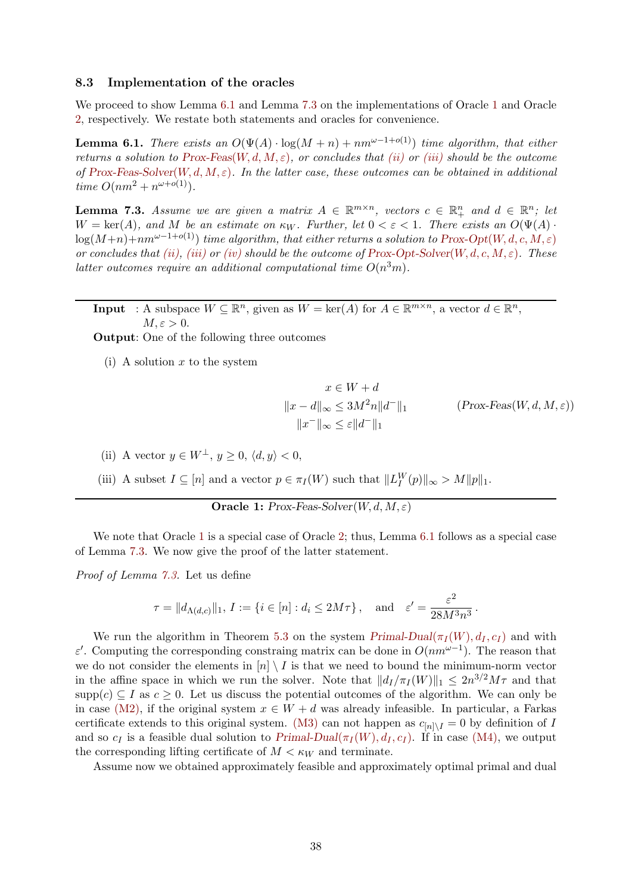#### <span id="page-37-0"></span>8.3 Implementation of the oracles

We proceed to show Lemma [6.1](#page-19-10) and Lemma [7.3](#page-26-3) on the implementations of Oracle [1](#page-19-4) and Oracle [2,](#page-25-1) respectively. We restate both statements and oracles for convenience.

**Lemma 6.1.** There exists an  $O(\Psi(A) \cdot \log(M+n) + nm^{\omega-1+o(1)})$  time algorithm, that either returns a solution to [Prox-Feas](#page-19-9)(W, d, M,  $\varepsilon$ ), or concludes that [\(ii\)](#page-19-7) or [\(iii\)](#page-19-8) should be the outcome of [Prox-Feas-Solver](#page-19-4)(W, d, M,  $\varepsilon$ ). In the latter case, these outcomes can be obtained in additional time  $O(nm^2 + n^{\omega+o(1)})$ .

**Lemma 7.3.** Assume we are given a matrix  $A \in \mathbb{R}^{m \times n}$ , vectors  $c \in \mathbb{R}_+^n$  and  $d \in \mathbb{R}^n$ ; let  $W = \text{ker}(A)$ , and M be an estimate on  $\kappa_W$ . Further, let  $0 < \varepsilon < 1$ . There exists an  $O(\Psi(A))$  $log(M+n)+nm^{\omega-1+o(1)})$  time algorithm, that either returns a solution to Prox-Opt(W, d, c, M,  $\varepsilon$ ) or concludes that [\(ii\),](#page-27-1) [\(iii\)](#page-27-2) or [\(iv\)](#page-27-3) should be the outcome of [Prox-Opt-Solver](#page-25-1)(W, d, c, M,  $\varepsilon$ ). These latter outcomes require an additional computational time  $O(n^3m)$ .

**Input** : A subspace  $W \subseteq \mathbb{R}^n$ , given as  $W = \text{ker}(A)$  for  $A \in \mathbb{R}^{m \times n}$ , a vector  $d \in \mathbb{R}^n$ ,  $M, \varepsilon > 0.$ 

Output: One of the following three outcomes

(i) A solution  $x$  to the system

$$
x \in W + d
$$
  

$$
||x - d||_{\infty} \le 3M^2 n ||d^-||_1
$$
 (Prox-Feas $(W, d, M, \varepsilon)$ )  

$$
||x^-||_{\infty} \le \varepsilon ||d^-||_1
$$

- (ii) A vector  $y \in W^{\perp}$ ,  $y \geq 0$ ,  $\langle d, y \rangle < 0$ ,
- (iii) A subset  $I \subseteq [n]$  and a vector  $p \in \pi_I(W)$  such that  $||L_I^W(p)||_{\infty} > M||p||_1$ .

**Oracle 1:** Prox-Feas-Solver $(W, d, M, \varepsilon)$ 

We note that Oracle [1](#page-19-4) is a special case of Oracle [2;](#page-25-1) thus, Lemma [6.1](#page-19-10) follows as a special case of Lemma [7.3.](#page-26-3) We now give the proof of the latter statement.

Proof of Lemma [7.3.](#page-26-3) Let us define

$$
\tau = ||d_{\Lambda(d,c)}||_1, I := \{i \in [n] : d_i \le 2M\tau\}, \text{ and } \varepsilon' = \frac{\varepsilon^2}{28M^3n^3}.
$$

We run the algorithm in Theorem [5.3](#page-18-1) on the system  $Primal-Dual(\pi_I(W), d_I, c_I)$  $Primal-Dual(\pi_I(W), d_I, c_I)$  and with ε'. Computing the corresponding constraing matrix can be done in  $O(nm^{\omega-1})$ . The reason that we do not consider the elements in  $[n] \setminus I$  is that we need to bound the minimum-norm vector in the affine space in which we run the solver. Note that  $||d_I/\pi_I(W)||_1 \leq 2n^{3/2}M\tau$  and that supp(c)  $\subseteq I$  as  $c \geq 0$ . Let us discuss the potential outcomes of the algorithm. We can only be in case [\(M2\),](#page-19-1) if the original system  $x \in W + d$  was already infeasible. In particular, a Farkas certificate extends to this original system. [\(M3\)](#page-19-2) can not happen as  $c_{[n] \setminus I} = 0$  by definition of I and so  $c_I$  is a feasible dual solution to [Primal-Dual](#page-8-0)( $\pi_I(W), d_I, c_I$ ). If in case [\(M4\),](#page-19-3) we output the corresponding lifting certificate of  $M < \kappa_W$  and terminate.

Assume now we obtained approximately feasible and approximately optimal primal and dual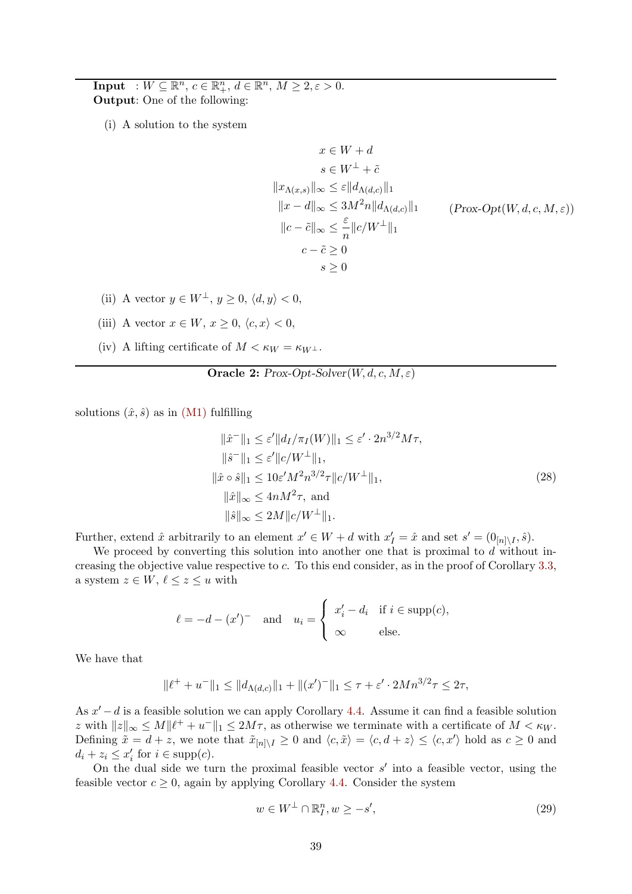**Input** :  $W \subseteq \mathbb{R}^n$ ,  $c \in \mathbb{R}^n_+$ ,  $d \in \mathbb{R}^n$ ,  $M \geq 2, \varepsilon > 0$ . Output: One of the following:

(i) A solution to the system

$$
x \in W + d
$$
  
\n
$$
s \in W^{\perp} + \tilde{c}
$$
  
\n
$$
||x_{\Lambda(x,s)}||_{\infty} \le \varepsilon ||d_{\Lambda(d,c)}||_1
$$
  
\n
$$
||x - d||_{\infty} \le 3M^2 n ||d_{\Lambda(d,c)}||_1
$$
  
\n
$$
||c - \tilde{c}||_{\infty} \le \frac{\varepsilon}{n} ||c/W^{\perp}||_1
$$
  
\n
$$
c - \tilde{c} \ge 0
$$
  
\n
$$
s \ge 0
$$

 $(Prox-Opt(W, d, c, M, \varepsilon))$ 

- (ii) A vector  $y \in W^{\perp}$ ,  $y > 0$ ,  $\langle d, y \rangle < 0$ ,
- (iii) A vector  $x \in W$ ,  $x \geq 0$ ,  $\langle c, x \rangle < 0$ ,
- (iv) A lifting certificate of  $M < \kappa_W = \kappa_{W^{\perp}}$ .

**Oracle 2:** Prox-Opt-Solver $(W, d, c, M, \varepsilon)$ 

solutions  $(\hat{x}, \hat{s})$  as in [\(M1\)](#page-18-5) fulfilling

$$
\|\hat{x}^{-}\|_{1} \leq \varepsilon' \|d_{I}/\pi_{I}(W)\|_{1} \leq \varepsilon' \cdot 2n^{3/2} M\tau,
$$
  
\n
$$
\|\hat{s}^{-}\|_{1} \leq \varepsilon' \|c/W^{\perp}\|_{1},
$$
  
\n
$$
\|\hat{x} \circ \hat{s}\|_{1} \leq 10\varepsilon' M^{2} n^{3/2} \tau \|c/W^{\perp}\|_{1},
$$
  
\n
$$
\|\hat{x}\|_{\infty} \leq 4nM^{2} \tau, \text{ and}
$$
  
\n
$$
\|\hat{s}\|_{\infty} \leq 2M \|c/W^{\perp}\|_{1}.
$$
  
\n(28)

Further, extend  $\hat{x}$  arbitrarily to an element  $x' \in W + d$  with  $x'_I = \hat{x}$  and set  $s' = (0_{[n] \setminus I}, \hat{s})$ .

We proceed by converting this solution into another one that is proximal to  $d$  without increasing the objective value respective to c. To this end consider, as in the proof of Corollary [3.3,](#page-13-2) a system  $z \in W$ ,  $\ell \leq z \leq u$  with

$$
\ell = -d - (x')^{-} \quad \text{and} \quad u_i = \begin{cases} x'_i - d_i & \text{if } i \in \text{supp}(c), \\ \infty & \text{else.} \end{cases}
$$

We have that

$$
\|\ell^+ + u^-\|_1 \le \|d_{\Lambda(d,c)}\|_1 + \|(x')^-\|_1 \le \tau + \varepsilon' \cdot 2Mn^{3/2}\tau \le 2\tau,
$$

As  $x' - d$  is a feasible solution we can apply Corollary [4.4.](#page-17-1) Assume it can find a feasible solution z with  $||z||_{\infty} \leq M\|\ell^+ + u^-\|_1 \leq 2M\tau$ , as otherwise we terminate with a certificate of  $M < \kappa_W$ . Defining  $\tilde{x} = d + z$ , we note that  $\tilde{x}_{[n] \setminus I} \geq 0$  and  $\langle c, \tilde{x} \rangle = \langle c, d + z \rangle \leq \langle c, x' \rangle$  hold as  $c \geq 0$  and  $d_i + z_i \leq x'_i$  for  $i \in \text{supp}(c)$ .

On the dual side we turn the proximal feasible vector  $s'$  into a feasible vector, using the feasible vector  $c \geq 0$ , again by applying Corollary [4.4.](#page-17-1) Consider the system

$$
w \in W^{\perp} \cap \mathbb{R}_I^n, w \ge -s',\tag{29}
$$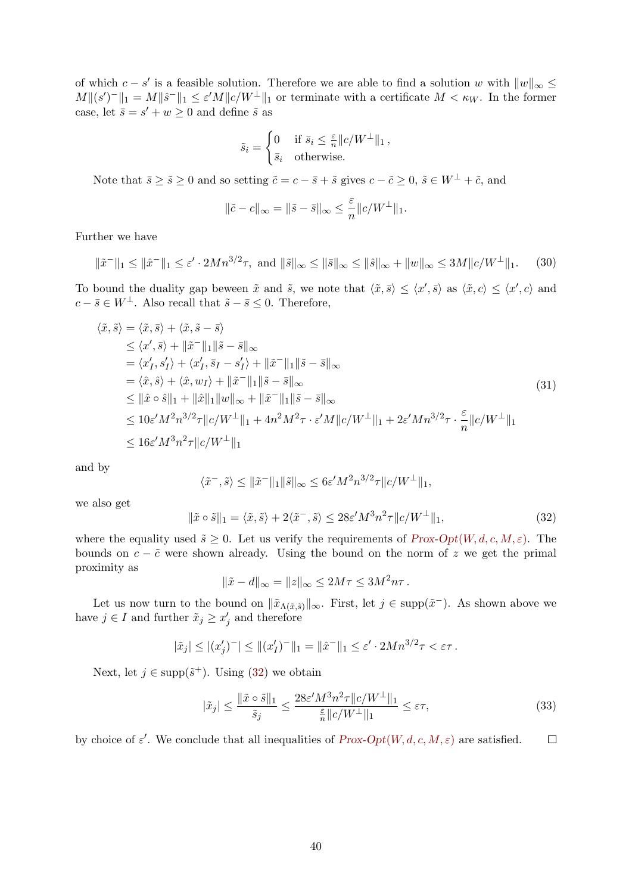of which  $c - s'$  is a feasible solution. Therefore we are able to find a solution w with  $||w||_{\infty} \le$  $M||(s')^-||_1 = M||\hat{s}^-||_1 \leq \varepsilon' M||c/W^{\perp}||_1$  or terminate with a certificate  $M < \kappa_W$ . In the former case, let  $\bar{s} = s' + w \geq 0$  and define  $\tilde{s}$  as

$$
\tilde{s}_i = \begin{cases} 0 & \text{if } \bar{s}_i \le \frac{\varepsilon}{n} ||c/W^{\perp}||_1, \\ \bar{s}_i & \text{otherwise.} \end{cases}
$$

Note that  $\bar{s} \geq \tilde{s} \geq 0$  and so setting  $\tilde{c} = c - \bar{s} + \tilde{s}$  gives  $c - \tilde{c} \geq 0$ ,  $\tilde{s} \in W^{\perp} + \tilde{c}$ , and

$$
\|\tilde{c} - c\|_{\infty} = \|\tilde{s} - \bar{s}\|_{\infty} \le \frac{\varepsilon}{n} \|c/W^{\perp}\|_{1}.
$$

Further we have

$$
\|\tilde{x}^{-}\|_{1} \le \|\hat{x}^{-}\|_{1} \le \varepsilon' \cdot 2Mn^{3/2}\tau, \text{ and } \|\tilde{s}\|_{\infty} \le \|\tilde{s}\|_{\infty} \le \|\hat{s}\|_{\infty} + \|w\|_{\infty} \le 3M\|c/W^{\perp}\|_{1}.
$$
 (30)

To bound the duality gap beween  $\tilde{x}$  and  $\tilde{s}$ , we note that  $\langle \tilde{x}, \bar{s} \rangle \leq \langle x', \bar{s} \rangle$  as  $\langle \tilde{x}, c \rangle \leq \langle x', c \rangle$  and  $c - \bar{s} \in W^{\perp}$ . Also recall that  $\tilde{s} - \bar{s} \leq 0$ . Therefore,

$$
\langle \tilde{x}, \tilde{s} \rangle = \langle \tilde{x}, \bar{s} \rangle + \langle \tilde{x}, \tilde{s} - \bar{s} \rangle
$$
  
\n
$$
\leq \langle x', \bar{s} \rangle + \|\tilde{x}^{-}\|_{1} \|\tilde{s} - \bar{s}\|_{\infty}
$$
  
\n
$$
= \langle x'_{I}, s'_{I} \rangle + \langle x'_{I}, \bar{s}_{I} - s'_{I} \rangle + \|\tilde{x}^{-}\|_{1} \|\tilde{s} - \bar{s}\|_{\infty}
$$
  
\n
$$
= \langle \hat{x}, \hat{s} \rangle + \langle \hat{x}, w_{I} \rangle + \|\tilde{x}^{-}\|_{1} \|\tilde{s} - \bar{s}\|_{\infty}
$$
  
\n
$$
\leq \|\hat{x} \circ \hat{s}\|_{1} + \|\hat{x}\|_{1} \|w\|_{\infty} + \|\tilde{x}^{-}\|_{1} \|\tilde{s} - \bar{s}\|_{\infty}
$$
  
\n
$$
\leq 10 \varepsilon' M^{2} n^{3/2} \tau \|c/W^{\perp}\|_{1} + 4n^{2} M^{2} \tau \cdot \varepsilon' M \|c/W^{\perp}\|_{1} + 2\varepsilon' M n^{3/2} \tau \cdot \frac{\varepsilon}{n} \|c/W^{\perp}\|_{1}
$$
  
\n
$$
\leq 16 \varepsilon' M^{3} n^{2} \tau \|c/W^{\perp}\|_{1}
$$

and by

$$
\langle \tilde{x}^-, \tilde{s} \rangle \le ||\tilde{x}^-||_1 \|\tilde{s}\|_{\infty} \le 6\varepsilon' M^2 n^{3/2} \tau \|c/W^\perp\|_1,
$$

we also get

<span id="page-39-0"></span>
$$
\|\tilde{x}\circ\tilde{s}\|_1 = \langle \tilde{x}, \tilde{s} \rangle + 2\langle \tilde{x}^-, \tilde{s} \rangle \le 28\varepsilon' M^3 n^2 \tau \|c/W^\perp\|_1,\tag{32}
$$

where the equality used  $\tilde{s} \geq 0$ . Let us verify the requirements of  $Prox-Opt(W, d, c, M, \varepsilon)$ . The bounds on  $c - \tilde{c}$  were shown already. Using the bound on the norm of z we get the primal proximity as

$$
\|\tilde{x} - d\|_{\infty} = \|z\|_{\infty} \le 2M\tau \le 3M^2n\tau.
$$

Let us now turn to the bound on  $\|\tilde{x}_{\Lambda(\tilde{x},\tilde{s})}\|_{\infty}$ . First, let  $j \in \text{supp}(\tilde{x}^-)$ . As shown above we have  $j \in I$  and further  $\tilde{x}_j \geq x'_j$  and therefore

$$
|\tilde{x}_j| \le |(x'_j)^-| \le |((x'_I)^-||_1 = ||\hat{x}^-||_1 \le \varepsilon' \cdot 2Mn^{3/2}\tau < \varepsilon\tau.
$$

Next, let  $j \in \text{supp}(\tilde{s}^+)$ . Using [\(32\)](#page-39-0) we obtain

$$
|\tilde{x}_j| \le \frac{\|\tilde{x} \circ \tilde{s}\|_1}{\tilde{s}_j} \le \frac{28\varepsilon' M^3 n^2 \tau \|c/W^\perp\|_1}{\frac{\varepsilon}{n} \|c/W^\perp\|_1} \le \varepsilon \tau,\tag{33}
$$

by choice of  $\varepsilon'$ . We conclude that all inequalities of  $Prox\text{-}Opt(W, d, c, M, \varepsilon)$  are satisfied.  $\Box$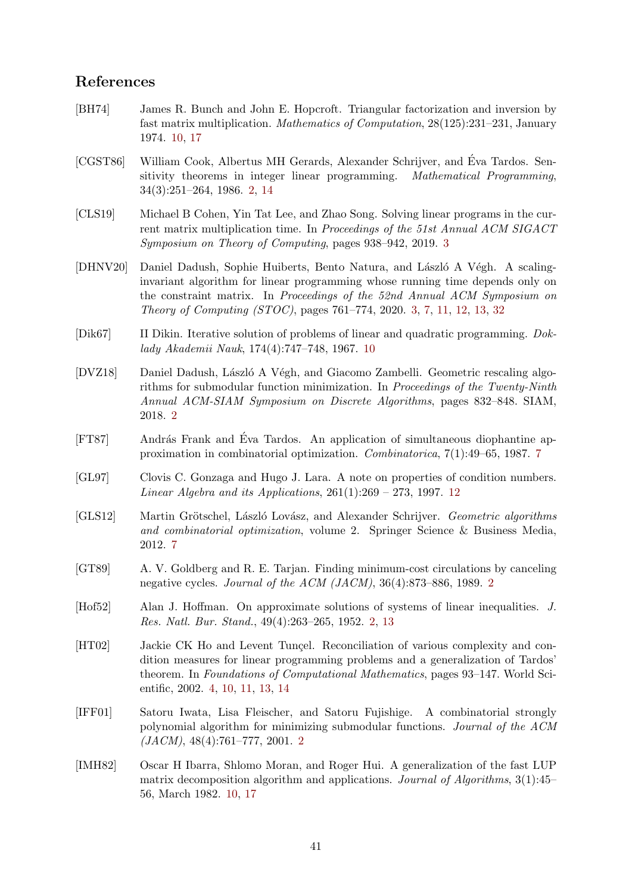# References

- <span id="page-40-11"></span>[BH74] James R. Bunch and John E. Hopcroft. Triangular factorization and inversion by fast matrix multiplication. Mathematics of Computation, 28(125):231–231, January 1974. [10,](#page-9-5) [17](#page-16-3)
- <span id="page-40-4"></span>[CGST86] William Cook, Albertus MH Gerards, Alexander Schrijver, and Éva Tardos. Sensitivity theorems in integer linear programming. Mathematical Programming, 34(3):251–264, 1986. [2,](#page-1-1) [14](#page-13-3)
- <span id="page-40-6"></span>[CLS19] Michael B Cohen, Yin Tat Lee, and Zhao Song. Solving linear programs in the current matrix multiplication time. In Proceedings of the 51st Annual ACM SIGACT Symposium on Theory of Computing, pages 938–942, 2019. [3](#page-2-1)
- <span id="page-40-5"></span>[DHNV20] Daniel Dadush, Sophie Huiberts, Bento Natura, and László A Végh. A scalinginvariant algorithm for linear programming whose running time depends only on the constraint matrix. In Proceedings of the 52nd Annual ACM Symposium on Theory of Computing (STOC), pages 761–774, 2020. [3,](#page-2-1) [7,](#page-6-0) [11,](#page-10-3) [12,](#page-11-3) [13,](#page-12-3) [32](#page-31-4)
- <span id="page-40-10"></span>[Dik67] II Dikin. Iterative solution of problems of linear and quadratic programming. Doklady Akademii Nauk, 174(4):747–748, 1967. [10](#page-9-5)
- <span id="page-40-2"></span>[DVZ18] Daniel Dadush, László A Végh, and Giacomo Zambelli. Geometric rescaling algorithms for submodular function minimization. In Proceedings of the Twenty-Ninth Annual ACM-SIAM Symposium on Discrete Algorithms, pages 832–848. SIAM, 2018. [2](#page-1-1)
- <span id="page-40-9"></span>[FT87] András Frank and Éva Tardos. An application of simultaneous diophantine approximation in combinatorial optimization. Combinatorica, 7(1):49–65, 1987. [7](#page-6-0)
- <span id="page-40-13"></span>[GL97] Clovis C. Gonzaga and Hugo J. Lara. A note on properties of condition numbers. *Linear Algebra and its Applications,*  $261(1):269 - 273$ , 1997. [12](#page-11-3)
- <span id="page-40-8"></span>[GLS12] Martin Grötschel, László Lovász, and Alexander Schrijver. Geometric algorithms and combinatorial optimization, volume 2. Springer Science & Business Media, 2012. [7](#page-6-0)
- <span id="page-40-0"></span>[GT89] A. V. Goldberg and R. E. Tarjan. Finding minimum-cost circulations by canceling negative cycles. Journal of the ACM (JACM), 36(4):873–886, 1989. [2](#page-1-1)
- <span id="page-40-3"></span>[Hof52] Alan J. Hoffman. On approximate solutions of systems of linear inequalities. J. Res. Natl. Bur. Stand., 49(4):263–265, 1952. [2,](#page-1-1) [13](#page-12-3)
- <span id="page-40-7"></span>[HT02] Jackie CK Ho and Levent Tuncel. Reconciliation of various complexity and condition measures for linear programming problems and a generalization of Tardos' theorem. In Foundations of Computational Mathematics, pages 93–147. World Scientific, 2002. [4,](#page-3-3) [10,](#page-9-5) [11,](#page-10-3) [13,](#page-12-3) [14](#page-13-3)
- <span id="page-40-1"></span>[IFF01] Satoru Iwata, Lisa Fleischer, and Satoru Fujishige. A combinatorial strongly polynomial algorithm for minimizing submodular functions. Journal of the ACM  $(JACM)$ , 48(4):761–777, [2](#page-1-1)001. 2
- <span id="page-40-12"></span>[IMH82] Oscar H Ibarra, Shlomo Moran, and Roger Hui. A generalization of the fast LUP matrix decomposition algorithm and applications. Journal of Algorithms, 3(1):45– 56, March 1982. [10,](#page-9-5) [17](#page-16-3)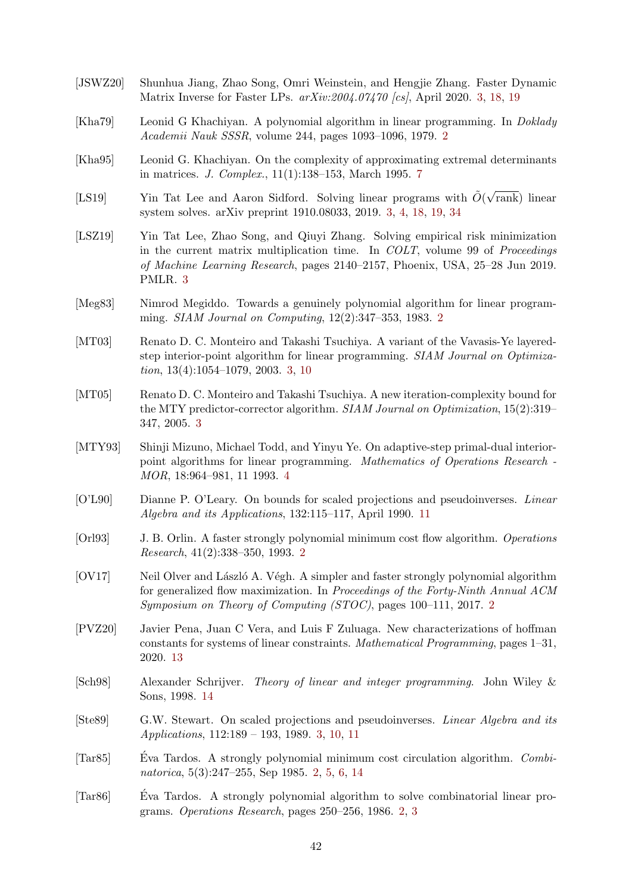- <span id="page-41-11"></span>[JSWZ20] Shunhua Jiang, Zhao Song, Omri Weinstein, and Hengjie Zhang. Faster Dynamic Matrix Inverse for Faster LPs. arXiv:2004.07470 [cs], April 2020. [3,](#page-2-1) [18,](#page-17-4) [19](#page-18-8)
- <span id="page-41-0"></span>[Kha79] Leonid G Khachiyan. A polynomial algorithm in linear programming. In Doklady Academii Nauk SSSR, volume 244, pages 1093–1096, 1979. [2](#page-1-1)
- <span id="page-41-13"></span>[Kha95] Leonid G. Khachiyan. On the complexity of approximating extremal determinants in matrices. J. Complex., 11(1):138–153, March 1995. [7](#page-6-0)
- <span id="page-41-9"></span>[LS19] Yin Tat Lee and Aaron Sidford. Solving linear programs with  $\tilde{O}(\sqrt{\frac{m}{\epsilon}})$ rank) linear system solves. arXiv preprint 1910.08033, 2019. [3,](#page-2-1) [4,](#page-3-3) [18,](#page-17-4) [19,](#page-18-8) [34](#page-33-2)
- <span id="page-41-10"></span>[LSZ19] Yin Tat Lee, Zhao Song, and Qiuyi Zhang. Solving empirical risk minimization in the current matrix multiplication time. In  $COLT$ , volume 99 of *Proceedings* of Machine Learning Research, pages 2140–2157, Phoenix, USA, 25–28 Jun 2019. PMLR. [3](#page-2-1)
- <span id="page-41-1"></span>[Meg83] Nimrod Megiddo. Towards a genuinely polynomial algorithm for linear programming. SIAM Journal on Computing, 12(2):347–353, 1983. [2](#page-1-1)
- <span id="page-41-7"></span>[MT03] Renato D. C. Monteiro and Takashi Tsuchiya. A variant of the Vavasis-Ye layeredstep interior-point algorithm for linear programming. SIAM Journal on Optimization, 13(4):1054–1079, 2003. [3,](#page-2-1) [10](#page-9-5)
- <span id="page-41-8"></span>[MT05] Renato D. C. Monteiro and Takashi Tsuchiya. A new iteration-complexity bound for the MTY predictor-corrector algorithm. SIAM Journal on Optimization, 15(2):319– 347, 2005. [3](#page-2-1)
- <span id="page-41-12"></span>[MTY93] Shinji Mizuno, Michael Todd, and Yinyu Ye. On adaptive-step primal-dual interiorpoint algorithms for linear programming. Mathematics of Operations Research - MOR, 18:964–981, 11 1993. [4](#page-3-3)
- <span id="page-41-14"></span>[O'L90] Dianne P. O'Leary. On bounds for scaled projections and pseudoinverses. Linear Algebra and its Applications, 132:115–117, April 1990. [11](#page-10-3)
- <span id="page-41-2"></span>[Orl93] J. B. Orlin. A faster strongly polynomial minimum cost flow algorithm. Operations Research, 41(2):338–350, 1993. [2](#page-1-1)
- <span id="page-41-4"></span>[OV17] Neil Olver and László A. Végh. A simpler and faster strongly polynomial algorithm for generalized flow maximization. In Proceedings of the Forty-Ninth Annual ACM Symposium on Theory of Computing (STOC), pages 100–111, 2017. [2](#page-1-1)
- <span id="page-41-15"></span>[PVZ20] Javier Pena, Juan C Vera, and Luis F Zuluaga. New characterizations of hoffman constants for systems of linear constraints. Mathematical Programming, pages 1–31, 2020. [13](#page-12-3)
- <span id="page-41-16"></span>[Sch98] Alexander Schrijver. Theory of linear and integer programming. John Wiley & Sons, 1998. [14](#page-13-3)
- <span id="page-41-6"></span>[Ste89] G.W. Stewart. On scaled projections and pseudoinverses. Linear Algebra and its Applications, 112:189 – 193, 1989. [3,](#page-2-1) [10,](#page-9-5) [11](#page-10-3)
- <span id="page-41-3"></span>[Tar85] Eva Tardos. A strongly polynomial minimum cost circulation algorithm. Combinatorica, 5(3):247–255, Sep 1985. [2,](#page-1-1) [5,](#page-4-5) [6,](#page-5-0) [14](#page-13-3)
- <span id="page-41-5"></span>[Tar86] Eva Tardos. A strongly polynomial algorithm to solve combinatorial linear pro- ´ grams. Operations Research, pages 250–256, 1986. [2,](#page-1-1) [3](#page-2-1)